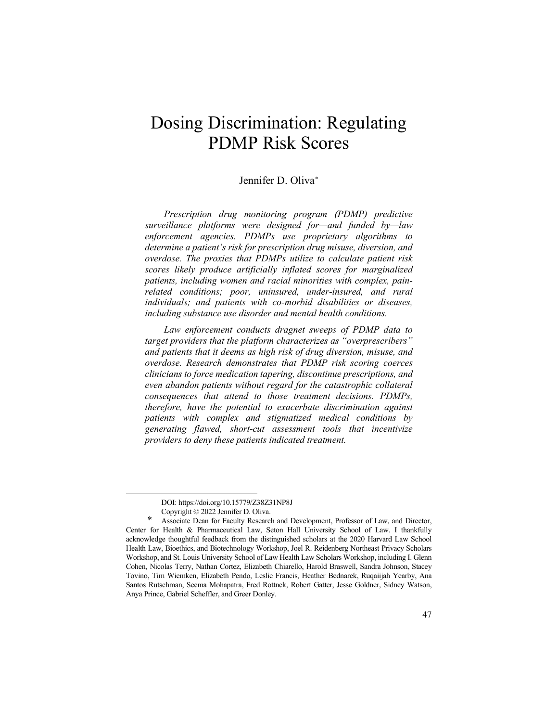# Dosing Discrimination: Regulating PDMP Risk Scores

# Jennifer D. Oliva[\\*](#page-0-0)

*Prescription drug monitoring program (PDMP) predictive surveillance platforms were designed for—and funded by—law enforcement agencies. PDMPs use proprietary algorithms to determine a patient's risk for prescription drug misuse, diversion, and overdose. The proxies that PDMPs utilize to calculate patient risk scores likely produce artificially inflated scores for marginalized patients, including women and racial minorities with complex, painrelated conditions; poor, uninsured, under-insured, and rural individuals; and patients with co-morbid disabilities or diseases, including substance use disorder and mental health conditions.* 

*Law enforcement conducts dragnet sweeps of PDMP data to target providers that the platform characterizes as "overprescribers" and patients that it deems as high risk of drug diversion, misuse, and overdose. Research demonstrates that PDMP risk scoring coerces clinicians to force medication tapering, discontinue prescriptions, and even abandon patients without regard for the catastrophic collateral consequences that attend to those treatment decisions. PDMPs, therefore, have the potential to exacerbate discrimination against patients with complex and stigmatized medical conditions by generating flawed, short-cut assessment tools that incentivize providers to deny these patients indicated treatment.* 

DOI: https://doi.org/10.15779/Z38Z31NP8J

Copyright © 2022 Jennifer D. Oliva.

<span id="page-0-0"></span>Associate Dean for Faculty Research and Development, Professor of Law, and Director, Center for Health & Pharmaceutical Law, Seton Hall University School of Law. I thankfully acknowledge thoughtful feedback from the distinguished scholars at the 2020 Harvard Law School Health Law, Bioethics, and Biotechnology Workshop, Joel R. Reidenberg Northeast Privacy Scholars Workshop, and St. Louis University School of Law Health Law Scholars Workshop, including I. Glenn Cohen, Nicolas Terry, Nathan Cortez, Elizabeth Chiarello, Harold Braswell, Sandra Johnson, Stacey Tovino, Tim Wiemken, Elizabeth Pendo, Leslie Francis, Heather Bednarek, Ruqaiijah Yearby, Ana Santos Rutschman, Seema Mohapatra, Fred Rottnek, Robert Gatter, Jesse Goldner, Sidney Watson, Anya Prince, Gabriel Scheffler, and Greer Donley.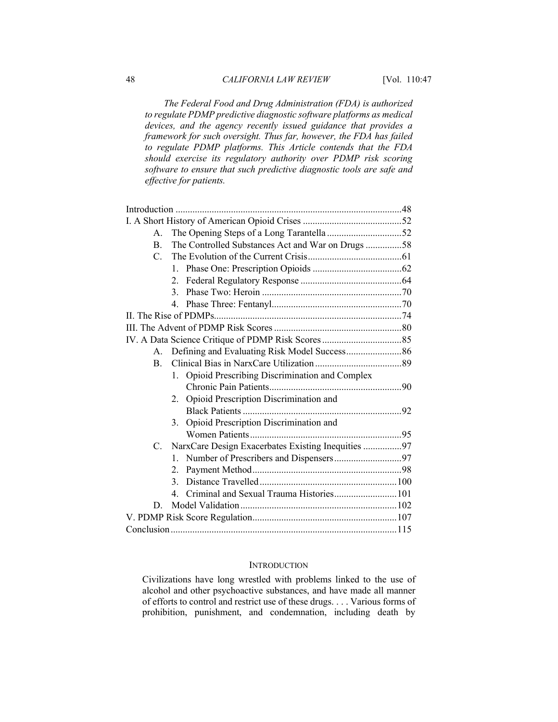*The Federal Food and Drug Administration (FDA) is authorized to regulate PDMP predictive diagnostic software platforms as medical devices, and the agency recently issued guidance that provides a framework for such oversight. Thus far, however, the FDA has failed to regulate PDMP platforms. This Article contends that the FDA should exercise its regulatory authority over PDMP risk scoring software to ensure that such predictive diagnostic tools are safe and effective for patients.*

| $\mathsf{A}$ . | The Opening Steps of a Long Tarantella 52           |  |  |  |
|----------------|-----------------------------------------------------|--|--|--|
| $\mathbf{B}$ . | The Controlled Substances Act and War on Drugs 58   |  |  |  |
| $C_{\cdot}$    |                                                     |  |  |  |
|                | $1_{-}$                                             |  |  |  |
|                | 2.                                                  |  |  |  |
|                | $\mathcal{E}$                                       |  |  |  |
|                |                                                     |  |  |  |
|                |                                                     |  |  |  |
|                |                                                     |  |  |  |
|                |                                                     |  |  |  |
| $A_{\cdot}$    |                                                     |  |  |  |
| $\mathbf{B}$ . |                                                     |  |  |  |
|                | Opioid Prescribing Discrimination and Complex<br>1. |  |  |  |
|                |                                                     |  |  |  |
|                | Opioid Prescription Discrimination and<br>2.        |  |  |  |
|                |                                                     |  |  |  |
|                | Opioid Prescription Discrimination and<br>3.        |  |  |  |
|                |                                                     |  |  |  |
| C.             | NarxCare Design Exacerbates Existing Inequities 97  |  |  |  |
|                | $1_{-}$                                             |  |  |  |
|                | 2.                                                  |  |  |  |
|                | 3 <sub>1</sub>                                      |  |  |  |
|                | 4. Criminal and Sexual Trauma Histories 101         |  |  |  |
| D.             |                                                     |  |  |  |
|                |                                                     |  |  |  |
|                |                                                     |  |  |  |

#### **INTRODUCTION**

Civilizations have long wrestled with problems linked to the use of alcohol and other psychoactive substances, and have made all manner of efforts to control and restrict use of these drugs. . . . Various forms of prohibition, punishment, and condemnation, including death by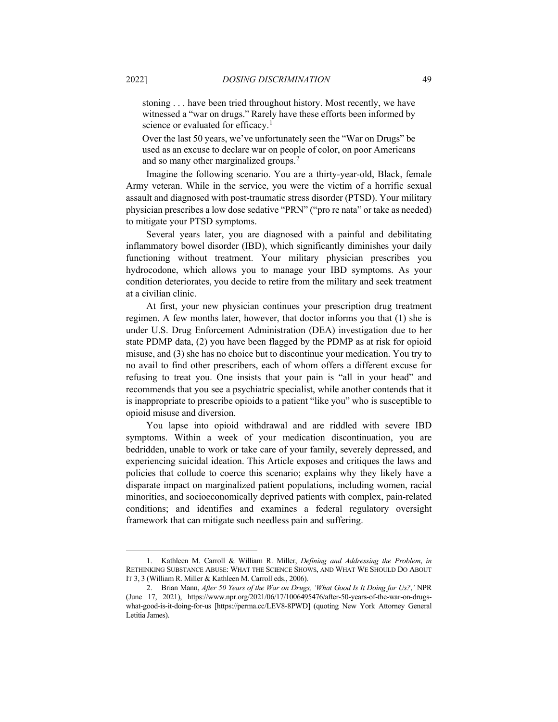stoning . . . have been tried throughout history. Most recently, we have witnessed a "war on drugs." Rarely have these efforts been informed by science or evaluated for efficacy.<sup>[1](#page-2-0)</sup>

Over the last 50 years, we've unfortunately seen the "War on Drugs" be used as an excuse to declare war on people of color, on poor Americans and so many other marginalized groups. [2](#page-2-1)

Imagine the following scenario. You are a thirty-year-old, Black, female Army veteran. While in the service, you were the victim of a horrific sexual assault and diagnosed with post-traumatic stress disorder (PTSD). Your military physician prescribes a low dose sedative "PRN" ("pro re nata" or take as needed) to mitigate your PTSD symptoms.

Several years later, you are diagnosed with a painful and debilitating inflammatory bowel disorder (IBD), which significantly diminishes your daily functioning without treatment. Your military physician prescribes you hydrocodone, which allows you to manage your IBD symptoms. As your condition deteriorates, you decide to retire from the military and seek treatment at a civilian clinic.

At first, your new physician continues your prescription drug treatment regimen. A few months later, however, that doctor informs you that (1) she is under U.S. Drug Enforcement Administration (DEA) investigation due to her state PDMP data, (2) you have been flagged by the PDMP as at risk for opioid misuse, and (3) she has no choice but to discontinue your medication. You try to no avail to find other prescribers, each of whom offers a different excuse for refusing to treat you. One insists that your pain is "all in your head" and recommends that you see a psychiatric specialist, while another contends that it is inappropriate to prescribe opioids to a patient "like you" who is susceptible to opioid misuse and diversion.

You lapse into opioid withdrawal and are riddled with severe IBD symptoms. Within a week of your medication discontinuation, you are bedridden, unable to work or take care of your family, severely depressed, and experiencing suicidal ideation. This Article exposes and critiques the laws and policies that collude to coerce this scenario; explains why they likely have a disparate impact on marginalized patient populations, including women, racial minorities, and socioeconomically deprived patients with complex, pain-related conditions; and identifies and examines a federal regulatory oversight framework that can mitigate such needless pain and suffering.

<span id="page-2-0"></span><sup>1.</sup> Kathleen M. Carroll & William R. Miller, *Defining and Addressing the Problem*, *in* RETHINKING SUBSTANCE ABUSE: WHAT THE SCIENCE SHOWS, AND WHAT WE SHOULD DO ABOUT IT 3, 3 (William R. Miller & Kathleen M. Carroll eds., 2006).

<span id="page-2-1"></span><sup>2.</sup> Brian Mann, *After 50 Years of the War on Drugs, 'What Good Is It Doing for Us?*,*'* NPR (June 17, 2021), https://www.npr.org/2021/06/17/1006495476/after-50-years-of-the-war-on-drugswhat-good-is-it-doing-for-us [https://perma.cc/LEV8-8PWD] (quoting New York Attorney General Letitia James).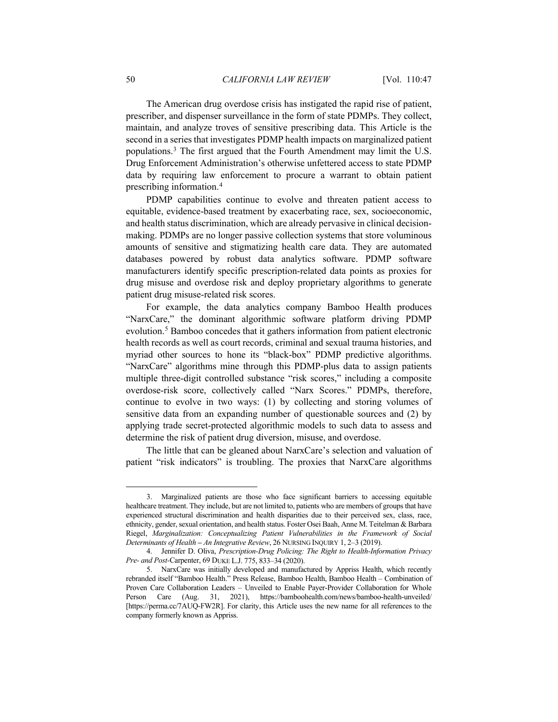The American drug overdose crisis has instigated the rapid rise of patient, prescriber, and dispenser surveillance in the form of state PDMPs. They collect, maintain, and analyze troves of sensitive prescribing data. This Article is the second in a series that investigates PDMP health impacts on marginalized patient populations.[3](#page-3-0) The first argued that the Fourth Amendment may limit the U.S. Drug Enforcement Administration's otherwise unfettered access to state PDMP data by requiring law enforcement to procure a warrant to obtain patient prescribing information.[4](#page-3-1)

<span id="page-3-3"></span>PDMP capabilities continue to evolve and threaten patient access to equitable, evidence-based treatment by exacerbating race, sex, socioeconomic, and health status discrimination, which are already pervasive in clinical decisionmaking. PDMPs are no longer passive collection systems that store voluminous amounts of sensitive and stigmatizing health care data. They are automated databases powered by robust data analytics software. PDMP software manufacturers identify specific prescription-related data points as proxies for drug misuse and overdose risk and deploy proprietary algorithms to generate patient drug misuse-related risk scores.

For example, the data analytics company Bamboo Health produces "NarxCare," the dominant algorithmic software platform driving PDMP evolution.[5](#page-3-2) Bamboo concedes that it gathers information from patient electronic health records as well as court records, criminal and sexual trauma histories, and myriad other sources to hone its "black-box" PDMP predictive algorithms. "NarxCare" algorithms mine through this PDMP-plus data to assign patients multiple three-digit controlled substance "risk scores," including a composite overdose-risk score, collectively called "Narx Scores." PDMPs, therefore, continue to evolve in two ways: (1) by collecting and storing volumes of sensitive data from an expanding number of questionable sources and (2) by applying trade secret-protected algorithmic models to such data to assess and determine the risk of patient drug diversion, misuse, and overdose.

The little that can be gleaned about NarxCare's selection and valuation of patient "risk indicators" is troubling. The proxies that NarxCare algorithms

<span id="page-3-0"></span><sup>3.</sup> Marginalized patients are those who face significant barriers to accessing equitable healthcare treatment. They include, but are not limited to, patients who are members of groups that have experienced structural discrimination and health disparities due to their perceived sex, class, race, ethnicity, gender, sexual orientation, and health status. Foster Osei Baah, Anne M. Teitelman & Barbara Riegel, *Marginalization: Conceptualizing Patient Vulnerabilities in the Framework of Social Determinants of Health – An Integrative Review*, 26 NURSING INQUIRY 1, 2–3 (2019).

<span id="page-3-1"></span><sup>4.</sup> Jennifer D. Oliva, *Prescription-Drug Policing: The Right to Health-Information Privacy Pre- and Post-*Carpenter, 69 DUKE L.J. 775, 833–34 (2020).

<span id="page-3-2"></span><sup>5.</sup> NarxCare was initially developed and manufactured by Appriss Health, which recently rebranded itself "Bamboo Health." Press Release, Bamboo Health, Bamboo Health – Combination of Proven Care Collaboration Leaders – Unveiled to Enable Payer-Provider Collaboration for Whole Person Care (Aug. 31, 2021), https://bamboohealth.com/news/bamboo-health-unveiled/ [https://perma.cc/7AUQ-FW2R]. For clarity, this Article uses the new name for all references to the company formerly known as Appriss.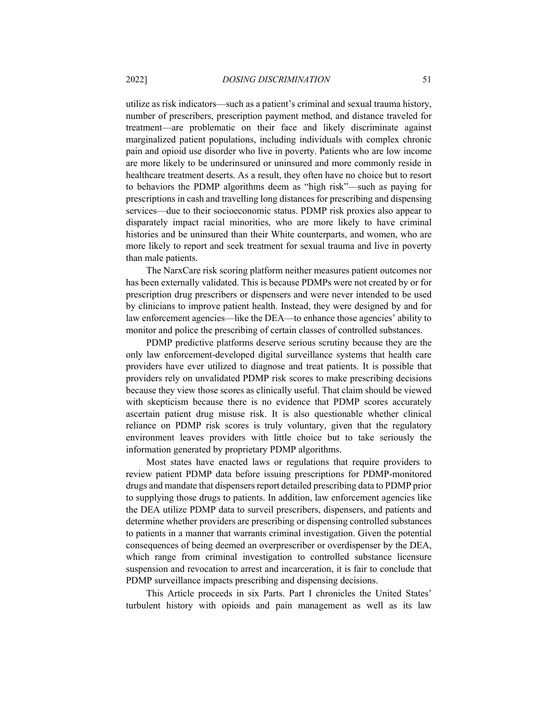utilize as risk indicators—such as a patient's criminal and sexual trauma history, number of prescribers, prescription payment method, and distance traveled for treatment—are problematic on their face and likely discriminate against marginalized patient populations, including individuals with complex chronic pain and opioid use disorder who live in poverty. Patients who are low income are more likely to be underinsured or uninsured and more commonly reside in healthcare treatment deserts. As a result, they often have no choice but to resort to behaviors the PDMP algorithms deem as "high risk"—such as paying for prescriptions in cash and travelling long distances for prescribing and dispensing services—due to their socioeconomic status. PDMP risk proxies also appear to disparately impact racial minorities, who are more likely to have criminal histories and be uninsured than their White counterparts, and women, who are more likely to report and seek treatment for sexual trauma and live in poverty than male patients.

The NarxCare risk scoring platform neither measures patient outcomes nor has been externally validated. This is because PDMPs were not created by or for prescription drug prescribers or dispensers and were never intended to be used by clinicians to improve patient health. Instead, they were designed by and for law enforcement agencies—like the DEA—to enhance those agencies' ability to monitor and police the prescribing of certain classes of controlled substances.

PDMP predictive platforms deserve serious scrutiny because they are the only law enforcement-developed digital surveillance systems that health care providers have ever utilized to diagnose and treat patients. It is possible that providers rely on unvalidated PDMP risk scores to make prescribing decisions because they view those scores as clinically useful. That claim should be viewed with skepticism because there is no evidence that PDMP scores accurately ascertain patient drug misuse risk. It is also questionable whether clinical reliance on PDMP risk scores is truly voluntary, given that the regulatory environment leaves providers with little choice but to take seriously the information generated by proprietary PDMP algorithms.

Most states have enacted laws or regulations that require providers to review patient PDMP data before issuing prescriptions for PDMP-monitored drugs and mandate that dispensers report detailed prescribing data to PDMP prior to supplying those drugs to patients. In addition, law enforcement agencies like the DEA utilize PDMP data to surveil prescribers, dispensers, and patients and determine whether providers are prescribing or dispensing controlled substances to patients in a manner that warrants criminal investigation. Given the potential consequences of being deemed an overprescriber or overdispenser by the DEA, which range from criminal investigation to controlled substance licensure suspension and revocation to arrest and incarceration, it is fair to conclude that PDMP surveillance impacts prescribing and dispensing decisions.

This Article proceeds in six Parts. Part I chronicles the United States' turbulent history with opioids and pain management as well as its law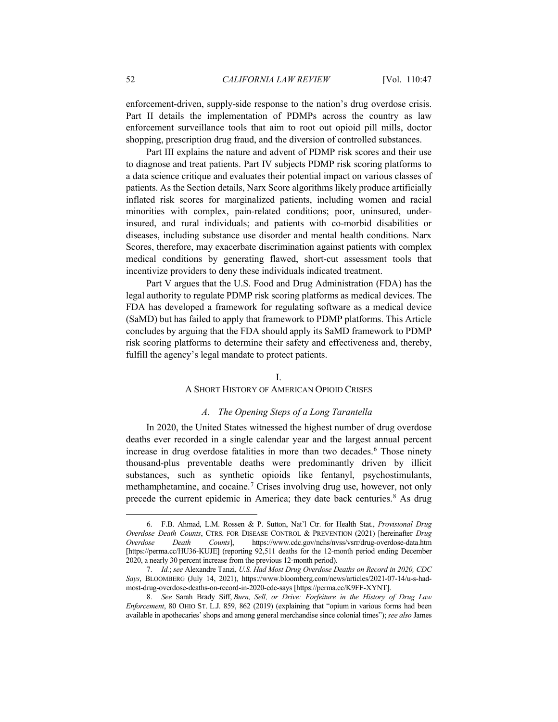enforcement-driven, supply-side response to the nation's drug overdose crisis. Part II details the implementation of PDMPs across the country as law enforcement surveillance tools that aim to root out opioid pill mills, doctor shopping, prescription drug fraud, and the diversion of controlled substances.

Part III explains the nature and advent of PDMP risk scores and their use to diagnose and treat patients. Part IV subjects PDMP risk scoring platforms to a data science critique and evaluates their potential impact on various classes of patients. As the Section details, Narx Score algorithms likely produce artificially inflated risk scores for marginalized patients, including women and racial minorities with complex, pain-related conditions; poor, uninsured, underinsured, and rural individuals; and patients with co-morbid disabilities or diseases, including substance use disorder and mental health conditions. Narx Scores, therefore, may exacerbate discrimination against patients with complex medical conditions by generating flawed, short-cut assessment tools that incentivize providers to deny these individuals indicated treatment.

Part V argues that the U.S. Food and Drug Administration (FDA) has the legal authority to regulate PDMP risk scoring platforms as medical devices. The FDA has developed a framework for regulating software as a medical device (SaMD) but has failed to apply that framework to PDMP platforms. This Article concludes by arguing that the FDA should apply its SaMD framework to PDMP risk scoring platforms to determine their safety and effectiveness and, thereby, fulfill the agency's legal mandate to protect patients.

## <span id="page-5-4"></span><span id="page-5-3"></span>I.

#### A SHORT HISTORY OF AMERICAN OPIOID CRISES

# *A. The Opening Steps of a Long Tarantella*

In 2020, the United States witnessed the highest number of drug overdose deaths ever recorded in a single calendar year and the largest annual percent increase in drug overdose fatalities in more than two decades.<sup>[6](#page-5-0)</sup> Those ninety thousand-plus preventable deaths were predominantly driven by illicit substances, such as synthetic opioids like fentanyl, psychostimulants, methamphetamine, and cocaine. [7](#page-5-1) Crises involving drug use, however, not only precede the current epidemic in America; they date back centuries.[8](#page-5-2) As drug

<span id="page-5-0"></span><sup>6.</sup> F.B. Ahmad, L.M. Rossen & P. Sutton, Nat'l Ctr. for Health Stat., *Provisional Drug Overdose Death Counts*, CTRS. FOR DISEASE CONTROL & PREVENTION (2021) [hereinafter *Drug Overdose Death Counts*], https://www.cdc.gov/nchs/nvss/vsrr/drug-overdose-data.htm [https://perma.cc/HU36-KUJE] (reporting 92,511 deaths for the 12-month period ending December 2020, a nearly 30 percent increase from the previous 12-month period).

<span id="page-5-1"></span><sup>7.</sup> *Id.*; *see* Alexandre Tanzi, *U.S. Had Most Drug Overdose Deaths on Record in 2020, CDC Says*, BLOOMBERG (July 14, 2021), https://www.bloomberg.com/news/articles/2021-07-14/u-s-hadmost-drug-overdose-deaths-on-record-in-2020-cdc-says [https://perma.cc/K9FF-XYNT].

<span id="page-5-2"></span><sup>8.</sup> *See* Sarah Brady Siff, *Burn, Sell, or Drive: Forfeiture in the History of Drug Law Enforcement*, 80 OHIO ST. L.J. 859, 862 (2019) (explaining that "opium in various forms had been available in apothecaries' shops and among general merchandise since colonial times"); *see also* James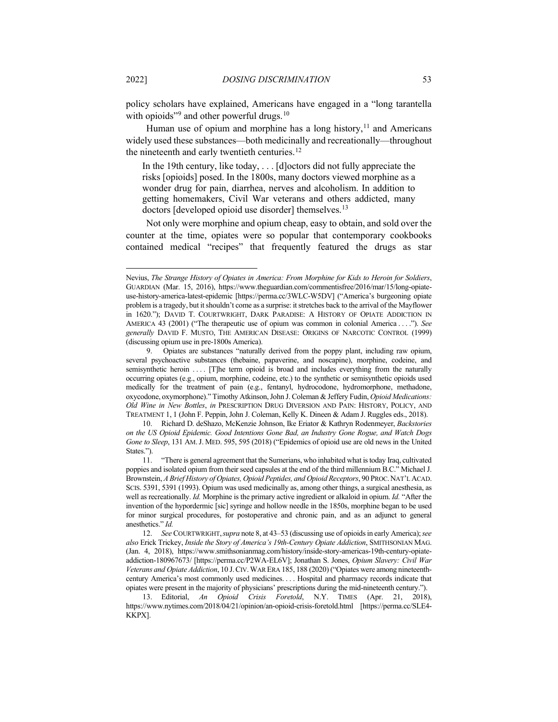policy scholars have explained, Americans have engaged in a "long tarantella with opioids"<sup>[9](#page-6-0)</sup> and other powerful drugs.<sup>[10](#page-6-1)</sup>

Human use of opium and morphine has a long history,  $11$  and Americans widely used these substances—both medicinally and recreationally—throughout the nineteenth and early twentieth centuries.<sup>[12](#page-6-3)</sup>

<span id="page-6-6"></span><span id="page-6-5"></span>In the 19th century, like today, . . . [d]octors did not fully appreciate the risks [opioids] posed. In the 1800s, many doctors viewed morphine as a wonder drug for pain, diarrhea, nerves and alcoholism. In addition to getting homemakers, Civil War veterans and others addicted, many doctors [developed opioid use disorder] themselves.<sup>13</sup>

Not only were morphine and opium cheap, easy to obtain, and sold over the counter at the time, opiates were so popular that contemporary cookbooks contained medical "recipes" that frequently featured the drugs as star

Nevius, *The Strange History of Opiates in America: From Morphine for Kids to Heroin for Soldiers*, GUARDIAN (Mar. 15, 2016), https://www.theguardian.com/commentisfree/2016/mar/15/long-opiateuse-history-america-latest-epidemic [https://perma.cc/3WLC-W5DV] ("America's burgeoning opiate problem is a tragedy, but it shouldn't come as a surprise: it stretches back to the arrival of the Mayflower in 1620."); DAVID T. COURTWRIGHT, DARK PARADISE: A HISTORY OF OPIATE ADDICTION IN AMERICA 43 (2001) ("The therapeutic use of opium was common in colonial America . . . ."). *See generally* DAVID F. MUSTO, THE AMERICAN DISEASE: ORIGINS OF NARCOTIC CONTROL (1999) (discussing opium use in pre-1800s America).

<span id="page-6-0"></span><sup>9.</sup> Opiates are substances "naturally derived from the poppy plant, including raw opium, several psychoactive substances (thebaine, papaverine, and noscapine), morphine, codeine, and semisynthetic heroin .... [T]he term opioid is broad and includes everything from the naturally occurring opiates (e.g., opium, morphine, codeine, etc.) to the synthetic or semisynthetic opioids used medically for the treatment of pain (e.g., fentanyl, hydrocodone, hydromorphone, methadone, oxycodone, oxymorphone)." Timothy Atkinson, John J. Coleman & Jeffery Fudin, *Opioid Medications: Old Wine in New Bottles*, *in* PRESCRIPTION DRUG DIVERSION AND PAIN: HISTORY, POLICY, AND TREATMENT 1, 1 (John F. Peppin, John J. Coleman, Kelly K. Dineen & Adam J. Ruggles eds., 2018).

<span id="page-6-1"></span><sup>10.</sup> Richard D. deShazo, McKenzie Johnson, Ike Eriator & Kathryn Rodenmeyer, *Backstories on the US Opioid Epidemic. Good Intentions Gone Bad, an Industry Gone Rogue, and Watch Dogs Gone to Sleep*, 131 AM.J. MED. 595, 595 (2018) ("Epidemics of opioid use are old news in the United States.").

<span id="page-6-2"></span><sup>11.</sup> "There is general agreement that the Sumerians, who inhabited what is today Iraq, cultivated poppies and isolated opium from their seed capsules at the end of the third millennium B.C." Michael J. Brownstein, *A Brief History of Opiates, Opioid Peptides, and Opioid Receptors*, 90 PROC.NAT'L ACAD. SCIS. 5391, 5391 (1993). Opium was used medicinally as, among other things, a surgical anesthesia, as well as recreationally. *Id.* Morphine is the primary active ingredient or alkaloid in opium. *Id.* "After the invention of the hypordermic [sic] syringe and hollow needle in the 1850s, morphine began to be used for minor surgical procedures, for postoperative and chronic pain, and as an adjunct to general anesthetics." *Id.*

<span id="page-6-3"></span><sup>12.</sup> *See* COURTWRIGHT,*supra* not[e 8,](#page-5-3) at 43–53 (discussing use of opioids in early America);*see also* Erick Trickey, *Inside the Story of America's 19th-Century Opiate Addiction*, SMITHSONIAN MAG. (Jan. 4, 2018), https://www.smithsonianmag.com/history/inside-story-americas-19th-century-opiateaddiction-180967673/ [https://perma.cc/P2WA-EL6V]; Jonathan S. Jones, *Opium Slavery: Civil War Veterans and Opiate Addiction*, 10 J.CIV.WAR ERA 185, 188 (2020) ("Opiates were among nineteenthcentury America's most commonly used medicines. . . . Hospital and pharmacy records indicate that opiates were present in the majority of physicians' prescriptions during the mid-nineteenth century.").

<span id="page-6-4"></span><sup>13.</sup> Editorial, *An Opioid Crisis Foretold*, N.Y. TIMES (Apr. 21, 2018), https://www.nytimes.com/2018/04/21/opinion/an-opioid-crisis-foretold.html [https://perma.cc/SLE4- KKPX].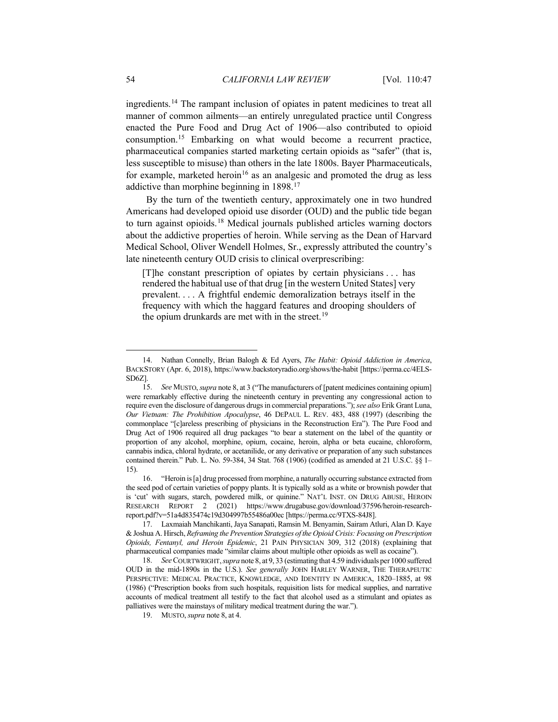<span id="page-7-6"></span>ingredients.[14](#page-7-0) The rampant inclusion of opiates in patent medicines to treat all manner of common ailments—an entirely unregulated practice until Congress enacted the Pure Food and Drug Act of 1906—also contributed to opioid consumption.[15](#page-7-1) Embarking on what would become a recurrent practice, pharmaceutical companies started marketing certain opioids as "safer" (that is, less susceptible to misuse) than others in the late 1800s. Bayer Pharmaceuticals, for example, marketed heroin<sup>[16](#page-7-2)</sup> as an analgesic and promoted the drug as less addictive than morphine beginning in 1898[.17](#page-7-3)

By the turn of the twentieth century, approximately one in two hundred Americans had developed opioid use disorder (OUD) and the public tide began to turn against opioids.[18](#page-7-4) Medical journals published articles warning doctors about the addictive properties of heroin. While serving as the Dean of Harvard Medical School, Oliver Wendell Holmes, Sr., expressly attributed the country's late nineteenth century OUD crisis to clinical overprescribing:

[T]he constant prescription of opiates by certain physicians . . . has rendered the habitual use of that drug [in the western United States] very prevalent. . . . A frightful endemic demoralization betrays itself in the frequency with which the haggard features and drooping shoulders of the opium drunkards are met with in the street.<sup>[19](#page-7-5)</sup>

<span id="page-7-0"></span><sup>14.</sup> Nathan Connelly, Brian Balogh & Ed Ayers, *The Habit: Opioid Addiction in America*, BACKSTORY (Apr. 6, 2018), https://www.backstoryradio.org/shows/the-habit [https://perma.cc/4ELS-SD6Z].

<span id="page-7-1"></span><sup>15.</sup> *See* MUSTO, *supra* not[e 8,](#page-5-3) at 3 ("The manufacturers of [patent medicines containing opium] were remarkably effective during the nineteenth century in preventing any congressional action to require even the disclosure of dangerous drugs in commercial preparations."); *see also* Erik Grant Luna, *Our Vietnam: The Prohibition Apocalypse*, 46 DEPAUL L. REV. 483, 488 (1997) (describing the commonplace "[c]areless prescribing of physicians in the Reconstruction Era"). The Pure Food and Drug Act of 1906 required all drug packages "to bear a statement on the label of the quantity or proportion of any alcohol, morphine, opium, cocaine, heroin, alpha or beta eucaine, chloroform, cannabis indica, chloral hydrate, or acetanilide, or any derivative or preparation of any such substances contained therein." Pub. L. No. 59-384, 34 Stat. 768 (1906) (codified as amended at 21 U.S.C. §§ 1– 15).

<span id="page-7-2"></span><sup>16.</sup> "Heroin is [a] drug processed from morphine, a naturally occurring substance extracted from the seed pod of certain varieties of poppy plants. It is typically sold as a white or brownish powder that is 'cut' with sugars, starch, powdered milk, or quinine." NAT'L INST. ON DRUG ABUSE, HEROIN RESEARCH REPORT 2 (2021) https://www.drugabuse.gov/download/37596/heroin-researchreport.pdf?v=51a4d835474c19d304997b55486a00ec [https://perma.cc/9TXS-84J8].

<span id="page-7-3"></span><sup>17.</sup> Laxmaiah Manchikanti, Jaya Sanapati, Ramsin M. Benyamin, Sairam Atluri, Alan D. Kaye & Joshua A. Hirsch, *Reframing the Prevention Strategies of the Opioid Crisis: Focusing on Prescription Opioids, Fentanyl, and Heroin Epidemic*, 21 PAIN PHYSICIAN 309, 312 (2018) (explaining that pharmaceutical companies made "similar claims about multiple other opioids as well as cocaine").

<span id="page-7-5"></span><span id="page-7-4"></span><sup>18.</sup> *See* COURTWRIGHT, *supra* not[e 8,](#page-5-3) at 9, 33 (estimating that 4.59 individuals per 1000 suffered OUD in the mid-1890s in the U.S.). *See generally* JOHN HARLEY WARNER, THE THERAPEUTIC PERSPECTIVE: MEDICAL PRACTICE, KNOWLEDGE, AND IDENTITY IN AMERICA, 1820–1885, at 98 (1986) ("Prescription books from such hospitals, requisition lists for medical supplies, and narrative accounts of medical treatment all testify to the fact that alcohol used as a stimulant and opiates as palliatives were the mainstays of military medical treatment during the war.").

<sup>19.</sup> MUSTO, *supra* not[e 8,](#page-5-3) at 4.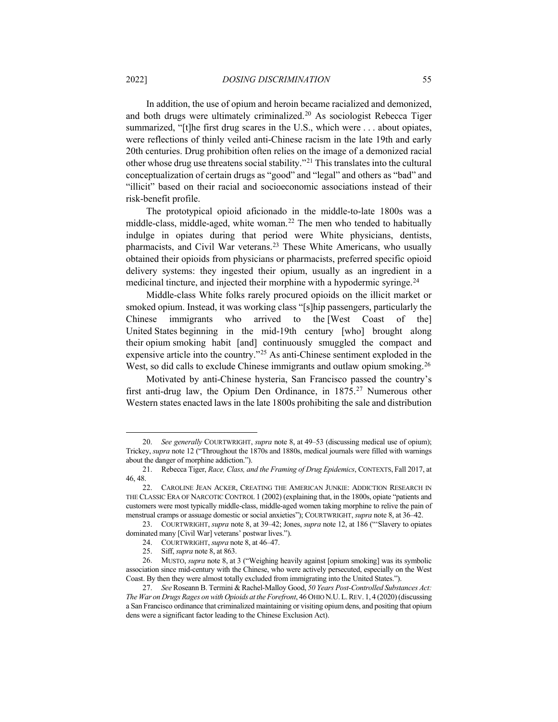In addition, the use of opium and heroin became racialized and demonized, and both drugs were ultimately criminalized.<sup>[20](#page-8-0)</sup> As sociologist Rebecca Tiger summarized, "[t]he first drug scares in the U.S., which were . . . about opiates, were reflections of thinly veiled anti-Chinese racism in the late 19th and early 20th centuries. Drug prohibition often relies on the image of a demonized racial other whose drug use threatens social stability."[21](#page-8-1) This translates into the cultural conceptualization of certain drugs as "good" and "legal" and others as "bad" and "illicit" based on their racial and socioeconomic associations instead of their risk-benefit profile.

The prototypical opioid aficionado in the middle-to-late 1800s was a middle-class, middle-aged, white woman.[22](#page-8-2) The men who tended to habitually indulge in opiates during that period were White physicians, dentists, pharmacists, and Civil War veterans[.23](#page-8-3) These White Americans, who usually obtained their opioids from physicians or pharmacists, preferred specific opioid delivery systems: they ingested their opium, usually as an ingredient in a medicinal tincture, and injected their morphine with a hypodermic syringe.[24](#page-8-4)

Middle-class White folks rarely procured opioids on the illicit market or smoked opium. Instead, it was working class "[s]hip passengers, particularly the Chinese immigrants who arrived to the [West Coast of the] United States beginning in the mid-19th century [who] brought along their opium smoking habit [and] continuously smuggled the compact and expensive article into the country."[25](#page-8-5) As anti-Chinese sentiment exploded in the West, so did calls to exclude Chinese immigrants and outlaw opium smoking.<sup>[26](#page-8-6)</sup>

Motivated by anti-Chinese hysteria, San Francisco passed the country's first anti-drug law, the Opium Den Ordinance, in 1875.<sup>[27](#page-8-7)</sup> Numerous other Western states enacted laws in the late 1800s prohibiting the sale and distribution

<span id="page-8-0"></span><sup>20.</sup> *See generally* COURTWRIGHT, *supra* not[e 8,](#page-5-3) at 49–53 (discussing medical use of opium); Trickey, *supra* not[e 12](#page-6-5) ("Throughout the 1870s and 1880s, medical journals were filled with warnings about the danger of morphine addiction.").

<span id="page-8-1"></span><sup>21.</sup> Rebecca Tiger, *Race, Class, and the Framing of Drug Epidemics*, CONTEXTS, Fall 2017, at 46, 48.

<span id="page-8-2"></span><sup>22.</sup> CAROLINE JEAN ACKER, CREATING THE AMERICAN JUNKIE: ADDICTION RESEARCH IN THE CLASSIC ERA OF NARCOTIC CONTROL 1 (2002) (explaining that, in the 1800s, opiate "patients and customers were most typically middle-class, middle-aged women taking morphine to relive the pain of menstrual cramps or assuage domestic or social anxieties"); COURTWRIGHT, *supra* not[e 8,](#page-5-3) at 36–42.

<span id="page-8-4"></span><span id="page-8-3"></span><sup>23.</sup> COURTWRIGHT, *supra* not[e 8,](#page-5-3) at 39–42; Jones, *supra* note [12,](#page-6-5) at 186 ("'Slavery to opiates dominated many [Civil War] veterans' postwar lives.").

<sup>24.</sup> COURTWRIGHT, *supra* note [8,](#page-5-3) at 46–47.

<sup>25.</sup> Siff, *supra* not[e 8,](#page-5-3) at 863.

<span id="page-8-6"></span><span id="page-8-5"></span><sup>26.</sup> MUSTO, *supra* note [8,](#page-5-3) at 3 ("Weighing heavily against [opium smoking] was its symbolic association since mid-century with the Chinese, who were actively persecuted, especially on the West Coast. By then they were almost totally excluded from immigrating into the United States.").

<span id="page-8-7"></span><sup>27.</sup> *See* Roseann B. Termini & Rachel-Malloy Good, *50 Years Post-Controlled Substances Act: The War on Drugs Rages on with Opioids at the Forefront*, 46 OHIO N.U.L.REV. 1, 4 (2020) (discussing a San Francisco ordinance that criminalized maintaining or visiting opium dens, and positing that opium dens were a significant factor leading to the Chinese Exclusion Act).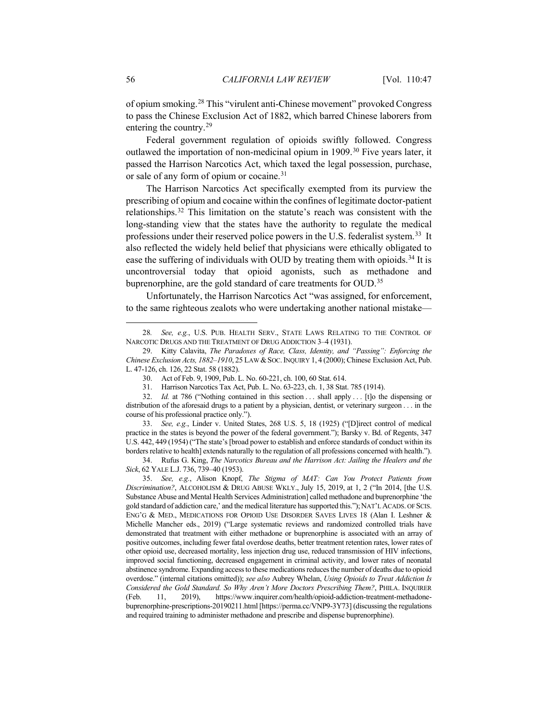of opium smoking.[28](#page-9-0) This "virulent anti-Chinese movement" provoked Congress to pass the Chinese Exclusion Act of 1882, which barred Chinese laborers from entering the country.[29](#page-9-1)

Federal government regulation of opioids swiftly followed. Congress outlawed the importation of non-medicinal opium in 1909.<sup>[30](#page-9-2)</sup> Five years later, it passed the Harrison Narcotics Act, which taxed the legal possession, purchase, or sale of any form of opium or cocaine.<sup>[31](#page-9-3)</sup>

The Harrison Narcotics Act specifically exempted from its purview the prescribing of opium and cocaine within the confines of legitimate doctor-patient relationships.[32](#page-9-4) This limitation on the statute's reach was consistent with the long-standing view that the states have the authority to regulate the medical professions under their reserved police powers in the U.S. federalist system.[33](#page-9-5) It also reflected the widely held belief that physicians were ethically obligated to ease the suffering of individuals with OUD by treating them with opioids.<sup>[34](#page-9-6)</sup> It is uncontroversial today that opioid agonists, such as methadone and buprenorphine, are the gold standard of care treatments for OUD.<sup>35</sup>

<span id="page-9-8"></span>Unfortunately, the Harrison Narcotics Act "was assigned, for enforcement, to the same righteous zealots who were undertaking another national mistake—

<span id="page-9-5"></span>33. *See, e.g.*, Linder v. United States, 268 U.S. 5, 18 (1925) ("[D]irect control of medical practice in the states is beyond the power of the federal government."); Barsky v. Bd. of Regents, 347 U.S. 442, 449 (1954) ("The state's [broad power to establish and enforce standards of conduct within its borders relative to health] extends naturally to the regulation of all professions concerned with health.").

<span id="page-9-6"></span>34. Rufus G. King, *The Narcotics Bureau and the Harrison Act: Jailing the Healers and the Sick*, 62 YALE L.J. 736, 739–40 (1953).

<span id="page-9-7"></span>35. *See, e.g.*, Alison Knopf, *The Stigma of MAT: Can You Protect Patients from Discrimination?*, ALCOHOLISM & DRUG ABUSE WKLY., July 15, 2019, at 1, 2 ("In 2014, [the U.S. Substance Abuse and Mental Health Services Administration] called methadone and buprenorphine 'the gold standard of addiction care,' and the medical literature has supported this."); NAT'L ACADS. OF SCIS. ENG'G & MED., MEDICATIONS FOR OPIOID USE DISORDER SAVES LIVES 18 (Alan I. Leshner & Michelle Mancher eds., 2019) ("Large systematic reviews and randomized controlled trials have demonstrated that treatment with either methadone or buprenorphine is associated with an array of positive outcomes, including fewer fatal overdose deaths, better treatment retention rates, lower rates of other opioid use, decreased mortality, less injection drug use, reduced transmission of HIV infections, improved social functioning, decreased engagement in criminal activity, and lower rates of neonatal abstinence syndrome. Expanding access to these medications reduces the number of deaths due to opioid overdose." (internal citations omitted)); *see also* Aubrey Whelan, *Using Opioids to Treat Addiction Is Considered the Gold Standard. So Why Aren't More Doctors Prescribing Them?*, PHILA. INQUIRER (Feb. 11, 2019), https://www.inquirer.com/health/opioid-addiction-treatment-methadonebuprenorphine-prescriptions-20190211.html [https://perma.cc/VNP9-3Y73] (discussing the regulations and required training to administer methadone and prescribe and dispense buprenorphine).

<span id="page-9-0"></span><sup>28</sup>*. See, e.g.*, U.S. PUB. HEALTH SERV., STATE LAWS RELATING TO THE CONTROL OF NARCOTIC DRUGS AND THE TREATMENT OF DRUG ADDICTION 3–4 (1931).

<span id="page-9-1"></span><sup>29.</sup> Kitty Calavita, *The Paradoxes of Race, Class, Identity, and "Passing": Enforcing the Chinese Exclusion Acts, 1882-1910, 25 LAW & SOC. INQUIRY 1, 4 (2000); Chinese Exclusion Act, Pub.* L. 47-126, ch. 126, 22 Stat. 58 (1882).

<sup>30.</sup> Act of Feb. 9, 1909, Pub. L. No. 60-221, ch. 100, 60 Stat. 614.

<sup>31.</sup> Harrison Narcotics Tax Act, Pub. L. No. 63-223, ch. 1, 38 Stat. 785 (1914).

<span id="page-9-4"></span><span id="page-9-3"></span><span id="page-9-2"></span><sup>32.</sup> *Id.* at 786 ("Nothing contained in this section ... shall apply ... [t]o the dispensing or distribution of the aforesaid drugs to a patient by a physician, dentist, or veterinary surgeon . . . in the course of his professional practice only.").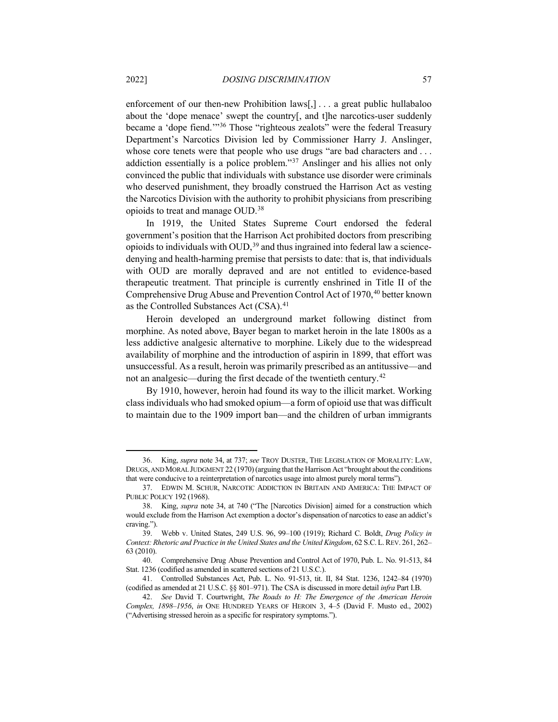enforcement of our then-new Prohibition laws[,] . . . a great public hullabaloo about the 'dope menace' swept the country[, and t]he narcotics-user suddenly became a 'dope fiend.'"[36](#page-10-0) Those "righteous zealots" were the federal Treasury Department's Narcotics Division led by Commissioner Harry J. Anslinger, whose core tenets were that people who use drugs "are bad characters and ... addiction essentially is a police problem."[37](#page-10-1) Anslinger and his allies not only convinced the public that individuals with substance use disorder were criminals who deserved punishment, they broadly construed the Harrison Act as vesting the Narcotics Division with the authority to prohibit physicians from prescribing opioids to treat and manage OUD.[38](#page-10-2)

In 1919, the United States Supreme Court endorsed the federal government's position that the Harrison Act prohibited doctors from prescribing opioids to individuals with OUD, [39](#page-10-3) and thus ingrained into federal law a sciencedenying and health-harming premise that persists to date: that is, that individuals with OUD are morally depraved and are not entitled to evidence-based therapeutic treatment. That principle is currently enshrined in Title II of the Comprehensive Drug Abuse and Prevention Control Act of 1970,<sup>[40](#page-10-4)</sup> better known as the Controlled Substances Act (CSA).<sup>[41](#page-10-5)</sup>

Heroin developed an underground market following distinct from morphine. As noted above, Bayer began to market heroin in the late 1800s as a less addictive analgesic alternative to morphine. Likely due to the widespread availability of morphine and the introduction of aspirin in 1899, that effort was unsuccessful. As a result, heroin was primarily prescribed as an antitussive—and not an analgesic—during the first decade of the twentieth century.[42](#page-10-6)

<span id="page-10-7"></span>By 1910, however, heroin had found its way to the illicit market. Working class individuals who had smoked opium—a form of opioid use that was difficult to maintain due to the 1909 import ban—and the children of urban immigrants

<span id="page-10-0"></span><sup>36.</sup> King, *supra* note [34,](#page-9-8) at 737; *see* TROY DUSTER, THE LEGISLATION OF MORALITY: LAW, DRUGS, AND MORAL JUDGMENT 22 (1970) (arguing that the Harrison Act "brought about the conditions that were conducive to a reinterpretation of narcotics usage into almost purely moral terms").

<span id="page-10-1"></span><sup>37.</sup> EDWIN M. SCHUR, NARCOTIC ADDICTION IN BRITAIN AND AMERICA: THE IMPACT OF PUBLIC POLICY 192 (1968).

<span id="page-10-2"></span><sup>38.</sup> King, *supra* note [34,](#page-9-8) at 740 ("The [Narcotics Division] aimed for a construction which would exclude from the Harrison Act exemption a doctor's dispensation of narcotics to ease an addict's craving.").

<span id="page-10-3"></span><sup>39.</sup> Webb v. United States, 249 U.S. 96, 99–100 (1919); Richard C. Boldt, *Drug Policy in Context: Rhetoric and Practice in the United States and the United Kingdom*, 62 S.C. L.REV. 261, 262– 63 (2010).

<span id="page-10-4"></span><sup>40.</sup> Comprehensive Drug Abuse Prevention and Control Act of 1970, Pub. L. No. 91-513, 84 Stat. 1236 (codified as amended in scattered sections of 21 U.S.C.).

<span id="page-10-5"></span><sup>41.</sup> Controlled Substances Act, Pub. L. No. 91-513, tit. II, 84 Stat. 1236, 1242–84 (1970) (codified as amended at 21 U.S.C. §§ 801–971). The CSA is discussed in more detail *infra* Part I.B.

<span id="page-10-6"></span><sup>42.</sup> *See* David T. Courtwright, *The Roads to H: The Emergence of the American Heroin Complex, 1898–1956*, *in* ONE HUNDRED YEARS OF HEROIN 3, 4–5 (David F. Musto ed., 2002) ("Advertising stressed heroin as a specific for respiratory symptoms.").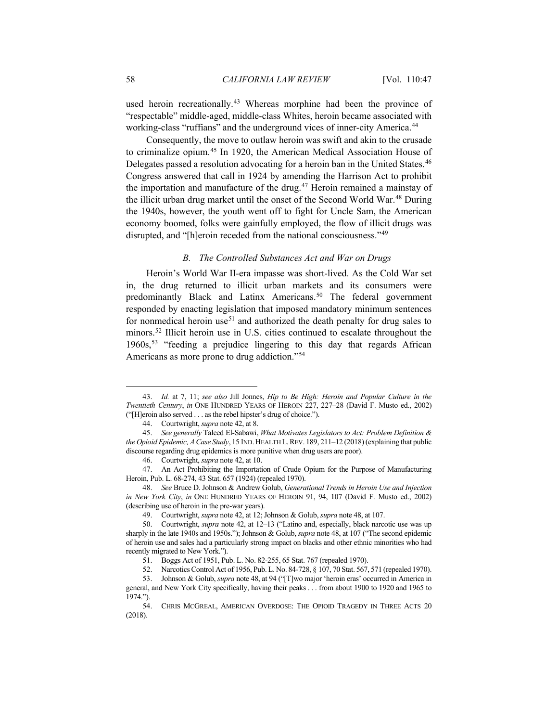used heroin recreationally.<sup>[43](#page-11-1)</sup> Whereas morphine had been the province of "respectable" middle-aged, middle-class Whites, heroin became associated with working-class "ruffians" and the underground vices of inner-city America.<sup>[44](#page-11-2)</sup>

Consequently, the move to outlaw heroin was swift and akin to the crusade to criminalize opium. [45](#page-11-3) In 1920, the American Medical Association House of Delegates passed a resolution advocating for a heroin ban in the United States.<sup>[46](#page-11-4)</sup> Congress answered that call in 1924 by amending the Harrison Act to prohibit the importation and manufacture of the drug. [47](#page-11-5) Heroin remained a mainstay of the illicit urban drug market until the onset of the Second World War.[48](#page-11-6) During the 1940s, however, the youth went off to fight for Uncle Sam, the American economy boomed, folks were gainfully employed, the flow of illicit drugs was disrupted, and "[h]eroin receded from the national consciousness."<sup>[49](#page-11-7)</sup>

## <span id="page-11-13"></span><span id="page-11-0"></span>*B. The Controlled Substances Act and War on Drugs*

Heroin's World War II-era impasse was short-lived. As the Cold War set in, the drug returned to illicit urban markets and its consumers were predominantly Black and Latinx Americans.<sup>[50](#page-11-8)</sup> The federal government responded by enacting legislation that imposed mandatory minimum sentences for nonmedical heroin use<sup>[51](#page-11-9)</sup> and authorized the death penalty for drug sales to minors.[52](#page-11-10) Illicit heroin use in U.S. cities continued to escalate throughout the 1960s[,53](#page-11-11) "feeding a prejudice lingering to this day that regards African Americans as more prone to drug addiction."[54](#page-11-12)

<span id="page-11-1"></span><sup>43.</sup> *Id.* at 7, 11; *see also* Jill Jonnes, *Hip to Be High: Heroin and Popular Culture in the Twentieth Century*, *in* ONE HUNDRED YEARS OF HEROIN 227, 227–28 (David F. Musto ed., 2002) ("[H]eroin also served . . . as the rebel hipster's drug of choice.").

<sup>44.</sup> Courtwright, *supra* not[e 42,](#page-10-7) at 8.

<span id="page-11-3"></span><span id="page-11-2"></span><sup>45.</sup> *See generally* Taleed El-Sabawi, *What Motivates Legislators to Act: Problem Definition & the Opioid Epidemic, A Case Study*, 15 IND.HEALTH L.REV. 189, 211–12 (2018) (explaining that public discourse regarding drug epidemics is more punitive when drug users are poor).

<sup>46.</sup> Courtwright, *supra* not[e 42,](#page-10-7) at 10.

<span id="page-11-5"></span><span id="page-11-4"></span><sup>47.</sup> An Act Prohibiting the Importation of Crude Opium for the Purpose of Manufacturing Heroin, Pub. L. 68-274, 43 Stat. 657 (1924) (repealed 1970).

<span id="page-11-6"></span><sup>48.</sup> *See* Bruce D. Johnson & Andrew Golub, *Generational Trends in Heroin Use and Injection in New York City*, *in* ONE HUNDRED YEARS OF HEROIN 91, 94, 107 (David F. Musto ed., 2002) (describing use of heroin in the pre-war years).

<sup>49.</sup> Courtwright, *supra* not[e 42,](#page-10-7) at 12; Johnson & Golub, *supra* not[e 48,](#page-11-0) at 107.

<span id="page-11-8"></span><span id="page-11-7"></span><sup>50.</sup> Courtwright, *supra* not[e 42,](#page-10-7) at 12–13 ("Latino and, especially, black narcotic use was up sharply in the late 1940s and 1950s."); Johnson & Golub, *supra* note [48,](#page-11-0) at 107 ("The second epidemic of heroin use and sales had a particularly strong impact on blacks and other ethnic minorities who had recently migrated to New York.").

<sup>51.</sup> Boggs Act of 1951, Pub. L. No. 82-255, 65 Stat. 767 (repealed 1970).

<sup>52.</sup> Narcotics Control Act of 1956, Pub. L. No. 84-728, § 107, 70 Stat. 567, 571 (repealed 1970).

<span id="page-11-11"></span><span id="page-11-10"></span><span id="page-11-9"></span><sup>53.</sup> Johnson & Golub, *supra* not[e 48,](#page-11-0) at 94 ("[T]wo major 'heroin eras' occurred in America in general, and New York City specifically, having their peaks . . . from about 1900 to 1920 and 1965 to 1974.").

<span id="page-11-12"></span><sup>54.</sup> CHRIS MCGREAL, AMERICAN OVERDOSE: THE OPIOID TRAGEDY IN THREE ACTS 20 (2018).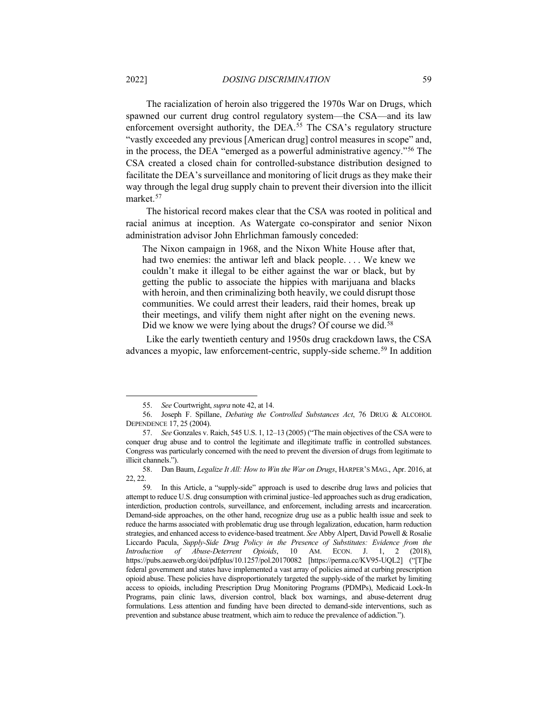The racialization of heroin also triggered the 1970s War on Drugs, which spawned our current drug control regulatory system—the CSA—and its law enforcement oversight authority, the DEA.<sup>[55](#page-12-0)</sup> The CSA's regulatory structure "vastly exceeded any previous [American drug] control measures in scope" and, in the process, the DEA "emerged as a powerful administrative agency.["56](#page-12-1) The CSA created a closed chain for controlled-substance distribution designed to facilitate the DEA's surveillance and monitoring of licit drugs as they make their way through the legal drug supply chain to prevent their diversion into the illicit market.[57](#page-12-2)

The historical record makes clear that the CSA was rooted in political and racial animus at inception. As Watergate co-conspirator and senior Nixon administration advisor John Ehrlichman famously conceded:

The Nixon campaign in 1968, and the Nixon White House after that, had two enemies: the antiwar left and black people. . . . We knew we couldn't make it illegal to be either against the war or black, but by getting the public to associate the hippies with marijuana and blacks with heroin, and then criminalizing both heavily, we could disrupt those communities. We could arrest their leaders, raid their homes, break up their meetings, and vilify them night after night on the evening news. Did we know we were lying about the drugs? Of course we did.<sup>[58](#page-12-3)</sup>

Like the early twentieth century and 1950s drug crackdown laws, the CSA advances a myopic, law enforcement-centric, supply-side scheme.<sup>[59](#page-12-4)</sup> In addition

<sup>55.</sup> *See* Courtwright, *supra* not[e 42,](#page-10-7) at 14.

<span id="page-12-1"></span><span id="page-12-0"></span><sup>56.</sup> Joseph F. Spillane, *Debating the Controlled Substances Act*, 76 DRUG & ALCOHOL DEPENDENCE 17, 25 (2004).

<span id="page-12-2"></span><sup>57.</sup> *See* Gonzales v. Raich, 545 U.S. 1, 12–13 (2005) ("The main objectives of the CSA were to conquer drug abuse and to control the legitimate and illegitimate traffic in controlled substances. Congress was particularly concerned with the need to prevent the diversion of drugs from legitimate to illicit channels.").

<span id="page-12-3"></span><sup>58.</sup> Dan Baum, *Legalize It All: How to Win the War on Drugs*, HARPER'S MAG., Apr. 2016, at  $22, 22.$ <br>59.

<span id="page-12-4"></span>In this Article, a "supply-side" approach is used to describe drug laws and policies that attempt to reduce U.S. drug consumption with criminal justice–led approaches such as drug eradication, interdiction, production controls, surveillance, and enforcement, including arrests and incarceration. Demand-side approaches, on the other hand, recognize drug use as a public health issue and seek to reduce the harms associated with problematic drug use through legalization, education, harm reduction strategies, and enhanced access to evidence-based treatment. *See* Abby Alpert, David Powell & Rosalie Liccardo Pacula, *Supply-Side Drug Policy in the Presence of Substitutes: Evidence from the Introduction of Abuse-Deterrent Opioids*, 10 AM. ECON. J. 1, 2 (2018), https://pubs.aeaweb.org/doi/pdfplus/10.1257/pol.20170082 [https://perma.cc/KV95-UQL2] ("[T]he federal government and states have implemented a vast array of policies aimed at curbing prescription opioid abuse. These policies have disproportionately targeted the supply-side of the market by limiting access to opioids, including Prescription Drug Monitoring Programs (PDMPs), Medicaid Lock-In Programs, pain clinic laws, diversion control, black box warnings, and abuse-deterrent drug formulations. Less attention and funding have been directed to demand-side interventions, such as prevention and substance abuse treatment, which aim to reduce the prevalence of addiction.").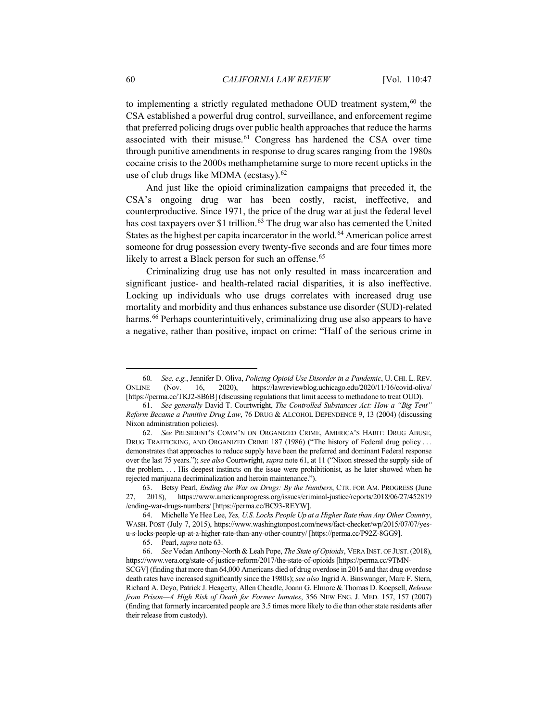<span id="page-13-0"></span>to implementing a strictly regulated methadone OUD treatment system, [60](#page-13-2) the CSA established a powerful drug control, surveillance, and enforcement regime that preferred policing drugs over public health approaches that reduce the harms associated with their misuse.<sup>[61](#page-13-3)</sup> Congress has hardened the CSA over time through punitive amendments in response to drug scares ranging from the 1980s cocaine crisis to the 2000s methamphetamine surge to more recent upticks in the use of club drugs like MDMA (ecstasy).<sup>[62](#page-13-4)</sup>

<span id="page-13-1"></span>And just like the opioid criminalization campaigns that preceded it, the CSA's ongoing drug war has been costly, racist, ineffective, and counterproductive. Since 1971, the price of the drug war at just the federal level has cost taxpayers over \$1 trillion.<sup>[63](#page-13-5)</sup> The drug war also has cemented the United States as the highest per capita incarcerator in the world.<sup>[64](#page-13-6)</sup> American police arrest someone for drug possession every twenty-five seconds and are four times more likely to arrest a Black person for such an offense.<sup>[65](#page-13-7)</sup>

Criminalizing drug use has not only resulted in mass incarceration and significant justice- and health-related racial disparities, it is also ineffective. Locking up individuals who use drugs correlates with increased drug use mortality and morbidity and thus enhances substance use disorder (SUD)-related harms.<sup>[66](#page-13-8)</sup> Perhaps counterintuitively, criminalizing drug use also appears to have a negative, rather than positive, impact on crime: "Half of the serious crime in

<span id="page-13-2"></span><sup>60</sup>*. See, e.g.*, Jennifer D. Oliva, *Policing Opioid Use Disorder in a Pandemic*, U. CHI. L. REV. ONLINE (Nov. 16, 2020), https://lawreviewblog.uchicago.edu/2020/11/16/covid-oliva/ [https://perma.cc/TKJ2-8B6B] (discussing regulations that limit access to methadone to treat OUD).

<span id="page-13-3"></span><sup>61.</sup> *See generally* David T. Courtwright, *The Controlled Substances Act: How a "Big Tent" Reform Became a Punitive Drug Law*, 76 DRUG & ALCOHOL DEPENDENCE 9, 13 (2004) (discussing Nixon administration policies).

<span id="page-13-4"></span><sup>62.</sup> *See* PRESIDENT'S COMM'N ON ORGANIZED CRIME, AMERICA'S HABIT: DRUG ABUSE, DRUG TRAFFICKING, AND ORGANIZED CRIME 187 (1986) ("The history of Federal drug policy . . . demonstrates that approaches to reduce supply have been the preferred and dominant Federal response over the last 75 years."); *see also* Courtwright, *supra* note [61,](#page-13-0) at 11 ("Nixon stressed the supply side of the problem. . . . His deepest instincts on the issue were prohibitionist, as he later showed when he rejected marijuana decriminalization and heroin maintenance.").

<span id="page-13-5"></span><sup>63.</sup> Betsy Pearl, *Ending the War on Drugs: By the Numbers*, CTR. FOR AM. PROGRESS (June 27, 2018), https://www.americanprogress.org/issues/criminal-justice/reports/2018/06/27/452819 /ending-war-drugs-numbers/ [https://perma.cc/BC93-REYW].

<span id="page-13-6"></span><sup>64.</sup> Michelle Ye Hee Lee, *Yes, U.S. Locks People Up at a Higher Rate than Any Other Country*, WASH. POST (July 7, 2015), https://www.washingtonpost.com/news/fact-checker/wp/2015/07/07/yesu-s-locks-people-up-at-a-higher-rate-than-any-other-country/ [https://perma.cc/P92Z-8GG9].

<sup>65.</sup> Pearl, *supra* not[e 63.](#page-13-1)

<span id="page-13-8"></span><span id="page-13-7"></span><sup>66.</sup> *See* Vedan Anthony-North & Leah Pope, *The State of Opioids*, VERA INST. OF JUST.(2018), https://www.vera.org/state-of-justice-reform/2017/the-state-of-opioids [https://perma.cc/9TMN-

SCGV] (finding that more than 64,000 Americans died of drug overdose in 2016 and that drug overdose death rates have increased significantly since the 1980s); *see also* Ingrid A. Binswanger, Marc F. Stern, Richard A. Deyo, Patrick J. Heagerty, Allen Cheadle, Joann G. Elmore & Thomas D. Koepsell, *Release from Prison—A High Risk of Death for Former Inmates*, 356 NEW ENG. J. MED. 157, 157 (2007) (finding that formerly incarcerated people are 3.5 times more likely to die than other state residents after their release from custody).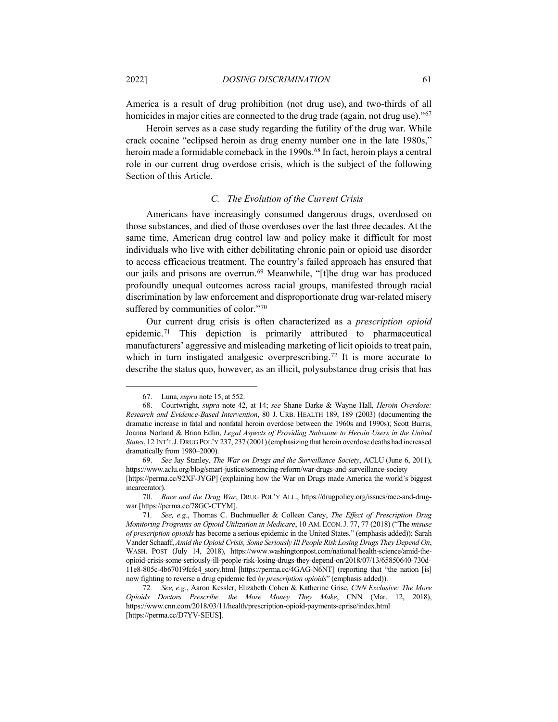America is a result of drug prohibition (not drug use), and two-thirds of all homicides in major cities are connected to the drug trade (again, not drug use)."<sup>[67](#page-14-0)</sup>

Heroin serves as a case study regarding the futility of the drug war. While crack cocaine "eclipsed heroin as drug enemy number one in the late 1980s," heroin made a formidable comeback in the 1990s*.* [68](#page-14-1) In fact, heroin plays a central role in our current drug overdose crisis, which is the subject of the following Section of this Article.

# *C. The Evolution of the Current Crisis*

Americans have increasingly consumed dangerous drugs, overdosed on those substances, and died of those overdoses over the last three decades. At the same time, American drug control law and policy make it difficult for most individuals who live with either debilitating chronic pain or opioid use disorder to access efficacious treatment. The country's failed approach has ensured that our jails and prisons are overrun. [69](#page-14-2) Meanwhile, "[t]he drug war has produced profoundly unequal outcomes across racial groups, manifested through racial discrimination by law enforcement and disproportionate drug war-related misery suffered by communities of color."[70](#page-14-3)

<span id="page-14-6"></span>Our current drug crisis is often characterized as a *prescription opioid* epidemic.<sup>[71](#page-14-4)</sup> This depiction is primarily attributed to pharmaceutical manufacturers' aggressive and misleading marketing of licit opioids to treat pain, which in turn instigated analgesic overprescribing.<sup>[72](#page-14-5)</sup> It is more accurate to describe the status quo, however, as an illicit, polysubstance drug crisis that has

<sup>67.</sup> Luna, *supra* not[e 15,](#page-7-6) at 552.

<span id="page-14-1"></span><span id="page-14-0"></span><sup>68.</sup> Courtwright, *supra* note [42,](#page-10-7) at 14; *see* Shane Darke & Wayne Hall, *Heroin Overdose: Research and Evidence-Based Intervention*, 80 J. URB. HEALTH 189, 189 (2003) (documenting the dramatic increase in fatal and nonfatal heroin overdose between the 1960s and 1990s); Scott Burris, Joanna Norland & Brian Edlin, *Legal Aspects of Providing Naloxone to Heroin Users in the United States*, 12 INT'L J. DRUG POL'Y 237, 237 (2001) (emphasizing that heroin overdose deaths had increased dramatically from 1980–2000).

<span id="page-14-2"></span><sup>69.</sup> *See* Jay Stanley, *The War on Drugs and the Surveillance Society*, ACLU (June 6, 2011), https://www.aclu.org/blog/smart-justice/sentencing-reform/war-drugs-and-surveillance-society [https://perma.cc/92XF-JYGP] (explaining how the War on Drugs made America the world's biggest incarcerator).

<span id="page-14-3"></span><sup>70.</sup> *Race and the Drug War*, DRUG POL'Y ALL., https://drugpolicy.org/issues/race-and-drugwar [https://perma.cc/78GC-CTYM].

<span id="page-14-4"></span><sup>71</sup>*. See, e.g.*, Thomas C. Buchmueller & Colleen Carey, *The Effect of Prescription Drug Monitoring Programs on Opioid Utilization in Medicare*, 10 AM. ECON.J. 77, 77 (2018) ("The *misuse of prescription opioids* has become a serious epidemic in the United States." (emphasis added)); Sarah Vander Schaaff, *Amid the Opioid Crisis, Some Seriously Ill People Risk Losing Drugs They Depend On*, WASH. POST (July 14, 2018), https://www.washingtonpost.com/national/health-science/amid-theopioid-crisis-some-seriously-ill-people-risk-losing-drugs-they-depend-on/2018/07/13/65850640-730d-11e8-805c-4b67019fcfe4\_story.html [https://perma.cc/4GAG-N6NT] (reporting that "the nation [is] now fighting to reverse a drug epidemic fed *by prescription opioids*" (emphasis added)).

<span id="page-14-5"></span><sup>72</sup>*. See, e.g.*, Aaron Kessler, Elizabeth Cohen & Katherine Grise, *CNN Exclusive: The More Opioids Doctors Prescribe, the More Money They Make*, CNN (Mar. 12, 2018), https://www.cnn.com/2018/03/11/health/prescription-opioid-payments-eprise/index.html [https://perma.cc/D7YV-SEUS].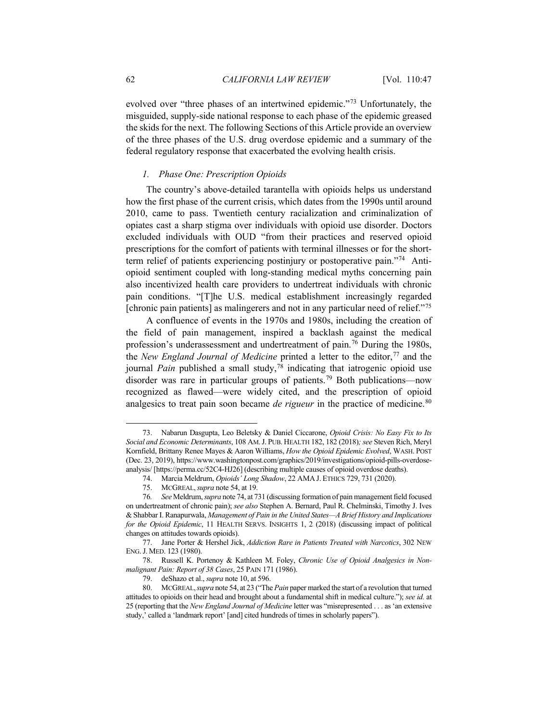evolved over "three phases of an intertwined epidemic."[73](#page-15-1) Unfortunately, the misguided, supply-side national response to each phase of the epidemic greased the skids for the next. The following Sections of this Article provide an overview of the three phases of the U.S. drug overdose epidemic and a summary of the federal regulatory response that exacerbated the evolving health crisis.

#### <span id="page-15-10"></span><span id="page-15-0"></span>*1. Phase One: Prescription Opioids*

The country's above-detailed tarantella with opioids helps us understand how the first phase of the current crisis, which dates from the 1990s until around 2010, came to pass. Twentieth century racialization and criminalization of opiates cast a sharp stigma over individuals with opioid use disorder. Doctors excluded individuals with OUD "from their practices and reserved opioid prescriptions for the comfort of patients with terminal illnesses or for the shortterm relief of patients experiencing postinjury or postoperative pain."[74](#page-15-2) Antiopioid sentiment coupled with long-standing medical myths concerning pain also incentivized health care providers to undertreat individuals with chronic pain conditions. "[T]he U.S. medical establishment increasingly regarded [chronic pain patients] as malingerers and not in any particular need of relief."[75](#page-15-3)

<span id="page-15-9"></span>A confluence of events in the 1970s and 1980s, including the creation of the field of pain management, inspired a backlash against the medical profession's underassessment and undertreatment of pain.[76](#page-15-4) During the 1980s, the *New England Journal of Medicine* printed a letter to the editor, [77](#page-15-5) and the journal *Pain* published a small study, [78](#page-15-6) indicating that iatrogenic opioid use disorder was rare in particular groups of patients.[79](#page-15-7) Both publications—now recognized as flawed—were widely cited, and the prescription of opioid analgesics to treat pain soon became *de rigueur* in the practice of medicine.<sup>[80](#page-15-8)</sup>

<span id="page-15-1"></span><sup>73.</sup> Nabarun Dasgupta, Leo Beletsky & Daniel Ciccarone, *Opioid Crisis: No Easy Fix to Its Social and Economic Determinants*, 108 AM.J. PUB. HEALTH 182, 182 (2018)*; see* Steven Rich, Meryl Kornfield, Brittany Renee Mayes & Aaron Williams, *How the Opioid Epidemic Evolved*, WASH. POST (Dec. 23, 2019), https://www.washingtonpost.com/graphics/2019/investigations/opioid-pills-overdoseanalysis/ [https://perma.cc/52C4-HJ26] (describing multiple causes of opioid overdose deaths).

<sup>74.</sup> Marcia Meldrum, *Opioids' Long Shadow*, 22 AMA J. ETHICS 729, 731 (2020).

<sup>75.</sup> MCGREAL,*supra* not[e 54,](#page-11-13) at 19.

<span id="page-15-4"></span><span id="page-15-3"></span><span id="page-15-2"></span><sup>76</sup>*. See* Meldrum,*supra* not[e 74,](#page-15-0) at 731 (discussing formation of pain management field focused on undertreatment of chronic pain); *see also* Stephen A. Bernard, Paul R. Chelminski, Timothy J. Ives & Shabbar I. Ranapurwala, *Management of Pain in the United States—A Brief History and Implications for the Opioid Epidemic*, 11 HEALTH SERVS. INSIGHTS 1, 2 (2018) (discussing impact of political changes on attitudes towards opioids).

<span id="page-15-5"></span><sup>77.</sup> Jane Porter & Hershel Jick, *Addiction Rare in Patients Treated with Narcotics*, 302 NEW ENG.J. MED. 123 (1980).

<span id="page-15-6"></span><sup>78.</sup> Russell K. Portenoy & Kathleen M. Foley, *Chronic Use of Opioid Analgesics in Nonmalignant Pain: Report of 38 Cases*, 25 PAIN 171 (1986).

<sup>79.</sup> deShazo et al., *supra* not[e 10,](#page-6-6) at 596.

<span id="page-15-8"></span><span id="page-15-7"></span><sup>80.</sup> MCGREAL,*supra* not[e 54,](#page-11-13) at 23 ("The *Pain* paper marked the start of a revolution that turned attitudes to opioids on their head and brought about a fundamental shift in medical culture."); *see id.* at 25 (reporting that the *New England Journal of Medicine* letter was "misrepresented . . . as 'an extensive study,' called a 'landmark report' [and] cited hundreds of times in scholarly papers").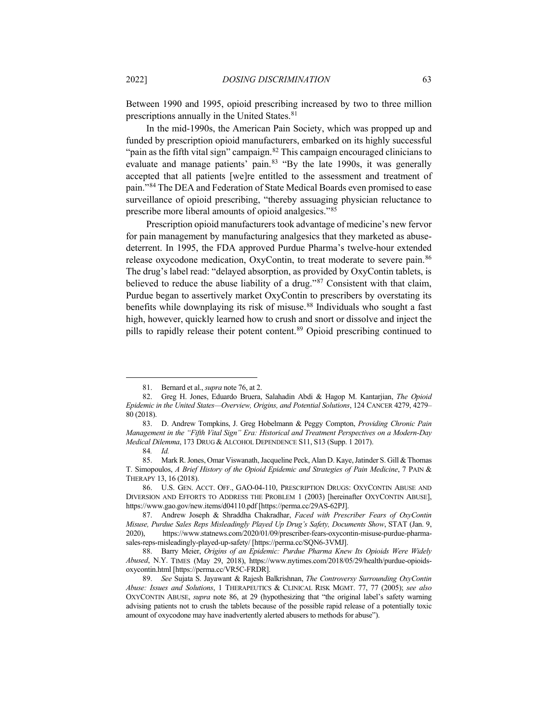Between 1990 and 1995, opioid prescribing increased by two to three million prescriptions annually in the United States.<sup>[81](#page-16-1)</sup>

<span id="page-16-10"></span>In the mid-1990s, the American Pain Society, which was propped up and funded by prescription opioid manufacturers, embarked on its highly successful "pain as the fifth vital sign" campaign.<sup>[82](#page-16-2)</sup> This campaign encouraged clinicians to evaluate and manage patients' pain.[83](#page-16-3) "By the late 1990s, it was generally accepted that all patients [we]re entitled to the assessment and treatment of pain."[84](#page-16-4) The DEA and Federation of State Medical Boards even promised to ease surveillance of opioid prescribing, "thereby assuaging physician reluctance to prescribe more liberal amounts of opioid analgesics."[85](#page-16-5)

<span id="page-16-0"></span>Prescription opioid manufacturers took advantage of medicine's new fervor for pain management by manufacturing analgesics that they marketed as abusedeterrent. In 1995, the FDA approved Purdue Pharma's twelve-hour extended release oxycodone medication, OxyContin, to treat moderate to severe pain.<sup>[86](#page-16-6)</sup> The drug's label read: "delayed absorption, as provided by OxyContin tablets, is believed to reduce the abuse liability of a drug."[87](#page-16-7) Consistent with that claim, Purdue began to assertively market OxyContin to prescribers by overstating its benefits while downplaying its risk of misuse.<sup>[88](#page-16-8)</sup> Individuals who sought a fast high, however, quickly learned how to crush and snort or dissolve and inject the pills to rapidly release their potent content.<sup>[89](#page-16-9)</sup> Opioid prescribing continued to

<sup>81.</sup> Bernard et al., *supra* not[e 76,](#page-15-9) at 2.

<span id="page-16-2"></span><span id="page-16-1"></span><sup>82.</sup> Greg H. Jones, Eduardo Bruera, Salahadin Abdi & Hagop M. Kantarjian, *The Opioid Epidemic in the United States—Overview, Origins, and Potential Solutions*, 124 CANCER 4279, 4279– 80 (2018).

<span id="page-16-3"></span><sup>83.</sup> D. Andrew Tompkins, J. Greg Hobelmann & Peggy Compton, *Providing Chronic Pain Management in the "Fifth Vital Sign" Era: Historical and Treatment Perspectives on a Modern-Day Medical Dilemma*, 173 DRUG & ALCOHOL DEPENDENCE S11, S13 (Supp. 1 2017).

<sup>84</sup>*. Id.*

<span id="page-16-5"></span><span id="page-16-4"></span><sup>85.</sup> Mark R. Jones, Omar Viswanath, Jacqueline Peck, Alan D. Kaye, Jatinder S. Gill & Thomas T. Simopoulos, *A Brief History of the Opioid Epidemic and Strategies of Pain Medicine*, 7 PAIN & THERAPY 13, 16 (2018).

<span id="page-16-6"></span><sup>86.</sup> U.S. GEN. ACCT. OFF., GAO-04-110, PRESCRIPTION DRUGS: OXYCONTIN ABUSE AND DIVERSION AND EFFORTS TO ADDRESS THE PROBLEM 1 (2003) [hereinafter OXYCONTIN ABUSE], https://www.gao.gov/new.items/d04110.pdf [https://perma.cc/29AS-62PJ].

<span id="page-16-7"></span><sup>87.</sup> Andrew Joseph & Shraddha Chakradhar, *Faced with Prescriber Fears of OxyContin Misuse, Purdue Sales Reps Misleadingly Played Up Drug's Safety, Documents Show*, STAT (Jan. 9, 2020), https://www.statnews.com/2020/01/09/prescriber-fears-oxycontin-misuse-purdue-pharmasales-reps-misleadingly-played-up-safety/ [https://perma.cc/SQN6-3VMJ].

<span id="page-16-8"></span><sup>88.</sup> Barry Meier, *Origins of an Epidemic: Purdue Pharma Knew Its Opioids Were Widely Abused*, N.Y. TIMES (May 29, 2018), https://www.nytimes.com/2018/05/29/health/purdue-opioidsoxycontin.html [https://perma.cc/VR5C-FRDR].

<span id="page-16-9"></span><sup>89.</sup> *See* Sujata S. Jayawant & Rajesh Balkrishnan, *The Controversy Surrounding OxyContin Abuse: Issues and Solutions*, 1 THERAPEUTICS & CLINICAL RISK MGMT. 77, 77 (2005); *see also*  OXYCONTIN ABUSE, *supra* note [86,](#page-16-0) at 29 (hypothesizing that "the original label's safety warning advising patients not to crush the tablets because of the possible rapid release of a potentially toxic amount of oxycodone may have inadvertently alerted abusers to methods for abuse").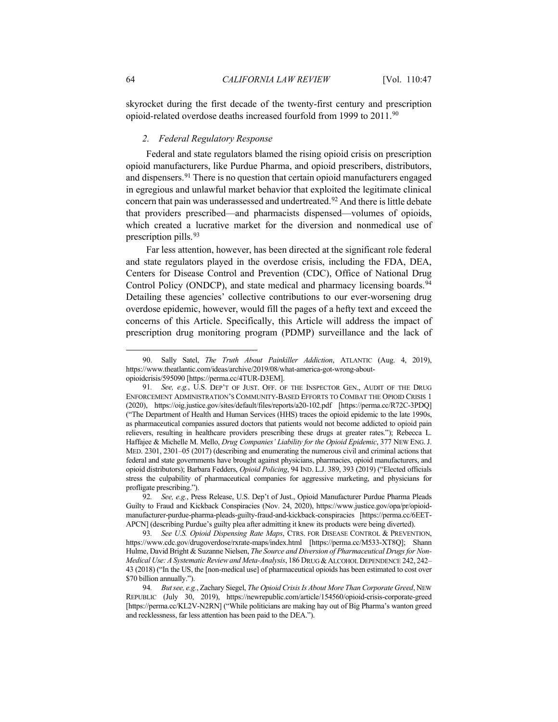skyrocket during the first decade of the twenty-first century and prescription opioid-related overdose deaths increased fourfold from 1999 to 2011.<sup>[90](#page-17-0)</sup>

#### <span id="page-17-5"></span>*2. Federal Regulatory Response*

Federal and state regulators blamed the rising opioid crisis on prescription opioid manufacturers, like Purdue Pharma, and opioid prescribers, distributors, and dispensers.<sup>[91](#page-17-1)</sup> There is no question that certain opioid manufacturers engaged in egregious and unlawful market behavior that exploited the legitimate clinical concern that pain was underassessed and undertreated.<sup>[92](#page-17-2)</sup> And there is little debate that providers prescribed—and pharmacists dispensed—volumes of opioids, which created a lucrative market for the diversion and nonmedical use of prescription pills.<sup>[93](#page-17-3)</sup>

Far less attention, however, has been directed at the significant role federal and state regulators played in the overdose crisis, including the FDA, DEA, Centers for Disease Control and Prevention (CDC), Office of National Drug Control Policy (ONDCP), and state medical and pharmacy licensing boards.<sup>[94](#page-17-4)</sup> Detailing these agencies' collective contributions to our ever-worsening drug overdose epidemic, however, would fill the pages of a hefty text and exceed the concerns of this Article. Specifically, this Article will address the impact of prescription drug monitoring program (PDMP) surveillance and the lack of

<span id="page-17-0"></span><sup>90.</sup> Sally Satel, *The Truth About Painkiller Addiction*, ATLANTIC (Aug. 4, 2019), https://www.theatlantic.com/ideas/archive/2019/08/what-america-got-wrong-aboutopioidcrisis/595090 [https://perma.cc/4TUR-D3EM].

<span id="page-17-1"></span><sup>91</sup>*. See, e.g.*, U.S. DEP'T OF JUST. OFF. OF THE INSPECTOR GEN., AUDIT OF THE DRUG ENFORCEMENT ADMINISTRATION'S COMMUNITY-BASED EFFORTS TO COMBAT THE OPIOID CRISIS 1 (2020), https://oig.justice.gov/sites/default/files/reports/a20-102.pdf [https://perma.cc/R72C-3PDQ] ("The Department of Health and Human Services (HHS) traces the opioid epidemic to the late 1990s, as pharmaceutical companies assured doctors that patients would not become addicted to opioid pain relievers, resulting in healthcare providers prescribing these drugs at greater rates."); Rebecca L. Haffajee & Michelle M. Mello, *Drug Companies' Liability for the Opioid Epidemic*, 377 NEW ENG.J. MED. 2301, 2301–05 (2017) (describing and enumerating the numerous civil and criminal actions that federal and state governments have brought against physicians, pharmacies, opioid manufacturers, and opioid distributors); Barbara Fedders, *Opioid Policing*, 94 IND. L.J. 389, 393 (2019) ("Elected officials stress the culpability of pharmaceutical companies for aggressive marketing, and physicians for profligate prescribing.").

<span id="page-17-2"></span><sup>92</sup>*. See, e.g.*, Press Release, U.S. Dep't of Just., Opioid Manufacturer Purdue Pharma Pleads Guilty to Fraud and Kickback Conspiracies (Nov. 24, 2020), https://www.justice.gov/opa/pr/opioidmanufacturer-purdue-pharma-pleads-guilty-fraud-and-kickback-conspiracies [https://perma.cc/6EET-APCN] (describing Purdue's guilty plea after admitting it knew its products were being diverted).

<span id="page-17-3"></span><sup>93</sup>*. See U.S. Opioid Dispensing Rate Maps*, CTRS. FOR DISEASE CONTROL & PREVENTION, https://www.cdc.gov/drugoverdose/rxrate-maps/index.html [https://perma.cc/M533-XT8Q]; Shann Hulme, David Bright & Suzanne Nielsen, *The Source and Diversion of Pharmaceutical Drugs for Non-Medical Use: A Systematic Review and Meta-Analysis*, 186 DRUG &ALCOHOL DEPENDENCE 242, 242– 43 (2018) ("In the US, the [non-medical use] of pharmaceutical opioids has been estimated to cost over \$70 billion annually.").

<span id="page-17-4"></span><sup>94</sup>*. But see, e.g.*, Zachary Siegel, *The Opioid Crisis Is About More Than Corporate Greed*, NEW REPUBLIC (July 30, 2019), https://newrepublic.com/article/154560/opioid-crisis-corporate-greed [https://perma.cc/KL2V-N2RN] ("While politicians are making hay out of Big Pharma's wanton greed and recklessness, far less attention has been paid to the DEA.").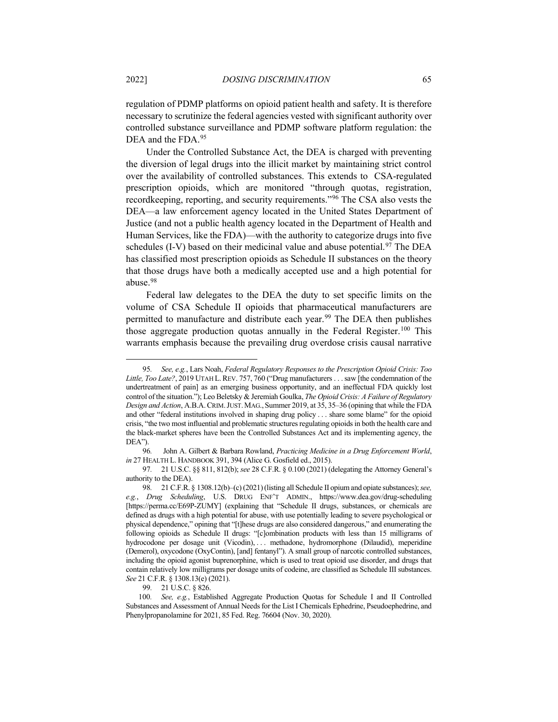regulation of PDMP platforms on opioid patient health and safety. It is therefore necessary to scrutinize the federal agencies vested with significant authority over controlled substance surveillance and PDMP software platform regulation: the DEA and the FDA.<sup>[95](#page-18-0)</sup>

<span id="page-18-6"></span>Under the Controlled Substance Act, the DEA is charged with preventing the diversion of legal drugs into the illicit market by maintaining strict control over the availability of controlled substances. This extends to CSA-regulated prescription opioids, which are monitored "through quotas, registration, recordkeeping, reporting, and security requirements."[96](#page-18-1) The CSA also vests the DEA—a law enforcement agency located in the United States Department of Justice (and not a public health agency located in the Department of Health and Human Services, like the FDA)—with the authority to categorize drugs into five schedules (I-V) based on their medicinal value and abuse potential.<sup>[97](#page-18-2)</sup> The DEA has classified most prescription opioids as Schedule II substances on the theory that those drugs have both a medically accepted use and a high potential for abuse.[98](#page-18-3)

Federal law delegates to the DEA the duty to set specific limits on the volume of CSA Schedule II opioids that pharmaceutical manufacturers are permitted to manufacture and distribute each year.<sup>99</sup> The DEA then publishes those aggregate production quotas annually in the Federal Register.<sup>[100](#page-18-5)</sup> This warrants emphasis because the prevailing drug overdose crisis causal narrative

<span id="page-18-0"></span><sup>95</sup>*. See, e.g.*, Lars Noah, *Federal Regulatory Responses to the Prescription Opioid Crisis: Too Little, Too Late?*, 2019 UTAH L.REV. 757, 760 ("Drug manufacturers . . .saw [the condemnation of the undertreatment of pain] as an emerging business opportunity, and an ineffectual FDA quickly lost control of the situation."); Leo Beletsky & Jeremiah Goulka, *The Opioid Crisis: A Failure of Regulatory Design and Action*, A.B.A.CRIM.JUST.MAG., Summer 2019, at 35, 35–36 (opining that while the FDA and other "federal institutions involved in shaping drug policy . . . share some blame" for the opioid crisis, "the two most influential and problematic structures regulating opioids in both the health care and the black-market spheres have been the Controlled Substances Act and its implementing agency, the DEA").

<span id="page-18-1"></span><sup>96</sup>*.* John A. Gilbert & Barbara Rowland, *Practicing Medicine in a Drug Enforcement World*, *in* 27 HEALTH L. HANDBOOK 391, 394 (Alice G. Gosfield ed., 2015).

<span id="page-18-2"></span><sup>97</sup>*.* 21 U.S.C. §§ 811, 812(b); *see* 28 C.F.R. § 0.100 (2021) (delegating the Attorney General's authority to the DEA).

<span id="page-18-3"></span><sup>98</sup>*.* 21 C.F.R. § 1308.12(b)–(c) (2021)(listing all Schedule II opium and opiate substances); *see, e.g.*, *Drug Scheduling*, U.S. DRUG ENF'T ADMIN., https://www.dea.gov/drug-scheduling [https://perma.cc/E69P-ZUMY] (explaining that "Schedule II drugs, substances, or chemicals are defined as drugs with a high potential for abuse, with use potentially leading to severe psychological or physical dependence," opining that "[t]hese drugs are also considered dangerous," and enumerating the following opioids as Schedule II drugs: "[c]ombination products with less than 15 milligrams of hydrocodone per dosage unit (Vicodin), ... methadone, hydromorphone (Dilaudid), meperidine (Demerol), oxycodone (OxyContin), [and] fentanyl"). A small group of narcotic controlled substances, including the opioid agonist buprenorphine, which is used to treat opioid use disorder, and drugs that contain relatively low milligrams per dosage units of codeine, are classified as Schedule III substances. *See* 21 C.F.R. § 1308.13(e) (2021).

<sup>99</sup>*.* 21 U.S.C. § 826.

<span id="page-18-5"></span><span id="page-18-4"></span><sup>100</sup>*. See, e.g.*, Established Aggregate Production Quotas for Schedule I and II Controlled Substances and Assessment of Annual Needs for the List I Chemicals Ephedrine, Pseudoephedrine, and Phenylpropanolamine for 2021, 85 Fed. Reg. 76604 (Nov. 30, 2020).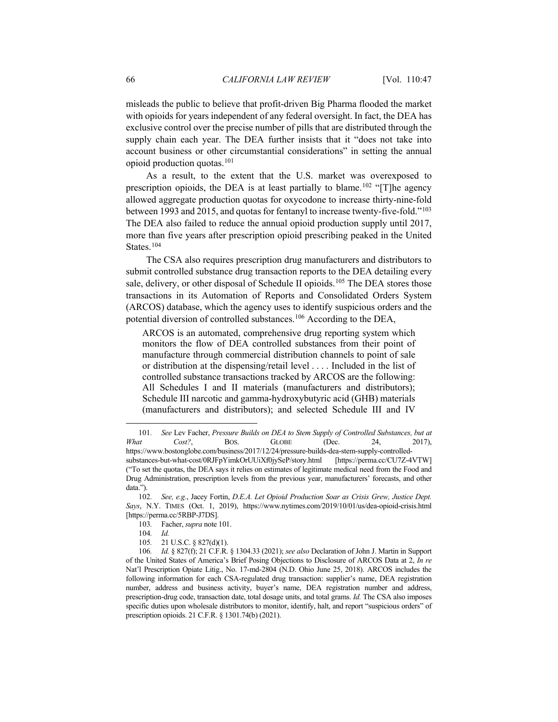misleads the public to believe that profit-driven Big Pharma flooded the market with opioids for years independent of any federal oversight. In fact, the DEA has exclusive control over the precise number of pills that are distributed through the supply chain each year. The DEA further insists that it "does not take into account business or other circumstantial considerations" in setting the annual opioid production quotas[.101](#page-19-1)

<span id="page-19-0"></span>As a result, to the extent that the U.S. market was overexposed to prescription opioids, the DEA is at least partially to blame.<sup>[102](#page-19-2)</sup> "[T]he agency allowed aggregate production quotas for oxycodone to increase thirty-nine-fold between 1993 and 2015, and quotas for fentanyl to increase twenty-five-fold."[103](#page-19-3) The DEA also failed to reduce the annual opioid production supply until 2017, more than five years after prescription opioid prescribing peaked in the United States.<sup>[104](#page-19-4)</sup>

The CSA also requires prescription drug manufacturers and distributors to submit controlled substance drug transaction reports to the DEA detailing every sale, delivery, or other disposal of Schedule II opioids.<sup>[105](#page-19-5)</sup> The DEA stores those transactions in its Automation of Reports and Consolidated Orders System (ARCOS) database, which the agency uses to identify suspicious orders and the potential diversion of controlled substances.[106](#page-19-6) According to the DEA,

<span id="page-19-7"></span>ARCOS is an automated, comprehensive drug reporting system which monitors the flow of DEA controlled substances from their point of manufacture through commercial distribution channels to point of sale or distribution at the dispensing/retail level . . . . Included in the list of controlled substance transactions tracked by ARCOS are the following: All Schedules I and II materials (manufacturers and distributors); Schedule III narcotic and gamma-hydroxybutyric acid (GHB) materials (manufacturers and distributors); and selected Schedule III and IV

<span id="page-19-1"></span><sup>101</sup>*. See* Lev Facher, *Pressure Builds on DEA to Stem Supply of Controlled Substances, but at What Cost?*, BOS. GLOBE (Dec. 24, 2017), https://www.bostonglobe.com/business/2017/12/24/pressure-builds-dea-stem-supply-controlledsubstances-but-what-cost/0RJFpYimkOrUUiXf0jySeP/story.html [https://perma.cc/CU7Z-4VTW] ("To set the quotas, the DEA says it relies on estimates of legitimate medical need from the Food and Drug Administration, prescription levels from the previous year, manufacturers' forecasts, and other data.").

<span id="page-19-3"></span><span id="page-19-2"></span><sup>102</sup>*. See, e.g.*, Jacey Fortin, *D.E.A. Let Opioid Production Soar as Crisis Grew, Justice Dept. Says*, N.Y. TIMES (Oct. 1, 2019), https://www.nytimes.com/2019/10/01/us/dea-opioid-crisis.html [https://perma.cc/5RBP-J7DS].

<sup>103</sup>*.* Facher, *supra* not[e 101.](#page-19-0)

<sup>104</sup>*. Id.*

<sup>105</sup>*.* 21 U.S.C. § 827(d)(1).

<span id="page-19-6"></span><span id="page-19-5"></span><span id="page-19-4"></span><sup>106</sup>*. Id.* § 827(f); 21 C.F.R. § 1304.33 (2021); *see also* Declaration of John J. Martin in Support of the United States of America's Brief Posing Objections to Disclosure of ARCOS Data at 2, *In re* Nat'l Prescription Opiate Litig., No. 17-md-2804 (N.D. Ohio June 25, 2018). ARCOS includes the following information for each CSA-regulated drug transaction: supplier's name, DEA registration number, address and business activity, buyer's name, DEA registration number and address, prescription-drug code, transaction date, total dosage units, and total grams. *Id.* The CSA also imposes specific duties upon wholesale distributors to monitor, identify, halt, and report "suspicious orders" of prescription opioids. 21 C.F.R. § 1301.74(b) (2021).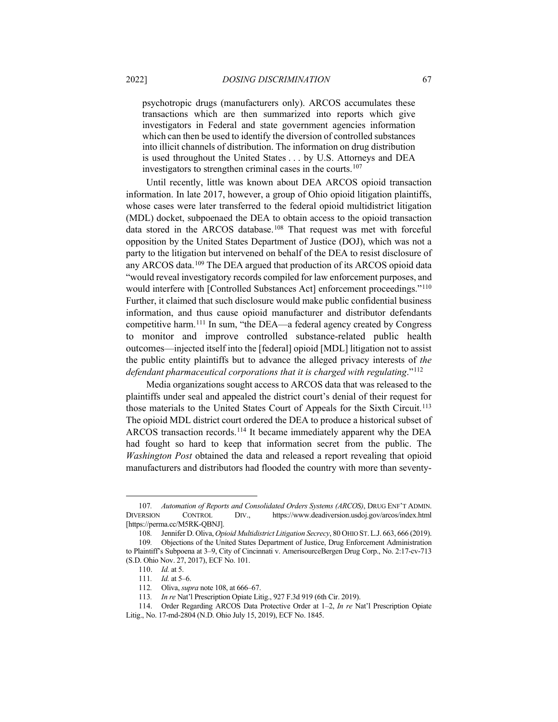<span id="page-20-9"></span>psychotropic drugs (manufacturers only). ARCOS accumulates these transactions which are then summarized into reports which give investigators in Federal and state government agencies information which can then be used to identify the diversion of controlled substances into illicit channels of distribution. The information on drug distribution is used throughout the United States . . . by U.S. Attorneys and DEA investigators to strengthen criminal cases in the courts.[107](#page-20-1)

<span id="page-20-0"></span>Until recently, little was known about DEA ARCOS opioid transaction information. In late 2017, however, a group of Ohio opioid litigation plaintiffs, whose cases were later transferred to the federal opioid multidistrict litigation (MDL) docket, subpoenaed the DEA to obtain access to the opioid transaction data stored in the ARCOS database.[108](#page-20-2) That request was met with forceful opposition by the United States Department of Justice (DOJ), which was not a party to the litigation but intervened on behalf of the DEA to resist disclosure of any ARCOS data.<sup>[109](#page-20-3)</sup> The DEA argued that production of its ARCOS opioid data "would reveal investigatory records compiled for law enforcement purposes, and would interfere with [Controlled Substances Act] enforcement proceedings."<sup>[110](#page-20-4)</sup> Further, it claimed that such disclosure would make public confidential business information, and thus cause opioid manufacturer and distributor defendants competitive harm.<sup>[111](#page-20-5)</sup> In sum, "the DEA—a federal agency created by Congress to monitor and improve controlled substance-related public health outcomes—injected itself into the [federal] opioid [MDL] litigation not to assist the public entity plaintiffs but to advance the alleged privacy interests of *the defendant pharmaceutical corporations that it is charged with regulating*."[112](#page-20-6)

Media organizations sought access to ARCOS data that was released to the plaintiffs under seal and appealed the district court's denial of their request for those materials to the United States Court of Appeals for the Sixth Circuit.<sup>113</sup> The opioid MDL district court ordered the DEA to produce a historical subset of ARCOS transaction records.[114](#page-20-8) It became immediately apparent why the DEA had fought so hard to keep that information secret from the public. The *Washington Post* obtained the data and released a report revealing that opioid manufacturers and distributors had flooded the country with more than seventy-

<span id="page-20-1"></span><sup>107</sup>*. Automation of Reports and Consolidated Orders Systems (ARCOS)*, DRUG ENF'T ADMIN. DIVERSION CONTROL DIV., https://www.deadiversion.usdoj.gov/arcos/index.html [https://perma.cc/M5RK-QBNJ].

<span id="page-20-4"></span><span id="page-20-3"></span><span id="page-20-2"></span><sup>108</sup>*.* Jennifer D. Oliva, *Opioid Multidistrict Litigation Secrecy*, 80 OHIO ST.L.J. 663, 666 (2019). 109*.* Objections of the United States Department of Justice, Drug Enforcement Administration to Plaintiff's Subpoena at 3–9, City of Cincinnati v. AmerisourceBergen Drug Corp., No. 2:17-cv-713 (S.D. Ohio Nov. 27, 2017), ECF No. 101.

<sup>110.</sup> *Id.* at 5.

<sup>111</sup>*. Id.* at 5–6.

<sup>112</sup>*.* Oliva, *supra* not[e 108,](#page-20-0) at 666–67.

<sup>113</sup>*. In re* Nat'l Prescription Opiate Litig., 927 F.3d 919 (6th Cir. 2019).

<span id="page-20-8"></span><span id="page-20-7"></span><span id="page-20-6"></span><span id="page-20-5"></span><sup>114.</sup> Order Regarding ARCOS Data Protective Order at 1–2, *In re* Nat'l Prescription Opiate Litig., No. 17-md-2804 (N.D. Ohio July 15, 2019), ECF No. 1845.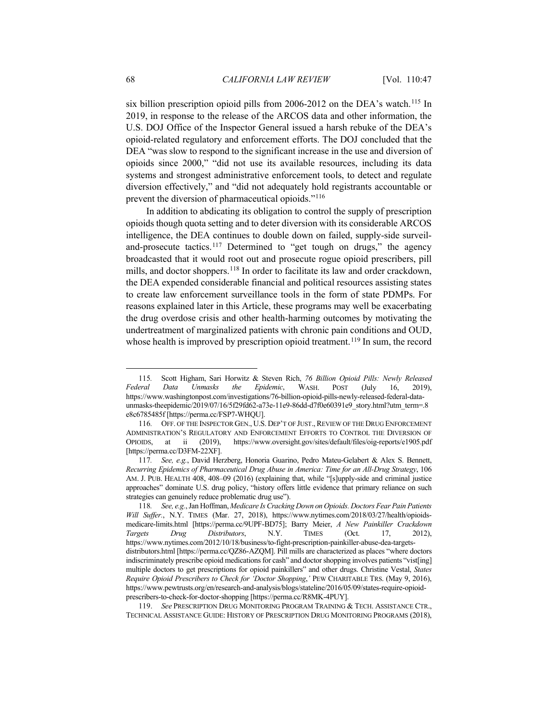six billion prescription opioid pills from 2006-2012 on the DEA's watch.<sup>[115](#page-21-0)</sup> In 2019, in response to the release of the ARCOS data and other information, the U.S. DOJ Office of the Inspector General issued a harsh rebuke of the DEA's opioid-related regulatory and enforcement efforts. The DOJ concluded that the DEA "was slow to respond to the significant increase in the use and diversion of opioids since 2000," "did not use its available resources, including its data systems and strongest administrative enforcement tools, to detect and regulate diversion effectively," and "did not adequately hold registrants accountable or prevent the diversion of pharmaceutical opioids."[116](#page-21-1)

<span id="page-21-5"></span>In addition to abdicating its obligation to control the supply of prescription opioids though quota setting and to deter diversion with its considerable ARCOS intelligence, the DEA continues to double down on failed, supply-side surveil-and-prosecute tactics.<sup>[117](#page-21-2)</sup> Determined to "get tough on drugs," the agency broadcasted that it would root out and prosecute rogue opioid prescribers, pill mills, and doctor shoppers.<sup>[118](#page-21-3)</sup> In order to facilitate its law and order crackdown, the DEA expended considerable financial and political resources assisting states to create law enforcement surveillance tools in the form of state PDMPs. For reasons explained later in this Article, these programs may well be exacerbating the drug overdose crisis and other health-harming outcomes by motivating the undertreatment of marginalized patients with chronic pain conditions and OUD, whose health is improved by prescription opioid treatment.<sup>[119](#page-21-4)</sup> In sum, the record

<span id="page-21-0"></span><sup>115</sup>*.* Scott Higham, Sari Horwitz & Steven Rich, *76 Billion Opioid Pills: Newly Released Federal Data Unmasks the Epidemic*, WASH. POST (July 16, 2019), https://www.washingtonpost.com/investigations/76-billion-opioid-pills-newly-released-federal-dataunmasks-theepidemic/2019/07/16/5f29fd62-a73e-11e9-86dd-d7f0e60391e9\_story.html?utm\_term=.8 e8c6785485f [https://perma.cc/FSP7-WHQU].

<span id="page-21-1"></span><sup>116</sup>*.* OFF. OF THE INSPECTOR GEN., U.S. DEP'T OF JUST., REVIEW OF THE DRUG ENFORCEMENT ADMINISTRATION'S REGULATORY AND ENFORCEMENT EFFORTS TO CONTROL THE DIVERSION OF OPIOIDS, at ii (2019), https://www.oversight.gov/sites/default/files/oig-reports/e1905.pdf [https://perma.cc/D3FM-22XF].

<span id="page-21-2"></span><sup>117</sup>*. See, e.g.*, David Herzberg, Honoria Guarino, Pedro Mateu-Gelabert & Alex S. Bennett, *Recurring Epidemics of Pharmaceutical Drug Abuse in America: Time for an All-Drug Strategy*, 106 AM. J. PUB. HEALTH 408, 408–09 (2016) (explaining that, while "[s]upply-side and criminal justice approaches" dominate U.S. drug policy, "history offers little evidence that primary reliance on such strategies can genuinely reduce problematic drug use").

<span id="page-21-3"></span><sup>118</sup>*. See, e.g.*, Jan Hoffman, *Medicare Is Cracking Down on Opioids. Doctors Fear Pain Patients Will Suffer.*, N.Y. TIMES (Mar. 27, 2018), https://www.nytimes.com/2018/03/27/health/opioidsmedicare-limits.html [https://perma.cc/9UPF-BD75]; Barry Meier, *A New Painkiller Crackdown Targets Drug Distributors*, N.Y. TIMES (Oct. 17, 2012), https://www.nytimes.com/2012/10/18/business/to-fight-prescription-painkiller-abuse-dea-targetsdistributors.html [https://perma.cc/QZ86-AZQM]. Pill mills are characterized as places "where doctors indiscriminately prescribe opioid medications for cash" and doctor shopping involves patients "vist[ing] multiple doctors to get prescriptions for opioid painkillers" and other drugs. Christine Vestal, *States Require Opioid Prescribers to Check for 'Doctor Shopping*,*'* PEW CHARITABLE TRS. (May 9, 2016), https://www.pewtrusts.org/en/research-and-analysis/blogs/stateline/2016/05/09/states-require-opioidprescribers-to-check-for-doctor-shopping [https://perma.cc/R8MK-4PUY].

<span id="page-21-4"></span><sup>119.</sup> *See* PRESCRIPTION DRUG MONITORING PROGRAM TRAINING & TECH. ASSISTANCE CTR., TECHNICAL ASSISTANCE GUIDE: HISTORY OF PRESCRIPTION DRUG MONITORING PROGRAMS (2018),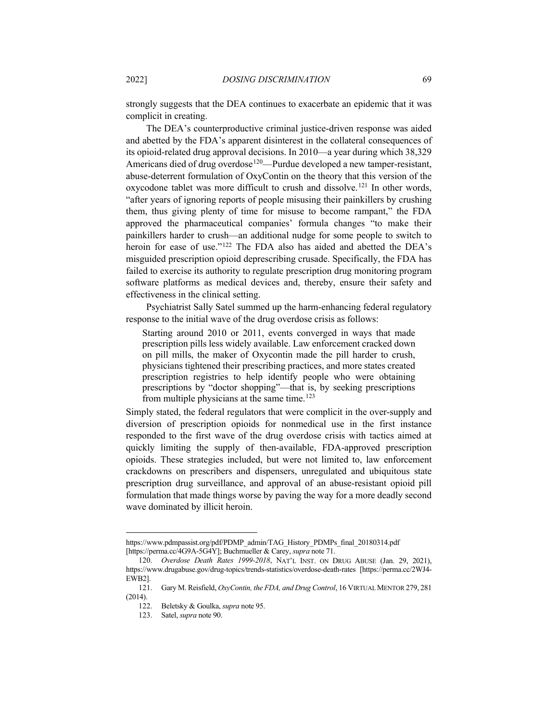strongly suggests that the DEA continues to exacerbate an epidemic that it was complicit in creating.

The DEA's counterproductive criminal justice-driven response was aided and abetted by the FDA's apparent disinterest in the collateral consequences of its opioid-related drug approval decisions. In 2010—a year during which 38,329 Americans died of drug overdose<sup>[120](#page-22-0)</sup>—Purdue developed a new tamper-resistant, abuse-deterrent formulation of OxyContin on the theory that this version of the oxycodone tablet was more difficult to crush and dissolve.[121](#page-22-1) In other words, "after years of ignoring reports of people misusing their painkillers by crushing them, thus giving plenty of time for misuse to become rampant," the FDA approved the pharmaceutical companies' formula changes "to make their painkillers harder to crush—an additional nudge for some people to switch to heroin for ease of use."<sup>[122](#page-22-2)</sup> The FDA also has aided and abetted the DEA's misguided prescription opioid deprescribing crusade. Specifically, the FDA has failed to exercise its authority to regulate prescription drug monitoring program software platforms as medical devices and, thereby, ensure their safety and effectiveness in the clinical setting.

Psychiatrist Sally Satel summed up the harm-enhancing federal regulatory response to the initial wave of the drug overdose crisis as follows:

Starting around 2010 or 2011, events converged in ways that made prescription pills less widely available. Law enforcement cracked down on pill mills, the maker of Oxycontin made the pill harder to crush, physicians tightened their prescribing practices, and more states created prescription registries to help identify people who were obtaining prescriptions by "doctor shopping"—that is, by seeking prescriptions from multiple physicians at the same time.<sup>[123](#page-22-3)</sup>

Simply stated, the federal regulators that were complicit in the over-supply and diversion of prescription opioids for nonmedical use in the first instance responded to the first wave of the drug overdose crisis with tactics aimed at quickly limiting the supply of then-available, FDA-approved prescription opioids. These strategies included, but were not limited to, law enforcement crackdowns on prescribers and dispensers, unregulated and ubiquitous state prescription drug surveillance, and approval of an abuse-resistant opioid pill formulation that made things worse by paving the way for a more deadly second wave dominated by illicit heroin.

https://www.pdmpassist.org/pdf/PDMP\_admin/TAG\_History\_PDMPs\_final\_20180314.pdf [https://perma.cc/4G9A-5G4Y]; Buchmueller & Carey, *supra* not[e 71.](#page-14-6)

<span id="page-22-0"></span><sup>120.</sup> *Overdose Death Rates 1999-2018*, NAT'L INST. ON DRUG ABUSE (Jan. 29, 2021), https://www.drugabuse.gov/drug-topics/trends-statistics/overdose-death-rates [https://perma.cc/2WJ4- EWB2].

<span id="page-22-3"></span><span id="page-22-2"></span><span id="page-22-1"></span><sup>121.</sup> Gary M. Reisfield, *OxyContin, the FDA, and Drug Control*, 16 VIRTUAL MENTOR 279, 281 (2014).

<sup>122.</sup> Beletsky & Goulka, *supra* note [95.](#page-18-6)

<sup>123.</sup> Satel, *supra* not[e 90.](#page-17-5)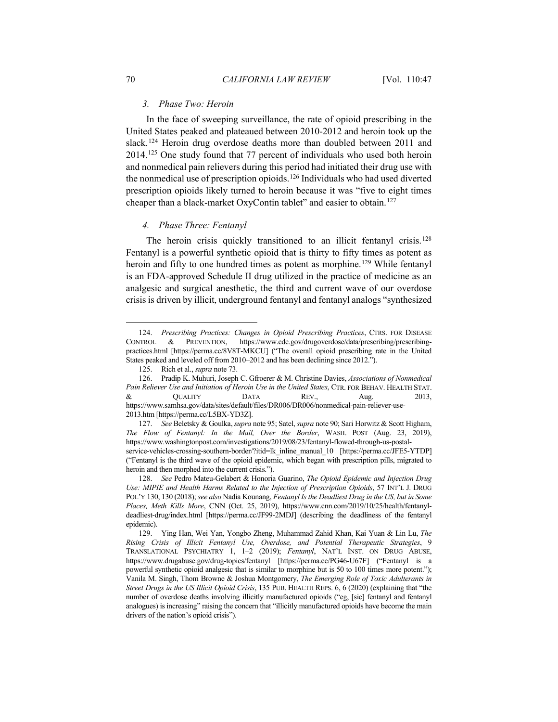### *3. Phase Two: Heroin*

In the face of sweeping surveillance, the rate of opioid prescribing in the United States peaked and plateaued between 2010-2012 and heroin took up the slack.[124](#page-23-0) Heroin drug overdose deaths more than doubled between 2011 and 2014[.125](#page-23-1) One study found that 77 percent of individuals who used both heroin and nonmedical pain relievers during this period had initiated their drug use with the nonmedical use of prescription opioids.<sup>[126](#page-23-2)</sup> Individuals who had used diverted prescription opioids likely turned to heroin because it was "five to eight times cheaper than a black-market OxyContin tablet" and easier to obtain.<sup>[127](#page-23-3)</sup>

## <span id="page-23-6"></span>*4. Phase Three: Fentanyl*

The heroin crisis quickly transitioned to an illicit fentanyl crisis.<sup>[128](#page-23-4)</sup> Fentanyl is a powerful synthetic opioid that is thirty to fifty times as potent as heroin and fifty to one hundred times as potent as morphine.<sup>[129](#page-23-5)</sup> While fentanyl is an FDA-approved Schedule II drug utilized in the practice of medicine as an analgesic and surgical anesthetic, the third and current wave of our overdose crisis is driven by illicit, underground fentanyl and fentanyl analogs "synthesized

<span id="page-23-0"></span><sup>124.</sup> *Prescribing Practices: Changes in Opioid Prescribing Practices*, CTRS. FOR DISEASE CONTROL & PREVENTION, https://www.cdc.gov/drugoverdose/data/prescribing/prescribingpractices.html [https://perma.cc/8V8T-MKCU] ("The overall opioid prescribing rate in the United States peaked and leveled off from 2010–2012 and has been declining since 2012.").

<sup>125.</sup> Rich et al., *supra* not[e 73.](#page-15-10)

<span id="page-23-2"></span><span id="page-23-1"></span><sup>126.</sup> Pradip K. Muhuri, Joseph C. Gfroerer & M. Christine Davies, *Associations of Nonmedical Pain Reliever Use and Initiation of Heroin Use in the United States*, CTR. FOR BEHAV. HEALTH STAT. & QUALITY DATA REV., Aug. 2013, https://www.samhsa.gov/data/sites/default/files/DR006/DR006/nonmedical-pain-reliever-use-2013.htm [https://perma.cc/L5BX-YD3Z].

<span id="page-23-3"></span><sup>127.</sup> *See* Beletsky & Goulka, *supra* not[e 95;](#page-18-6) Satel, *supra* not[e 90;](#page-17-5) Sari Horwitz & Scott Higham, *The Flow of Fentanyl: In the Mail, Over the Border*, WASH. POST (Aug. 23, 2019), https://www.washingtonpost.com/investigations/2019/08/23/fentanyl-flowed-through-us-postalservice-vehicles-crossing-southern-border/?itid=lk\_inline\_manual\_10 [https://perma.cc/JFE5-YTDP] ("Fentanyl is the third wave of the opioid epidemic, which began with prescription pills, migrated to heroin and then morphed into the current crisis.").

<span id="page-23-4"></span><sup>128.</sup> *See* Pedro Mateu-Gelabert & Honoria Guarino, *The Opioid Epidemic and Injection Drug Use: MIPIE and Health Harms Related to the Injection of Prescription Opioids*, 57 INT'L J. DRUG POL'Y 130, 130 (2018); *see also* Nadia Kounang, *Fentanyl Is the Deadliest Drug in the US, but in Some Places, Meth Kills More*, CNN (Oct. 25, 2019), https://www.cnn.com/2019/10/25/health/fentanyldeadliest-drug/index.html [https://perma.cc/JF99-2MDJ] (describing the deadliness of the fentanyl epidemic).

<span id="page-23-5"></span><sup>129.</sup> Ying Han, Wei Yan, Yongbo Zheng, Muhammad Zahid Khan, Kai Yuan & Lin Lu, *The Rising Crisis of Illicit Fentanyl Use, Overdose, and Potential Therapeutic Strategies*, 9 TRANSLATIONAL PSYCHIATRY 1, 1–2 (2019); *Fentanyl*, NAT'L INST. ON DRUG ABUSE, https://www.drugabuse.gov/drug-topics/fentanyl [https://perma.cc/PG46-U67F] ("Fentanyl is a powerful synthetic opioid analgesic that is similar to morphine but is 50 to 100 times more potent."); Vanila M. Singh, Thom Browne & Joshua Montgomery, *The Emerging Role of Toxic Adulterants in Street Drugs in the US Illicit Opioid Crisis*, 135 PUB. HEALTH REPS. 6, 6 (2020) (explaining that "the number of overdose deaths involving illicitly manufactured opioids ("eg, [sic] fentanyl and fentanyl analogues) is increasing" raising the concern that "illicitly manufactured opioids have become the main drivers of the nation's opioid crisis").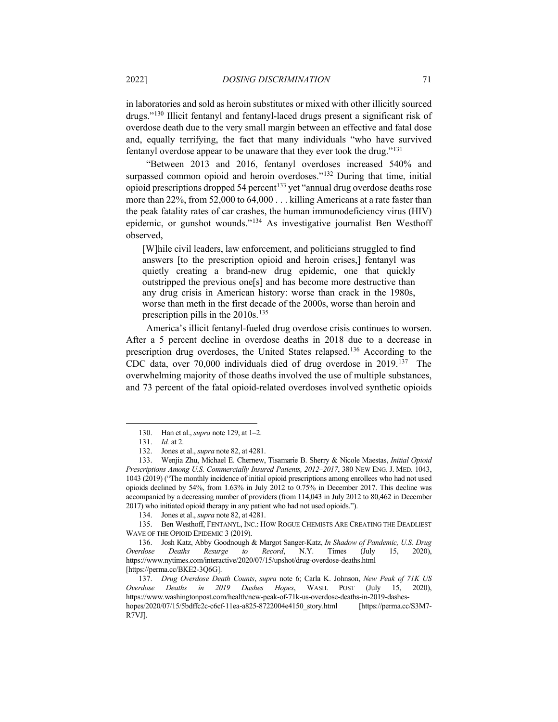in laboratories and sold as heroin substitutes or mixed with other illicitly sourced drugs."[130](#page-24-0) Illicit fentanyl and fentanyl-laced drugs present a significant risk of overdose death due to the very small margin between an effective and fatal dose and, equally terrifying, the fact that many individuals "who have survived fentanyl overdose appear to be unaware that they ever took the drug."[131](#page-24-1)

"Between 2013 and 2016, fentanyl overdoses increased 540% and surpassed common opioid and heroin overdoses."<sup>[132](#page-24-2)</sup> During that time, initial opioid prescriptions dropped 54 percent<sup>[133](#page-24-3)</sup> yet "annual drug overdose deaths rose more than 22%, from 52,000 to 64,000 . . . killing Americans at a rate faster than the peak fatality rates of car crashes, the human immunodeficiency virus (HIV) epidemic, or gunshot wounds."[134](#page-24-4) As investigative journalist Ben Westhoff observed,

[W]hile civil leaders, law enforcement, and politicians struggled to find answers [to the prescription opioid and heroin crises,] fentanyl was quietly creating a brand-new drug epidemic, one that quickly outstripped the previous one[s] and has become more destructive than any drug crisis in American history: worse than crack in the 1980s, worse than meth in the first decade of the 2000s, worse than heroin and prescription pills in the  $2010s$ .<sup>[135](#page-24-5)</sup>

<span id="page-24-8"></span>America's illicit fentanyl-fueled drug overdose crisis continues to worsen. After a 5 percent decline in overdose deaths in 2018 due to a decrease in prescription drug overdoses, the United States relapsed.[136](#page-24-6) According to the CDC data, over 70,000 individuals died of drug overdose in 2019. [137](#page-24-7) The overwhelming majority of those deaths involved the use of multiple substances, and 73 percent of the fatal opioid-related overdoses involved synthetic opioids

<span id="page-24-5"></span><span id="page-24-4"></span>135. Ben Westhoff, FENTANYL, INC.: HOW ROGUE CHEMISTS ARE CREATING THE DEADLIEST WAVE OF THE OPIOID EPIDEMIC 3 (2019).

<sup>130.</sup> Han et al., *supra* not[e 129,](#page-23-6) at 1–2.

<sup>131.</sup> *Id.* at 2.

<sup>132.</sup> Jones et al., *supra* not[e 82,](#page-16-10) at 4281.

<span id="page-24-3"></span><span id="page-24-2"></span><span id="page-24-1"></span><span id="page-24-0"></span><sup>133.</sup> Wenjia Zhu, Michael E. Chernew, Tisamarie B. Sherry & Nicole Maestas, *Initial Opioid Prescriptions Among U.S. Commercially Insured Patients, 2012–2017*, 380 NEW ENG. J. MED. 1043, 1043 (2019) ("The monthly incidence of initial opioid prescriptions among enrollees who had not used opioids declined by 54%, from 1.63% in July 2012 to 0.75% in December 2017. This decline was accompanied by a decreasing number of providers (from 114,043 in July 2012 to 80,462 in December 2017) who initiated opioid therapy in any patient who had not used opioids.").

<sup>134.</sup> Jones et al., *supra* not[e 82,](#page-16-10) at 4281.

<span id="page-24-6"></span><sup>136.</sup> Josh Katz, Abby Goodnough & Margot Sanger-Katz, *In Shadow of Pandemic, U.S. Drug Overdose Deaths Resurge to Record*, N.Y. Times (July 15, 2020), https://www.nytimes.com/interactive/2020/07/15/upshot/drug-overdose-deaths.html [https://perma.cc/BKE2-3Q6G].

<span id="page-24-7"></span><sup>137.</sup> *Drug Overdose Death Counts*, *supra* note [6;](#page-5-4) Carla K. Johnson, *New Peak of 71K US Overdose Deaths in 2019 Dashes Hopes*, WASH. POST (July 15, 2020), https://www.washingtonpost.com/health/new-peak-of-71k-us-overdose-deaths-in-2019-dasheshopes/2020/07/15/5bdffc2c-c6cf-11ea-a825-8722004e4150\_story.html [https://perma.cc/S3M7- R7VJ].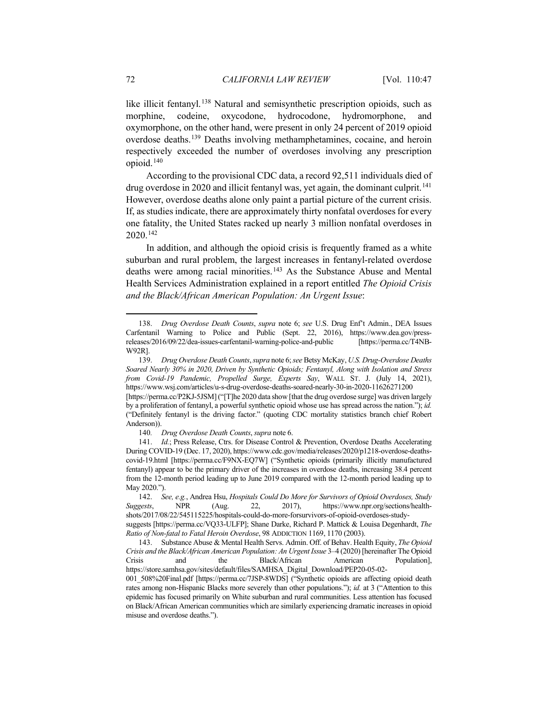like illicit fentanyl. [138](#page-25-0) Natural and semisynthetic prescription opioids, such as morphine, codeine, oxycodone, hydrocodone, hydromorphone, and oxymorphone, on the other hand, were present in only 24 percent of 2019 opioid overdose deaths.[139](#page-25-1) Deaths involving methamphetamines, cocaine, and heroin respectively exceeded the number of overdoses involving any prescription opioid.[140](#page-25-2)

According to the provisional CDC data, a record 92,511 individuals died of drug overdose in 2020 and illicit fentanyl was, yet again, the dominant culprit.<sup>[141](#page-25-3)</sup> However, overdose deaths alone only paint a partial picture of the current crisis. If, as studies indicate, there are approximately thirty nonfatal overdoses for every one fatality, the United States racked up nearly 3 million nonfatal overdoses in 2020. [142](#page-25-4)

<span id="page-25-6"></span>In addition, and although the opioid crisis is frequently framed as a white suburban and rural problem, the largest increases in fentanyl-related overdose deaths were among racial minorities. [143](#page-25-5) As the Substance Abuse and Mental Health Services Administration explained in a report entitled *The Opioid Crisis and the Black/African American Population: An Urgent Issue*:

<span id="page-25-0"></span><sup>138.</sup> *Drug Overdose Death Counts*, *supra* note [6;](#page-5-4) *see* U.S. Drug Enf't Admin., DEA Issues Carfentanil Warning to Police and Public (Sept. 22, 2016), https://www.dea.gov/pressreleases/2016/09/22/dea-issues-carfentanil-warning-police-and-public [https://perma.cc/T4NB-W92R].

<span id="page-25-1"></span><sup>139.</sup> *Drug Overdose Death Counts*, *supra* not[e 6;](#page-5-4) *see* Betsy McKay, *U.S. Drug-Overdose Deaths Soared Nearly 30% in 2020, Driven by Synthetic Opioids; Fentanyl, Along with Isolation and Stress from Covid-19 Pandemic, Propelled Surge, Experts Say*, WALL ST. J. (July 14, 2021), https://www.wsj.com/articles/u-s-drug-overdose-deaths-soared-nearly-30-in-2020-11626271200 [https://perma.cc/P2KJ-5JSM] ("[T]he 2020 data show [that the drug overdose surge] was driven largely by a proliferation of fentanyl, a powerful synthetic opioid whose use has spread across the nation."); *id.* ("Definitely fentanyl is the driving factor." (quoting CDC mortality statistics branch chief Robert Anderson)).

<sup>140</sup>*. Drug Overdose Death Counts*, *supra* not[e 6.](#page-5-4)

<span id="page-25-3"></span><span id="page-25-2"></span><sup>141.</sup> *Id.*; Press Release, Ctrs. for Disease Control & Prevention, Overdose Deaths Accelerating During COVID-19 (Dec. 17, 2020), https://www.cdc.gov/media/releases/2020/p1218-overdose-deathscovid-19.html [https://perma.cc/F9NX-EQ7W] ("Synthetic opioids (primarily illicitly manufactured fentanyl) appear to be the primary driver of the increases in overdose deaths, increasing 38.4 percent from the 12-month period leading up to June 2019 compared with the 12-month period leading up to May 2020.").

<span id="page-25-4"></span><sup>142.</sup> *See, e.g.*, Andrea Hsu, *Hospitals Could Do More for Survivors of Opioid Overdoses, Study Suggests*, NPR (Aug. 22, 2017), https://www.npr.org/sections/healthshots/2017/08/22/545115225/hospitals-could-do-more-forsurvivors-of-opioid-overdoses-study-

suggests [https://perma.cc/VQ33-ULFP]; Shane Darke, Richard P. Mattick & Louisa Degenhardt, *The Ratio of Non-fatal to Fatal Heroin Overdose*, 98 ADDICTION 1169, 1170 (2003).

<span id="page-25-5"></span><sup>143.</sup> Substance Abuse & Mental Health Servs. Admin. Off. of Behav. Health Equity, *The Opioid Crisis and the Black/African American Population: An Urgent Issue* 3–4 (2020) [hereinafter The Opioid Crisis and the Black/African American Population], https://store.samhsa.gov/sites/default/files/SAMHSA\_Digital\_Download/PEP20-05-02- 001 508%20Final.pdf [https://perma.cc/7JSP-8WDS] ("Synthetic opioids are affecting opioid death

rates among non-Hispanic Blacks more severely than other populations."); *id.* at 3 ("Attention to this epidemic has focused primarily on White suburban and rural communities. Less attention has focused on Black/African American communities which are similarly experiencing dramatic increases in opioid misuse and overdose deaths.").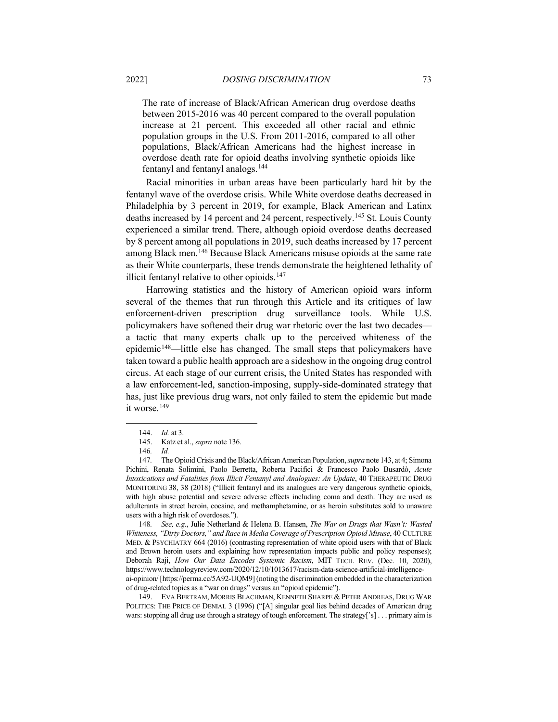The rate of increase of Black/African American drug overdose deaths between 2015-2016 was 40 percent compared to the overall population increase at 21 percent. This exceeded all other racial and ethnic population groups in the U.S. From 2011-2016, compared to all other populations, Black/African Americans had the highest increase in overdose death rate for opioid deaths involving synthetic opioids like fentanyl and fentanyl analogs.[144](#page-26-0)

Racial minorities in urban areas have been particularly hard hit by the fentanyl wave of the overdose crisis. While White overdose deaths decreased in Philadelphia by 3 percent in 2019, for example, Black American and Latinx deaths increased by 14 percent and 24 percent, respectively.[145](#page-26-1) St. Louis County experienced a similar trend. There, although opioid overdose deaths decreased by 8 percent among all populations in 2019, such deaths increased by 17 percent among Black men.[146](#page-26-2) Because Black Americans misuse opioids at the same rate as their White counterparts, these trends demonstrate the heightened lethality of illicit fentanyl relative to other opioids. $147$ 

Harrowing statistics and the history of American opioid wars inform several of the themes that run through this Article and its critiques of law enforcement-driven prescription drug surveillance tools. While U.S. policymakers have softened their drug war rhetoric over the last two decades a tactic that many experts chalk up to the perceived whiteness of the epidemic<sup>148</sup>—little else has changed. The small steps that policymakers have taken toward a public health approach are a sideshow in the ongoing drug control circus. At each stage of our current crisis, the United States has responded with a law enforcement-led, sanction-imposing, supply-side-dominated strategy that has, just like previous drug wars, not only failed to stem the epidemic but made it worse.<sup>[149](#page-26-5)</sup>

<span id="page-26-4"></span>148*. See, e.g.*, Julie Netherland & Helena B. Hansen, *The War on Drugs that Wasn't: Wasted Whiteness, "Dirty Doctors," and Race in Media Coverage of Prescription Opioid Misuse*, 40 CULTURE MED. & PSYCHIATRY 664 (2016) (contrasting representation of white opioid users with that of Black and Brown heroin users and explaining how representation impacts public and policy responses); Deborah Raji, *How Our Data Encodes Systemic Racism*, MIT TECH. REV. (Dec. 10, 2020), https://www.technologyreview.com/2020/12/10/1013617/racism-data-science-artificial-intelligenceai-opinion/ [https://perma.cc/5A92-UQM9] (noting the discrimination embedded in the characterization of drug-related topics as a "war on drugs" versus an "opioid epidemic").

<span id="page-26-5"></span>149. EVA BERTRAM, MORRIS BLACHMAN, KENNETH SHARPE & PETER ANDREAS, DRUG WAR POLITICS: THE PRICE OF DENIAL 3 (1996) ("[A] singular goal lies behind decades of American drug wars: stopping all drug use through a strategy of tough enforcement. The strategy['s] . . . primary aim is

<sup>144.</sup> *Id.* at 3.

<sup>145.</sup> Katz et al., *supra* not[e 136.](#page-24-8)

<sup>146</sup>*. Id.*

<span id="page-26-3"></span><span id="page-26-2"></span><span id="page-26-1"></span><span id="page-26-0"></span><sup>147</sup>*.* The Opioid Crisis and the Black/African American Population, *supra* not[e 143,](#page-25-6) at 4; Simona Pichini, Renata Solimini, Paolo Berretta, Roberta Pacifici & Francesco Paolo Busardò, *Acute Intoxications and Fatalities from Illicit Fentanyl and Analogues: An Update*, 40 THERAPEUTIC DRUG MONITORING 38, 38 (2018) ("Illicit fentanyl and its analogues are very dangerous synthetic opioids, with high abuse potential and severe adverse effects including coma and death. They are used as adulterants in street heroin, cocaine, and methamphetamine, or as heroin substitutes sold to unaware users with a high risk of overdoses.").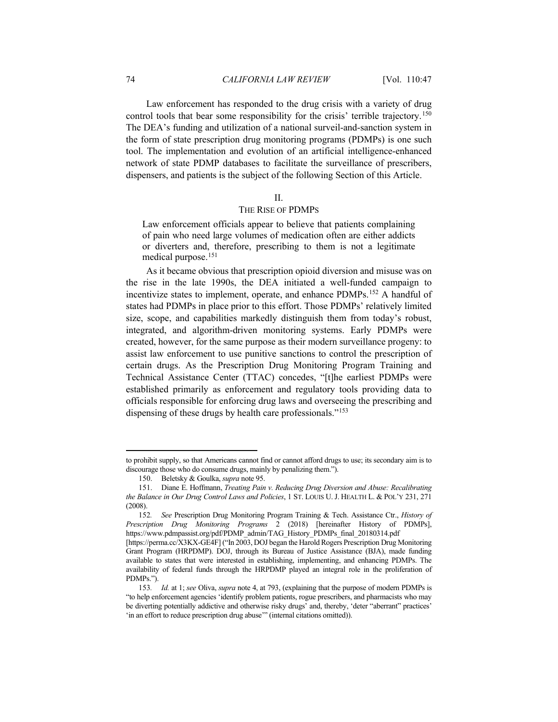Law enforcement has responded to the drug crisis with a variety of drug control tools that bear some responsibility for the crisis' terrible trajectory.<sup>[150](#page-27-0)</sup> The DEA's funding and utilization of a national surveil-and-sanction system in the form of state prescription drug monitoring programs (PDMPs) is one such tool. The implementation and evolution of an artificial intelligence-enhanced network of state PDMP databases to facilitate the surveillance of prescribers, dispensers, and patients is the subject of the following Section of this Article.

#### <span id="page-27-4"></span>II.

## THE RISE OF PDMPS

Law enforcement officials appear to believe that patients complaining of pain who need large volumes of medication often are either addicts or diverters and, therefore, prescribing to them is not a legitimate medical purpose[.151](#page-27-1)

As it became obvious that prescription opioid diversion and misuse was on the rise in the late 1990s, the DEA initiated a well-funded campaign to incentivize states to implement, operate, and enhance PDMPs.<sup>[152](#page-27-2)</sup> A handful of states had PDMPs in place prior to this effort. Those PDMPs' relatively limited size, scope, and capabilities markedly distinguish them from today's robust, integrated, and algorithm-driven monitoring systems. Early PDMPs were created, however, for the same purpose as their modern surveillance progeny: to assist law enforcement to use punitive sanctions to control the prescription of certain drugs. As the Prescription Drug Monitoring Program Training and Technical Assistance Center (TTAC) concedes, "[t]he earliest PDMPs were established primarily as enforcement and regulatory tools providing data to officials responsible for enforcing drug laws and overseeing the prescribing and dispensing of these drugs by health care professionals."<sup>[153](#page-27-3)</sup>

to prohibit supply, so that Americans cannot find or cannot afford drugs to use; its secondary aim is to discourage those who do consume drugs, mainly by penalizing them.").

<sup>150.</sup> Beletsky & Goulka, *supra* note [95.](#page-18-6)

<span id="page-27-1"></span><span id="page-27-0"></span><sup>151.</sup> Diane E. Hoffmann, *Treating Pain v. Reducing Drug Diversion and Abuse: Recalibrating the Balance in Our Drug Control Laws and Policies*, 1 ST. LOUIS U. J. HEALTH L. & POL'Y 231, 271 (2008).

<span id="page-27-2"></span><sup>152</sup>*. See* Prescription Drug Monitoring Program Training & Tech. Assistance Ctr., *History of Prescription Drug Monitoring Programs* 2 (2018) [hereinafter History of PDMPs], https://www.pdmpassist.org/pdf/PDMP\_admin/TAG\_History\_PDMPs\_final\_20180314.pdf

<sup>[</sup>https://perma.cc/X3KX-GE4F] ("In 2003, DOJ began the Harold Rogers Prescription Drug Monitoring Grant Program (HRPDMP). DOJ, through its Bureau of Justice Assistance (BJA), made funding available to states that were interested in establishing, implementing, and enhancing PDMPs. The availability of federal funds through the HRPDMP played an integral role in the proliferation of PDMPs.").

<span id="page-27-3"></span><sup>153</sup>*. Id.* at 1; *see* Oliva, *supra* note [4,](#page-3-3) at 793, (explaining that the purpose of modern PDMPs is "to help enforcement agencies 'identify problem patients, rogue prescribers, and pharmacists who may be diverting potentially addictive and otherwise risky drugs' and, thereby, 'deter "aberrant" practices' 'in an effort to reduce prescription drug abuse'" (internal citations omitted)).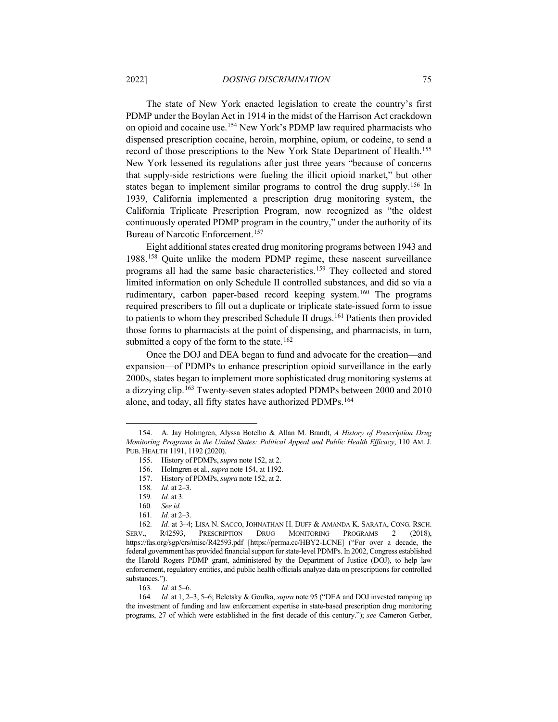<span id="page-28-0"></span>The state of New York enacted legislation to create the country's first PDMP under the Boylan Act in 1914 in the midst of the Harrison Act crackdown on opioid and cocaine use.[154](#page-28-1) New York's PDMP law required pharmacists who dispensed prescription cocaine, heroin, morphine, opium, or codeine, to send a record of those prescriptions to the New York State Department of Health.<sup>[155](#page-28-2)</sup> New York lessened its regulations after just three years "because of concerns that supply-side restrictions were fueling the illicit opioid market," but other states began to implement similar programs to control the drug supply[.156](#page-28-3) In 1939, California implemented a prescription drug monitoring system, the California Triplicate Prescription Program, now recognized as "the oldest continuously operated PDMP program in the country," under the authority of its Bureau of Narcotic Enforcement.<sup>[157](#page-28-4)</sup>

Eight additional states created drug monitoring programs between 1943 and 1988[.158](#page-28-5) Quite unlike the modern PDMP regime, these nascent surveillance programs all had the same basic characteristics.[159](#page-28-6) They collected and stored limited information on only Schedule II controlled substances, and did so via a rudimentary, carbon paper-based record keeping system.[160](#page-28-7) The programs required prescribers to fill out a duplicate or triplicate state-issued form to issue to patients to whom they prescribed Schedule II drugs.<sup>[161](#page-28-8)</sup> Patients then provided those forms to pharmacists at the point of dispensing, and pharmacists, in turn, submitted a copy of the form to the state.<sup>[162](#page-28-9)</sup>

Once the DOJ and DEA began to fund and advocate for the creation—and expansion—of PDMPs to enhance prescription opioid surveillance in the early 2000s, states began to implement more sophisticated drug monitoring systems at a dizzying clip.<sup>[163](#page-28-10)</sup> Twenty-seven states adopted PDMPs between 2000 and 2010 alone, and today, all fifty states have authorized PDMPs.<sup>[164](#page-28-11)</sup>

<span id="page-28-3"></span><span id="page-28-2"></span><span id="page-28-1"></span><sup>154.</sup> A. Jay Holmgren, Alyssa Botelho & Allan M. Brandt, *A History of Prescription Drug Monitoring Programs in the United States: Political Appeal and Public Health Efficacy*, 110 AM. J. PUB. HEALTH 1191, 1192 (2020).

<sup>155.</sup> History of PDMPs, *supra* not[e 152,](#page-27-4) at 2.

<sup>156.</sup> Holmgren et al., *supra* not[e 154,](#page-28-0) at 1192.

<sup>157.</sup> History of PDMPs, *supra* not[e 152,](#page-27-4) at 2.

<sup>158</sup>*. Id.* at 2–3.

<sup>159</sup>*. Id.* at 3.

<sup>160</sup>*. See id.*

<sup>161</sup>*. Id.* at 2–3.

<span id="page-28-9"></span><span id="page-28-8"></span><span id="page-28-7"></span><span id="page-28-6"></span><span id="page-28-5"></span><span id="page-28-4"></span><sup>162</sup>*. Id.* at 3–4; LISA N. SACCO, JOHNATHAN H. DUFF & AMANDA K. SARATA, CONG. RSCH. SERV., R42593, PRESCRIPTION DRUG MONITORING PROGRAMS 2 (2018), https://fas.org/sgp/crs/misc/R42593.pdf [https://perma.cc/HBY2-LCNE] ("For over a decade, the federal government has provided financial support for state-level PDMPs. In 2002, Congress established the Harold Rogers PDMP grant, administered by the Department of Justice (DOJ), to help law enforcement, regulatory entities, and public health officials analyze data on prescriptions for controlled substances.").

<sup>163</sup>*. Id.* at 5–6.

<span id="page-28-11"></span><span id="page-28-10"></span><sup>164</sup>*. Id.* at 1, 2–3, 5–6; Beletsky & Goulka, *supra* not[e 95](#page-18-6) ("DEA and DOJ invested ramping up the investment of funding and law enforcement expertise in state-based prescription drug monitoring programs, 27 of which were established in the first decade of this century."); *see* Cameron Gerber,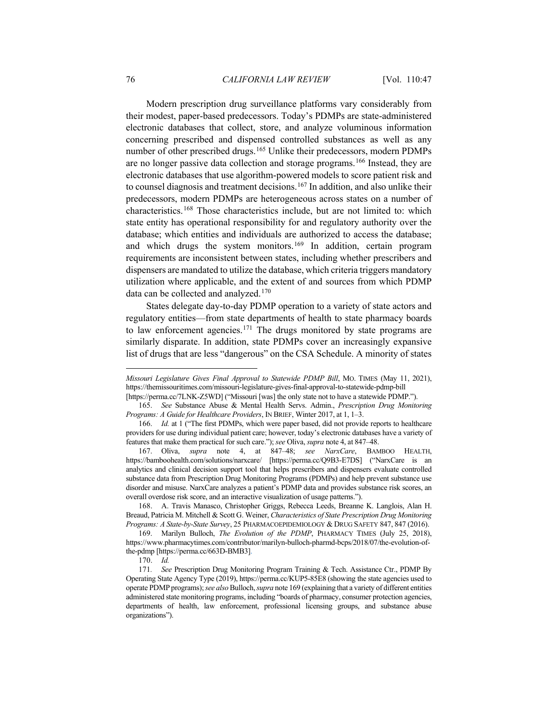Modern prescription drug surveillance platforms vary considerably from their modest, paper-based predecessors. Today's PDMPs are state-administered electronic databases that collect, store, and analyze voluminous information concerning prescribed and dispensed controlled substances as well as any number of other prescribed drugs.<sup>[165](#page-29-1)</sup> Unlike their predecessors, modern PDMPs are no longer passive data collection and storage programs.[166](#page-29-2) Instead, they are electronic databases that use algorithm-powered models to score patient risk and to counsel diagnosis and treatment decisions.[167](#page-29-3) In addition, and also unlike their predecessors, modern PDMPs are heterogeneous across states on a number of characteristics.[168](#page-29-4) Those characteristics include, but are not limited to: which state entity has operational responsibility for and regulatory authority over the database; which entities and individuals are authorized to access the database; and which drugs the system monitors. [169](#page-29-5) In addition, certain program requirements are inconsistent between states, including whether prescribers and dispensers are mandated to utilize the database, which criteria triggers mandatory utilization where applicable, and the extent of and sources from which PDMP data can be collected and analyzed.<sup>[170](#page-29-6)</sup>

<span id="page-29-0"></span>States delegate day-to-day PDMP operation to a variety of state actors and regulatory entities—from state departments of health to state pharmacy boards to law enforcement agencies.[171](#page-29-7) The drugs monitored by state programs are similarly disparate. In addition, state PDMPs cover an increasingly expansive list of drugs that are less "dangerous" on the CSA Schedule. A minority of states

*Missouri Legislature Gives Final Approval to Statewide PDMP Bill*, MO. TIMES (May 11, 2021), https://themissouritimes.com/missouri-legislature-gives-final-approval-to-statewide-pdmp-bill

<sup>[</sup>https://perma.cc/7LNK-Z5WD] ("Missouri [was] the only state not to have a statewide PDMP.").

<span id="page-29-1"></span><sup>165.</sup> *See* Substance Abuse & Mental Health Servs. Admin., *Prescription Drug Monitoring Programs: A Guide for Healthcare Providers*, IN BRIEF, Winter 2017, at 1, 1–3.

<span id="page-29-2"></span><sup>166.</sup> *Id.* at 1 ("The first PDMPs, which were paper based, did not provide reports to healthcare providers for use during individual patient care; however, today's electronic databases have a variety of features that make them practical for such care."); *see* Oliva, *supra* not[e 4,](#page-3-3) at 847–48.

<span id="page-29-3"></span><sup>167.</sup> Oliva, *supra* note [4,](#page-3-3) at 847–48; *see NarxCare*, BAMBOO HEALTH, https://bamboohealth.com/solutions/narxcare/ [https://perma.cc/Q9B3-E7DS] ("NarxCare is an analytics and clinical decision support tool that helps prescribers and dispensers evaluate controlled substance data from Prescription Drug Monitoring Programs (PDMPs) and help prevent substance use disorder and misuse. NarxCare analyzes a patient's PDMP data and provides substance risk scores, an overall overdose risk score, and an interactive visualization of usage patterns.").

<span id="page-29-4"></span><sup>168.</sup> A. Travis Manasco, Christopher Griggs, Rebecca Leeds, Breanne K. Langlois, Alan H. Breaud, Patricia M. Mitchell & Scott G. Weiner, *Characteristics of State Prescription Drug Monitoring Programs: A State-by-State Survey*, 25 PHARMACOEPIDEMIOLOGY & DRUG SAFETY 847, 847 (2016).

<span id="page-29-5"></span><sup>169.</sup> Marilyn Bulloch, *The Evolution of the PDMP*, PHARMACY TIMES (July 25, 2018), https://www.pharmacytimes.com/contributor/marilyn-bulloch-pharmd-bcps/2018/07/the-evolution-ofthe-pdmp [https://perma.cc/663D-BMB3].

<sup>170.</sup> *Id.*

<span id="page-29-7"></span><span id="page-29-6"></span><sup>171</sup>*. See* Prescription Drug Monitoring Program Training & Tech. Assistance Ctr., PDMP By Operating State Agency Type (2019), https://perma.cc/KUP5-85E8 (showing the state agencies used to operate PDMP programs); *see also* Bulloch, *supra* not[e 169](#page-29-0) (explaining that a variety of different entities administered state monitoring programs, including "boards of pharmacy, consumer protection agencies, departments of health, law enforcement, professional licensing groups, and substance abuse organizations").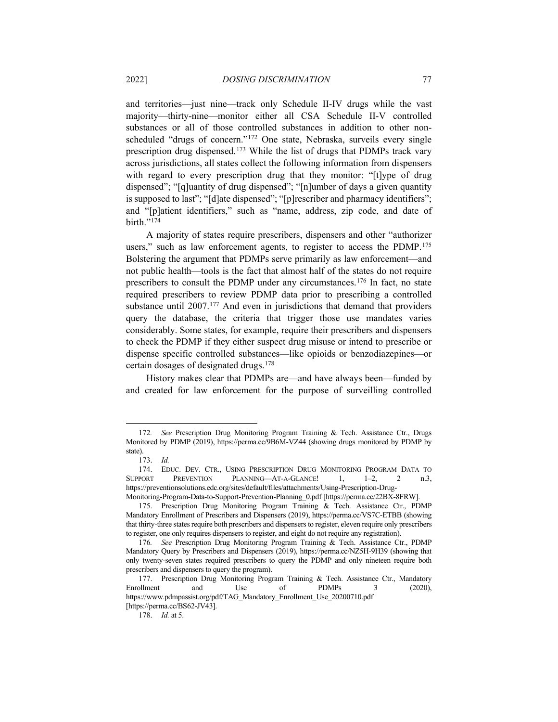and territories—just nine—track only Schedule II-IV drugs while the vast majority—thirty-nine—monitor either all CSA Schedule II-V controlled substances or all of those controlled substances in addition to other nonscheduled "drugs of concern."[172](#page-30-0) One state, Nebraska, surveils every single prescription drug dispensed.<sup>[173](#page-30-1)</sup> While the list of drugs that PDMPs track vary across jurisdictions, all states collect the following information from dispensers with regard to every prescription drug that they monitor: "[t]ype of drug dispensed"; "[q]uantity of drug dispensed"; "[n]umber of days a given quantity is supposed to last"; "[d]ate dispensed"; "[p]rescriber and pharmacy identifiers"; and "[p]atient identifiers," such as "name, address, zip code, and date of birth."<sup>[174](#page-30-2)</sup>

A majority of states require prescribers, dispensers and other "authorizer users," such as law enforcement agents, to register to access the PDMP.<sup>[175](#page-30-3)</sup> Bolstering the argument that PDMPs serve primarily as law enforcement—and not public health—tools is the fact that almost half of the states do not require prescribers to consult the PDMP under any circumstances.[176](#page-30-4) In fact, no state required prescribers to review PDMP data prior to prescribing a controlled substance until 2007.<sup>[177](#page-30-5)</sup> And even in jurisdictions that demand that providers query the database, the criteria that trigger those use mandates varies considerably. Some states, for example, require their prescribers and dispensers to check the PDMP if they either suspect drug misuse or intend to prescribe or dispense specific controlled substances—like opioids or benzodiazepines—or certain dosages of designated drugs.[178](#page-30-6)

History makes clear that PDMPs are—and have always been—funded by and created for law enforcement for the purpose of surveilling controlled

<span id="page-30-1"></span><span id="page-30-0"></span><sup>172</sup>*. See* Prescription Drug Monitoring Program Training & Tech. Assistance Ctr., Drugs Monitored by PDMP (2019), https://perma.cc/9B6M-VZ44 (showing drugs monitored by PDMP by state).

<sup>173.</sup> *Id.*

<span id="page-30-2"></span><sup>174.</sup> EDUC. DEV. CTR., USING PRESCRIPTION DRUG MONITORING PROGRAM DATA TO SUPPORT PREVENTION PLANNING—AT-A-GLANCE! 1, 1–2, 2 n.3, https://preventionsolutions.edc.org/sites/default/files/attachments/Using-Prescription-Drug-Monitoring-Program-Data-to-Support-Prevention-Planning\_0.pdf [https://perma.cc/22BX-8FRW].

<span id="page-30-3"></span><sup>175.</sup> Prescription Drug Monitoring Program Training & Tech. Assistance Ctr., PDMP Mandatory Enrollment of Prescribers and Dispensers (2019), https://perma.cc/VS7C-ETBB (showing that thirty-three states require both prescribers and dispensers to register, eleven require only prescribers to register, one only requires dispensers to register, and eight do not require any registration).

<span id="page-30-4"></span><sup>176</sup>*. See* Prescription Drug Monitoring Program Training & Tech. Assistance Ctr., PDMP Mandatory Query by Prescribers and Dispensers (2019), https://perma.cc/NZ5H-9H39 (showing that only twenty-seven states required prescribers to query the PDMP and only nineteen require both prescribers and dispensers to query the program).

<span id="page-30-6"></span><span id="page-30-5"></span><sup>177.</sup> Prescription Drug Monitoring Program Training & Tech. Assistance Ctr., Mandatory Enrollment and Use of PDMPs 3 (2020), https://www.pdmpassist.org/pdf/TAG\_Mandatory\_Enrollment\_Use\_20200710.pdf [https://perma.cc/BS62-JV43].

<sup>178.</sup> *Id.* at 5.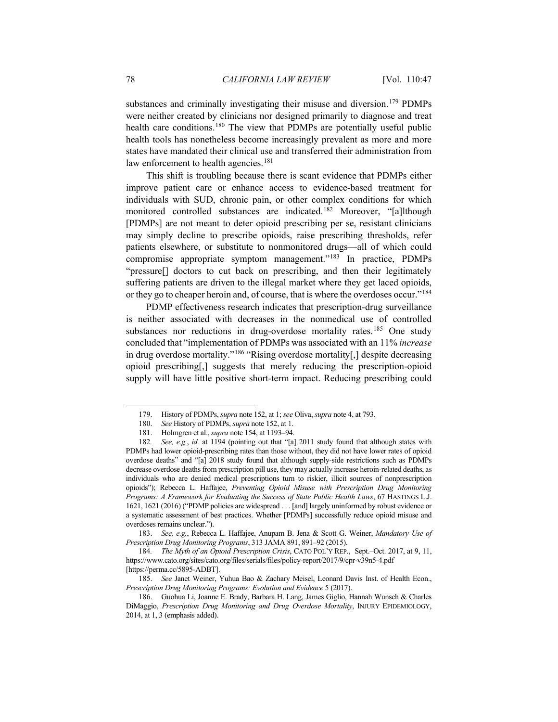substances and criminally investigating their misuse and diversion.<sup>[179](#page-31-0)</sup> PDMPs were neither created by clinicians nor designed primarily to diagnose and treat health care conditions.<sup>[180](#page-31-1)</sup> The view that PDMPs are potentially useful public health tools has nonetheless become increasingly prevalent as more and more states have mandated their clinical use and transferred their administration from law enforcement to health agencies.<sup>[181](#page-31-2)</sup>

This shift is troubling because there is scant evidence that PDMPs either improve patient care or enhance access to evidence-based treatment for individuals with SUD, chronic pain, or other complex conditions for which monitored controlled substances are indicated.[182](#page-31-3) Moreover, "[a]lthough [PDMPs] are not meant to deter opioid prescribing per se, resistant clinicians may simply decline to prescribe opioids, raise prescribing thresholds, refer patients elsewhere, or substitute to nonmonitored drugs—all of which could compromise appropriate symptom management."[183](#page-31-4) In practice, PDMPs "pressure[] doctors to cut back on prescribing, and then their legitimately suffering patients are driven to the illegal market where they get laced opioids, or they go to cheaper heroin and, of course, that is where the overdoses occur."[184](#page-31-5)

<span id="page-31-8"></span>PDMP effectiveness research indicates that prescription-drug surveillance is neither associated with decreases in the nonmedical use of controlled substances nor reductions in drug-overdose mortality rates.<sup>[185](#page-31-6)</sup> One study concluded that "implementation of PDMPs was associated with an 11% *increase* in drug overdose mortality."[186](#page-31-7) "Rising overdose mortality[,] despite decreasing opioid prescribing[,] suggests that merely reducing the prescription-opioid supply will have little positive short-term impact. Reducing prescribing could

<span id="page-31-9"></span><sup>179.</sup> History of PDMPs, *supra* note [152,](#page-27-4) at 1; *see* Oliva, *supra* not[e 4,](#page-3-3) at 793.

See History of PDMPs, *supra* note [152,](#page-27-4) at 1.

<sup>181.</sup> Holmgren et al., *supra* not[e 154,](#page-28-0) at 1193–94.

<span id="page-31-3"></span><span id="page-31-2"></span><span id="page-31-1"></span><span id="page-31-0"></span><sup>182</sup>*. See, e.g.*, *id.* at 1194 (pointing out that "[a] 2011 study found that although states with PDMPs had lower opioid-prescribing rates than those without, they did not have lower rates of opioid overdose deaths" and "[a] 2018 study found that although supply-side restrictions such as PDMPs decrease overdose deaths from prescription pill use, they may actually increase heroin-related deaths, as individuals who are denied medical prescriptions turn to riskier, illicit sources of nonprescription opioids"); Rebecca L. Haffajee, *Preventing Opioid Misuse with Prescription Drug Monitoring Programs: A Framework for Evaluating the Success of State Public Health Laws*, 67 HASTINGS L.J. 1621, 1621 (2016) ("PDMP policies are widespread . . . [and] largely uninformed by robust evidence or a systematic assessment of best practices. Whether [PDMPs] successfully reduce opioid misuse and overdoses remains unclear.").

<span id="page-31-4"></span><sup>183.</sup> *See, e.g.*, Rebecca L. Haffajee, Anupam B. Jena & Scott G. Weiner, *Mandatory Use of Prescription Drug Monitoring Programs*, 313 JAMA 891, 891–92 (2015).

<span id="page-31-5"></span><sup>184</sup>*. The Myth of an Opioid Prescription Crisis*, CATO POL'Y REP., Sept.–Oct. 2017, at 9, 11, https://www.cato.org/sites/cato.org/files/serials/files/policy-report/2017/9/cpr-v39n5-4.pdf [https://perma.cc/5895-ADBT].

<span id="page-31-6"></span><sup>185.</sup> *See* Janet Weiner, Yuhua Bao & Zachary Meisel, Leonard Davis Inst. of Health Econ., *Prescription Drug Monitoring Programs: Evolution and Evidence* 5 (2017).

<span id="page-31-7"></span><sup>186.</sup> Guohua Li, Joanne E. Brady, Barbara H. Lang, James Giglio, Hannah Wunsch & Charles DiMaggio, *Prescription Drug Monitoring and Drug Overdose Mortality*, INJURY EPIDEMIOLOGY, 2014, at 1, 3 (emphasis added).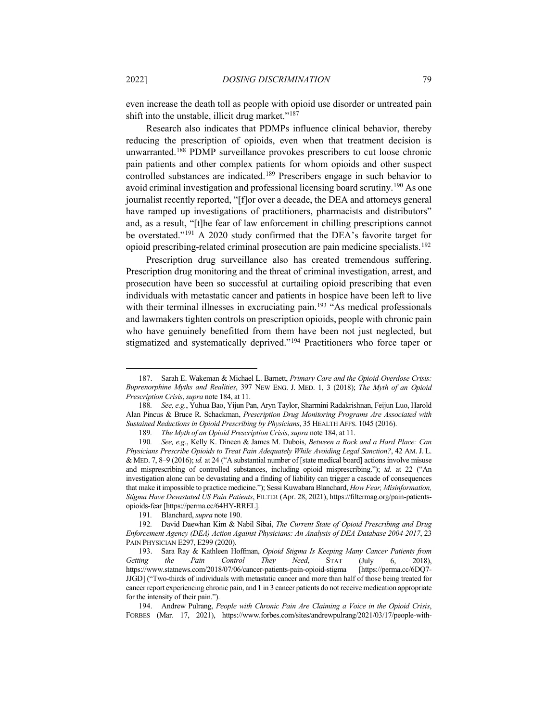even increase the death toll as people with opioid use disorder or untreated pain shift into the unstable, illicit drug market."<sup>[187](#page-32-1)</sup>

<span id="page-32-0"></span>Research also indicates that PDMPs influence clinical behavior, thereby reducing the prescription of opioids, even when that treatment decision is unwarranted. [188](#page-32-2) PDMP surveillance provokes prescribers to cut loose chronic pain patients and other complex patients for whom opioids and other suspect controlled substances are indicated.<sup>[189](#page-32-3)</sup> Prescribers engage in such behavior to avoid criminal investigation and professional licensing board scrutiny.[190](#page-32-4) As one journalist recently reported, "[f]or over a decade, the DEA and attorneys general have ramped up investigations of practitioners, pharmacists and distributors" and, as a result, "[t]he fear of law enforcement in chilling prescriptions cannot be overstated."[191](#page-32-5) A 2020 study confirmed that the DEA's favorite target for opioid prescribing-related criminal prosecution are pain medicine specialists.[192](#page-32-6)

Prescription drug surveillance also has created tremendous suffering. Prescription drug monitoring and the threat of criminal investigation, arrest, and prosecution have been so successful at curtailing opioid prescribing that even individuals with metastatic cancer and patients in hospice have been left to live with their terminal illnesses in excruciating pain.<sup>[193](#page-32-7)</sup> "As medical professionals and lawmakers tighten controls on prescription opioids, people with chronic pain who have genuinely benefitted from them have been not just neglected, but stigmatized and systematically deprived."[194](#page-32-8) Practitioners who force taper or

<span id="page-32-9"></span><span id="page-32-1"></span><sup>187.</sup> Sarah E. Wakeman & Michael L. Barnett, *Primary Care and the Opioid-Overdose Crisis: Buprenorphine Myths and Realities*, 397 NEW ENG. J. MED. 1, 3 (2018); *The Myth of an Opioid Prescription Crisis*, *supra* note [184,](#page-31-8) at 11.

<span id="page-32-2"></span><sup>188</sup>*. See, e.g.*, Yuhua Bao, Yijun Pan, Aryn Taylor, Sharmini Radakrishnan, Feijun Luo, Harold Alan Pincus & Bruce R. Schackman, *Prescription Drug Monitoring Programs Are Associated with Sustained Reductions in Opioid Prescribing by Physicians*, 35 HEALTH AFFS. 1045 (2016).

<sup>189</sup>*. The Myth of an Opioid Prescription Crisis*, *supra* not[e 184,](#page-31-8) at 11.

<span id="page-32-4"></span><span id="page-32-3"></span><sup>190</sup>*. See, e.g.*, Kelly K. Dineen & James M. Dubois, *Between a Rock and a Hard Place: Can Physicians Prescribe Opioids to Treat Pain Adequately While Avoiding Legal Sanction?*, 42 AM. J. L. & MED. 7, 8–9 (2016); *id.* at 24 ("A substantial number of [state medical board] actions involve misuse and misprescribing of controlled substances, including opioid misprescribing."); *id.* at 22 ("An investigation alone can be devastating and a finding of liability can trigger a cascade of consequences that make it impossible to practice medicine."); Sessi Kuwabara Blanchard, *How Fear, Misinformation, Stigma Have Devastated US Pain Patients*, FILTER (Apr. 28, 2021), https://filtermag.org/pain-patientsopioids-fear [https://perma.cc/64HY-RREL].

<sup>191</sup>*.* Blanchard, *supra* note [190.](#page-32-0)

<span id="page-32-6"></span><span id="page-32-5"></span><sup>192</sup>*.* David Daewhan Kim & Nabil Sibai, *The Current State of Opioid Prescribing and Drug Enforcement Agency (DEA) Action Against Physicians: An Analysis of DEA Database 2004-2017*, 23 PAIN PHYSICIAN E297, E299 (2020).

<span id="page-32-7"></span><sup>193.</sup> Sara Ray & Kathleen Hoffman, *Opioid Stigma Is Keeping Many Cancer Patients from Getting the Pain Control They Need*, STAT (July 6, 2018), https://www.statnews.com/2018/07/06/cancer-patients-pain-opioid-stigma [https://perma.cc/6DQ7- JJGD] ("Two-thirds of individuals with metastatic cancer and more than half of those being treated for cancer report experiencing chronic pain, and 1 in 3 cancer patients do not receive medication appropriate for the intensity of their pain.").

<span id="page-32-8"></span><sup>194.</sup> Andrew Pulrang, *People with Chronic Pain Are Claiming a Voice in the Opioid Crisis*, FORBES (Mar. 17, 2021), https://www.forbes.com/sites/andrewpulrang/2021/03/17/people-with-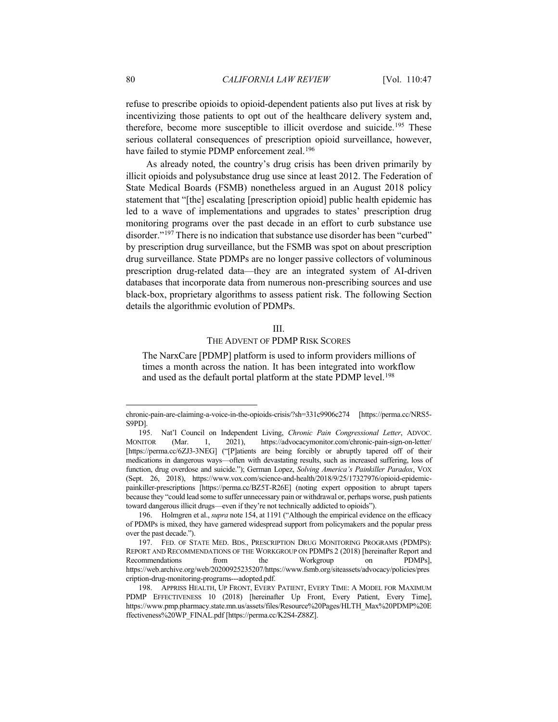refuse to prescribe opioids to opioid-dependent patients also put lives at risk by incentivizing those patients to opt out of the healthcare delivery system and, therefore, become more susceptible to illicit overdose and suicide.<sup>195</sup> These serious collateral consequences of prescription opioid surveillance, however, have failed to stymie PDMP enforcement zeal.<sup>[196](#page-33-1)</sup>

<span id="page-33-4"></span>As already noted, the country's drug crisis has been driven primarily by illicit opioids and polysubstance drug use since at least 2012. The Federation of State Medical Boards (FSMB) nonetheless argued in an August 2018 policy statement that "[the] escalating [prescription opioid] public health epidemic has led to a wave of implementations and upgrades to states' prescription drug monitoring programs over the past decade in an effort to curb substance use disorder."<sup>197</sup> There is no indication that substance use disorder has been "curbed" by prescription drug surveillance, but the FSMB was spot on about prescription drug surveillance. State PDMPs are no longer passive collectors of voluminous prescription drug-related data—they are an integrated system of AI-driven databases that incorporate data from numerous non-prescribing sources and use black-box, proprietary algorithms to assess patient risk. The following Section details the algorithmic evolution of PDMPs.

# <span id="page-33-5"></span>III.

# THE ADVENT OF PDMP RISK SCORES

The NarxCare [PDMP] platform is used to inform providers millions of times a month across the nation. It has been integrated into workflow and used as the default portal platform at the state PDMP level.<sup>[198](#page-33-3)</sup>

chronic-pain-are-claiming-a-voice-in-the-opioids-crisis/?sh=331c9906c274 [https://perma.cc/NRS5- S9PD].

<span id="page-33-0"></span><sup>195.</sup> Nat'l Council on Independent Living, *Chronic Pain Congressional Letter*, ADVOC. MONITOR (Mar. 1, 2021), https://advocacymonitor.com/chronic-pain-sign-on-letter/ [https://perma.cc/6ZJ3-3NEG] ("[P]atients are being forcibly or abruptly tapered off of their medications in dangerous ways—often with devastating results, such as increased suffering, loss of function, drug overdose and suicide."); German Lopez, *Solving America's Painkiller Paradox*, VOX (Sept. 26, 2018), https://www.vox.com/science-and-health/2018/9/25/17327976/opioid-epidemicpainkiller-prescriptions [https://perma.cc/BZ5T-R26E] (noting expert opposition to abrupt tapers because they "could lead some to suffer unnecessary pain or withdrawal or, perhaps worse, push patients toward dangerous illicit drugs—even if they're not technically addicted to opioids").

<span id="page-33-1"></span><sup>196.</sup> Holmgren et al., *supra* not[e 154,](#page-28-0) at 1191 ("Although the empirical evidence on the efficacy of PDMPs is mixed, they have garnered widespread support from policymakers and the popular press over the past decade.").

<span id="page-33-2"></span><sup>197.</sup> FED. OF STATE MED. BDS., PRESCRIPTION DRUG MONITORING PROGRAMS (PDMPS): REPORT AND RECOMMENDATIONS OF THE WORKGROUP ON PDMPS 2 (2018) [hereinafter Report and Recommendations from the Workgroup on PDMPs], https://web.archive.org/web/20200925235207/https://www.fsmb.org/siteassets/advocacy/policies/pres cription-drug-monitoring-programs---adopted.pdf.

<span id="page-33-3"></span><sup>198.</sup> APPRISS HEALTH, UP FRONT, EVERY PATIENT, EVERY TIME: A MODEL FOR MAXIMUM PDMP EFFECTIVENESS 10 (2018) [hereinafter Up Front, Every Patient, Every Time], https://www.pmp.pharmacy.state.mn.us/assets/files/Resource%20Pages/HLTH\_Max%20PDMP%20E ffectiveness%20WP\_FINAL.pdf [https://perma.cc/K2S4-Z88Z].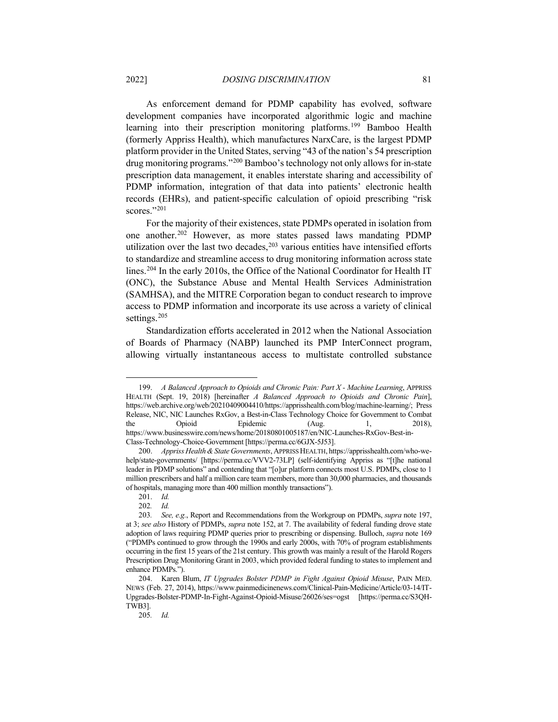<span id="page-34-7"></span>As enforcement demand for PDMP capability has evolved, software development companies have incorporated algorithmic logic and machine learning into their prescription monitoring platforms.<sup>[199](#page-34-0)</sup> Bamboo Health (formerly Appriss Health), which manufactures NarxCare, is the largest PDMP platform provider in the United States, serving "43 of the nation's 54 prescription drug monitoring programs."[200](#page-34-1) Bamboo'stechnology not only allows for in-state prescription data management, it enables interstate sharing and accessibility of PDMP information, integration of that data into patients' electronic health records (EHRs), and patient-specific calculation of opioid prescribing "risk scores."[201](#page-34-2)

For the majority of their existences, state PDMPs operated in isolation from one another.[202](#page-34-3) However, as more states passed laws mandating PDMP utilization over the last two decades, [203](#page-34-4) various entities have intensified efforts to standardize and streamline access to drug monitoring information across state lines.[204](#page-34-5) In the early 2010s, the Office of the National Coordinator for Health IT (ONC), the Substance Abuse and Mental Health Services Administration (SAMHSA), and the MITRE Corporation began to conduct research to improve access to PDMP information and incorporate its use across a variety of clinical settings.<sup>[205](#page-34-6)</sup>

Standardization efforts accelerated in 2012 when the National Association of Boards of Pharmacy (NABP) launched its PMP InterConnect program, allowing virtually instantaneous access to multistate controlled substance

205*. Id.*

<span id="page-34-0"></span><sup>199.</sup> *A Balanced Approach to Opioids and Chronic Pain: Part X - Machine Learning*, APPRISS HEALTH (Sept. 19, 2018) [hereinafter *A Balanced Approach to Opioids and Chronic Pain*], https://web.archive.org/web/20210409004410/https://apprisshealth.com/blog/machine-learning/; Press Release, NIC, NIC Launches RxGov, a Best-in-Class Technology Choice for Government to Combat the Opioid Epidemic (Aug. 1, 2018), https://www.businesswire.com/news/home/20180801005187/en/NIC-Launches-RxGov-Best-in-Class-Technology-Choice-Government [https://perma.cc/6GJX-5J53].

<span id="page-34-1"></span><sup>200.</sup> *Appriss Health & State Governments*, APPRISS HEALTH, https://apprisshealth.com/who-wehelp/state-governments/ [https://perma.cc/VVV2-73LP] (self-identifying Appriss as "[t]he national leader in PDMP solutions" and contending that "[o]ur platform connects most U.S. PDMPs, close to 1 million prescribers and half a million care team members, more than 30,000 pharmacies, and thousands of hospitals, managing more than 400 million monthly transactions").

<sup>201.</sup> *Id.*

<sup>202</sup>*. Id.*

<span id="page-34-4"></span><span id="page-34-3"></span><span id="page-34-2"></span><sup>203</sup>*. See, e.g.*, Report and Recommendations from the Workgroup on PDMPs, *supra* note [197,](#page-33-4)  at 3; *see also* History of PDMPs, *supra* note [152,](#page-27-4) at 7. The availability of federal funding drove state adoption of laws requiring PDMP queries prior to prescribing or dispensing. Bulloch, *supra* not[e 169](#page-29-0) ("PDMPs continued to grow through the 1990s and early 2000s, with 70% of program establishments occurring in the first 15 years of the 21st century. This growth was mainly a result of the Harold Rogers Prescription Drug Monitoring Grant in 2003, which provided federal funding to states to implement and enhance PDMPs.").

<span id="page-34-6"></span><span id="page-34-5"></span><sup>204.</sup> Karen Blum, *IT Upgrades Bolster PDMP in Fight Against Opioid Misuse*, PAIN MED. NEWS (Feb. 27, 2014), https://www.painmedicinenews.com/Clinical-Pain-Medicine/Article/03-14/IT-Upgrades-Bolster-PDMP-In-Fight-Against-Opioid-Misuse/26026/ses=ogst [https://perma.cc/S3QH-TWB3].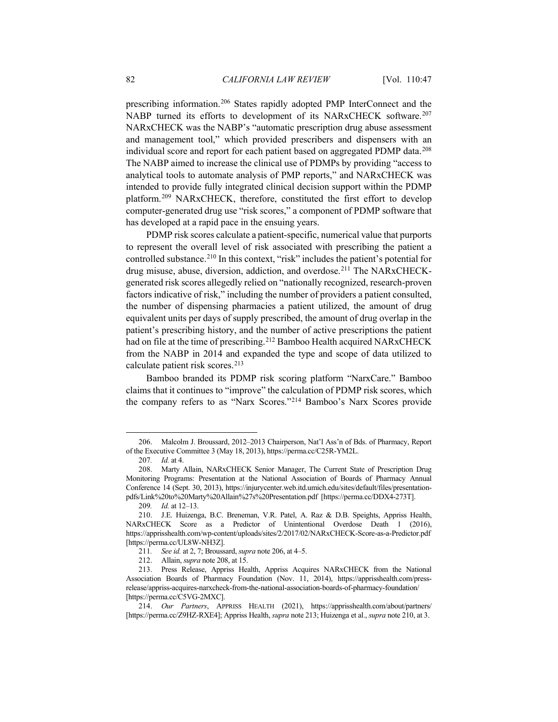<span id="page-35-1"></span><span id="page-35-0"></span>prescribing information.[206](#page-35-4) States rapidly adopted PMP InterConnect and the NABP turned its efforts to development of its NARxCHECK software.<sup>[207](#page-35-5)</sup> NARxCHECK was the NABP's "automatic prescription drug abuse assessment and management tool," which provided prescribers and dispensers with an individual score and report for each patient based on aggregated PDMP data.[208](#page-35-6) The NABP aimed to increase the clinical use of PDMPs by providing "access to analytical tools to automate analysis of PMP reports," and NARxCHECK was intended to provide fully integrated clinical decision support within the PDMP platform[.209](#page-35-7) NARxCHECK, therefore, constituted the first effort to develop computer-generated drug use "risk scores," a component of PDMP software that has developed at a rapid pace in the ensuing years.

<span id="page-35-3"></span>PDMP risk scores calculate a patient-specific, numerical value that purports to represent the overall level of risk associated with prescribing the patient a controlled substance.<sup>[210](#page-35-8)</sup> In this context, "risk" includes the patient's potential for drug misuse, abuse, diversion, addiction, and overdose.<sup>[211](#page-35-9)</sup> The NARxCHECKgenerated risk scores allegedly relied on "nationally recognized, research-proven factors indicative of risk," including the number of providers a patient consulted, the number of dispensing pharmacies a patient utilized, the amount of drug equivalent units per days of supply prescribed, the amount of drug overlap in the patient's prescribing history, and the number of active prescriptions the patient had on file at the time of prescribing. [212](#page-35-10) Bamboo Health acquired NARxCHECK from the NABP in 2014 and expanded the type and scope of data utilized to calculate patient risk scores.[213](#page-35-11)

<span id="page-35-2"></span>Bamboo branded its PDMP risk scoring platform "NarxCare." Bamboo claims that it continues to "improve" the calculation of PDMP risk scores, which the company refers to as "Narx Scores."[214](#page-35-12) Bamboo's Narx Scores provide

<span id="page-35-4"></span><sup>206.</sup> Malcolm J. Broussard, 2012–2013 Chairperson, Nat'l Ass'n of Bds. of Pharmacy, Report of the Executive Committee 3 (May 18, 2013), https://perma.cc/C25R-YM2L.

<sup>207</sup>*. Id.* at 4.

<span id="page-35-6"></span><span id="page-35-5"></span><sup>208.</sup> Marty Allain, NARxCHECK Senior Manager, The Current State of Prescription Drug Monitoring Programs: Presentation at the National Association of Boards of Pharmacy Annual Conference 14 (Sept. 30, 2013), https://injurycenter.web.itd.umich.edu/sites/default/files/presentationpdfs/Link%20to%20Marty%20Allain%27s%20Presentation.pdf [https://perma.cc/DDX4-273T].

<sup>209</sup>*. Id.* at 12–13.

<span id="page-35-8"></span><span id="page-35-7"></span><sup>210.</sup> J.E. Huizenga, B.C. Breneman, V.R. Patel, A. Raz & D.B. Speights, Appriss Health, NARxCHECK Score as a Predictor of Unintentional Overdose Death 1 (2016), https://apprisshealth.com/wp-content/uploads/sites/2/2017/02/NARxCHECK-Score-as-a-Predictor.pdf [https://perma.cc/UL8W-NH3Z].

<sup>211</sup>*. See id.* at 2, 7; Broussard, *supra* note [206,](#page-35-0) at 4–5.

<sup>212.</sup> Allain, *supra* note [208,](#page-35-1) at 15.

<span id="page-35-11"></span><span id="page-35-10"></span><span id="page-35-9"></span><sup>213.</sup> Press Release, Appriss Health, Appriss Acquires NARxCHECK from the National Association Boards of Pharmacy Foundation (Nov. 11, 2014), https://apprisshealth.com/pressrelease/appriss-acquires-narxcheck-from-the-national-association-boards-of-pharmacy-foundation/ [https://perma.cc/C5VG-2MXC].

<span id="page-35-12"></span><sup>214.</sup> *Our Partners*, APPRISS HEALTH (2021), https://apprisshealth.com/about/partners/ [https://perma.cc/Z9HZ-RXE4]; Appriss Health, *supra* not[e 213;](#page-35-2) Huizenga et al., *supra* note [210,](#page-35-3) at 3.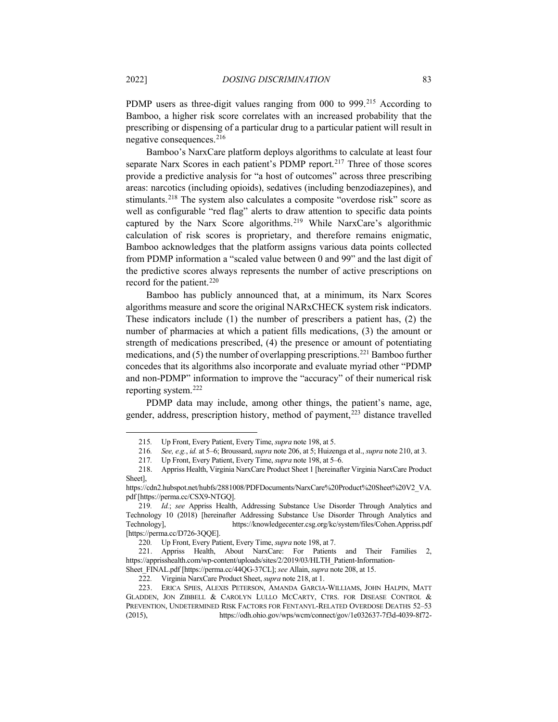PDMP users as three-digit values ranging from 000 to 999.<sup>[215](#page-36-1)</sup> According to Bamboo, a higher risk score correlates with an increased probability that the prescribing or dispensing of a particular drug to a particular patient will result in negative consequences.[216](#page-36-2)

<span id="page-36-10"></span><span id="page-36-0"></span>Bamboo's NarxCare platform deploys algorithms to calculate at least four separate Narx Scores in each patient's PDMP report.<sup>[217](#page-36-3)</sup> Three of those scores provide a predictive analysis for "a host of outcomes" across three prescribing areas: narcotics (including opioids), sedatives (including benzodiazepines), and stimulants.[218](#page-36-4) The system also calculates a composite "overdose risk" score as well as configurable "red flag" alerts to draw attention to specific data points captured by the Narx Score algorithms.<sup>[219](#page-36-5)</sup> While NarxCare's algorithmic calculation of risk scores is proprietary, and therefore remains enigmatic, Bamboo acknowledges that the platform assigns various data points collected from PDMP information a "scaled value between 0 and 99" and the last digit of the predictive scores always represents the number of active prescriptions on record for the patient.<sup>[220](#page-36-6)</sup>

Bamboo has publicly announced that, at a minimum, its Narx Scores algorithms measure and score the original NARxCHECK system risk indicators. These indicators include (1) the number of prescribers a patient has, (2) the number of pharmacies at which a patient fills medications, (3) the amount or strength of medications prescribed, (4) the presence or amount of potentiating medications, and (5) the number of overlapping prescriptions.[221](#page-36-7) Bamboo further concedes that its algorithms also incorporate and evaluate myriad other "PDMP and non-PDMP" information to improve the "accuracy" of their numerical risk reporting system.[222](#page-36-8)

PDMP data may include, among other things, the patient's name, age, gender, address, prescription history, method of payment,<sup>[223](#page-36-9)</sup> distance travelled

<span id="page-36-11"></span><sup>215</sup>*.* Up Front, Every Patient, Every Time, *supra* note [198,](#page-33-5) at 5.

<sup>216</sup>*. See, e.g.*, *id.* at 5–6; Broussard, *supra* note [206,](#page-35-0) at 5; Huizenga et al., *supra* note [210,](#page-35-3) at 3.

<sup>217</sup>*.* Up Front, Every Patient, Every Time, *supra* note [198,](#page-33-5) at 5–6.

<span id="page-36-4"></span><span id="page-36-3"></span><span id="page-36-2"></span><span id="page-36-1"></span><sup>218.</sup> Appriss Health, Virginia NarxCare Product Sheet 1 [hereinafter Virginia NarxCare Product Sheet],

https://cdn2.hubspot.net/hubfs/2881008/PDFDocuments/NarxCare%20Product%20Sheet%20V2\_VA. pdf [https://perma.cc/CSX9-NTGQ].

<span id="page-36-5"></span><sup>219</sup>*. Id.*; *see* Appriss Health, Addressing Substance Use Disorder Through Analytics and Technology 10 (2018) [hereinafter Addressing Substance Use Disorder Through Analytics and Technology], https://knowledgecenter.csg.org/kc/system/files/Cohen.Appriss.pdf [https://perma.cc/D726-3QQE].

<sup>220</sup>*.* Up Front, Every Patient, Every Time, *supra* note [198,](#page-33-5) at 7.

<span id="page-36-7"></span><span id="page-36-6"></span><sup>221.</sup> Appriss Health, About NarxCare: For Patients and Their Families 2, https://apprisshealth.com/wp-content/uploads/sites/2/2019/03/HLTH\_Patient-Information-

Sheet\_FINAL.pdf [https://perma.cc/44QG-37CL]; *see* Allain, *supra* note [208,](#page-35-1) at 15.

<sup>222</sup>*.* Virginia NarxCare Product Sheet, *supra* note [218,](#page-36-0) at 1.

<span id="page-36-9"></span><span id="page-36-8"></span><sup>223.</sup> ERICA SPIES, ALEXIS PETERSON, AMANDA GARCIA‐WILLIAMS, JOHN HALPIN, MATT GLADDEN, JON ZIBBELL & CAROLYN LULLO MCCARTY, CTRS. FOR DISEASE CONTROL & PREVENTION, UNDETERMINED RISK FACTORS FOR FENTANYL-RELATED OVERDOSE DEATHS 52–53 (2015), https://odh.ohio.gov/wps/wcm/connect/gov/1e032637-7f3d-4039-8f72-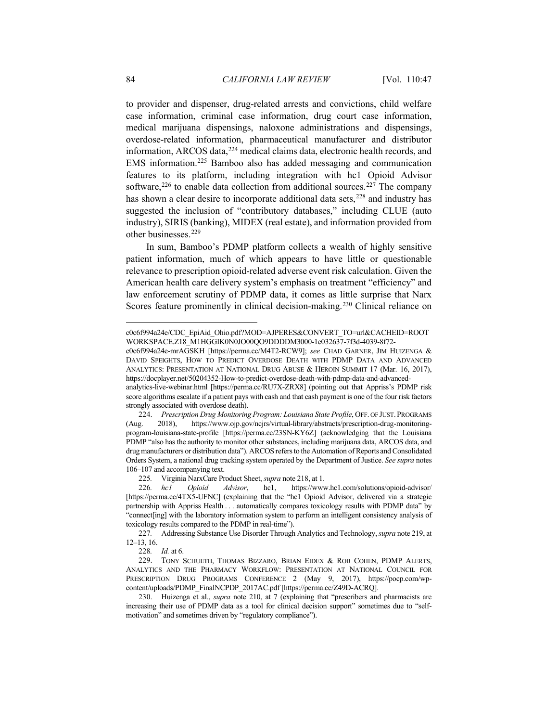to provider and dispenser, drug-related arrests and convictions, child welfare case information, criminal case information, drug court case information, medical marijuana dispensings, naloxone administrations and dispensings, overdose-related information, pharmaceutical manufacturer and distributor information, ARCOS data, [224](#page-37-0) medical claims data, electronic health records, and EMS information. [225](#page-37-1) Bamboo also has added messaging and communication features to its platform, including integration with hc1 Opioid Advisor software, $226$  to enable data collection from additional sources. $227$  The company has shown a clear desire to incorporate additional data sets,<sup>[228](#page-37-4)</sup> and industry has suggested the inclusion of "contributory databases," including CLUE (auto industry), SIRIS (banking), MIDEX (real estate), and information provided from other businesses.[229](#page-37-5)

In sum, Bamboo's PDMP platform collects a wealth of highly sensitive patient information, much of which appears to have little or questionable relevance to prescription opioid-related adverse event risk calculation. Given the American health care delivery system's emphasis on treatment "efficiency" and law enforcement scrutiny of PDMP data, it comes as little surprise that Narx Scores feature prominently in clinical decision-making.<sup>[230](#page-37-6)</sup> Clinical reliance on

c0c6f994a24e-mrAGSKH [https://perma.cc/M4T2-RCW9]; *see* CHAD GARNER, JIM HUIZENGA & DAVID SPEIGHTS, HOW TO PREDICT OVERDOSE DEATH WITH PDMP DATA AND ADVANCED ANALYTICS: PRESENTATION AT NATIONAL DRUG ABUSE & HEROIN SUMMIT 17 (Mar. 16, 2017), https://docplayer.net/50204352-How-to-predict-overdose-death-with-pdmp-data-and-advanced-

c0c6f994a24e/CDC\_EpiAid\_Ohio.pdf?MOD=AJPERES&CONVERT\_TO=url&CACHEID=ROOT WORKSPACE.Z18\_M1HGGIK0N0JO00QO9DDDDM3000-1e032637-7f3d-4039-8f72-

analytics-live-webinar.html [https://perma.cc/RU7X-ZRX8] (pointing out that Appriss's PDMP risk score algorithms escalate if a patient pays with cash and that cash payment is one of the four risk factors strongly associated with overdose death).

<span id="page-37-0"></span><sup>224.</sup> *Prescription Drug Monitoring Program: Louisiana State Profile*, OFF. OF JUST. PROGRAMS (Aug. 2018), https://www.ojp.gov/ncjrs/virtual-library/abstracts/prescription-drug-monitoringprogram-louisiana-state-profile [https://perma.cc/23SN-KY6Z] (acknowledging that the Louisiana PDMP "also has the authority to monitor other substances, including marijuana data, ARCOS data, and drug manufacturers or distribution data"). ARCOS refers to the Automation of Reports and Consolidated Orders System, a national drug tracking system operated by the Department of Justice. *See supra* notes [106](#page-19-7)[–107](#page-20-9) and accompanying text.

<sup>225</sup>*.* Virginia NarxCare Product Sheet, *supra* note [218,](#page-36-0) at 1.

<span id="page-37-2"></span><span id="page-37-1"></span><sup>226</sup>*. hc1 Opioid Advisor*, hc1, https://www.hc1.com/solutions/opioid-advisor/ [https://perma.cc/4TX5-UFNC] (explaining that the "hc1 Opioid Advisor, delivered via a strategic partnership with Appriss Health . . . automatically compares toxicology results with PDMP data" by "connect[ing] with the laboratory information system to perform an intelligent consistency analysis of toxicology results compared to the PDMP in real-time").

<span id="page-37-3"></span><sup>227</sup>*.* Addressing Substance Use Disorder Through Analytics and Technology, *supra* note [219,](#page-36-10) at 12–13, 16.

<sup>228</sup>*. Id.* at 6.

<span id="page-37-5"></span><span id="page-37-4"></span><sup>229.</sup> TONY SCHUETH, THOMAS BIZZARO, BRIAN EIDEX & ROB COHEN, PDMP ALERTS, ANALYTICS AND THE PHARMACY WORKFLOW: PRESENTATION AT NATIONAL COUNCIL FOR PRESCRIPTION DRUG PROGRAMS CONFERENCE 2 (May 9, 2017), https://pocp.com/wpcontent/uploads/PDMP\_FinalNCPDP\_2017AC.pdf [https://perma.cc/Z49D-ACRQ].

<span id="page-37-6"></span><sup>230.</sup> Huizenga et al., *supra* note [210,](#page-35-3) at 7 (explaining that "prescribers and pharmacists are increasing their use of PDMP data as a tool for clinical decision support" sometimes due to "selfmotivation" and sometimes driven by "regulatory compliance").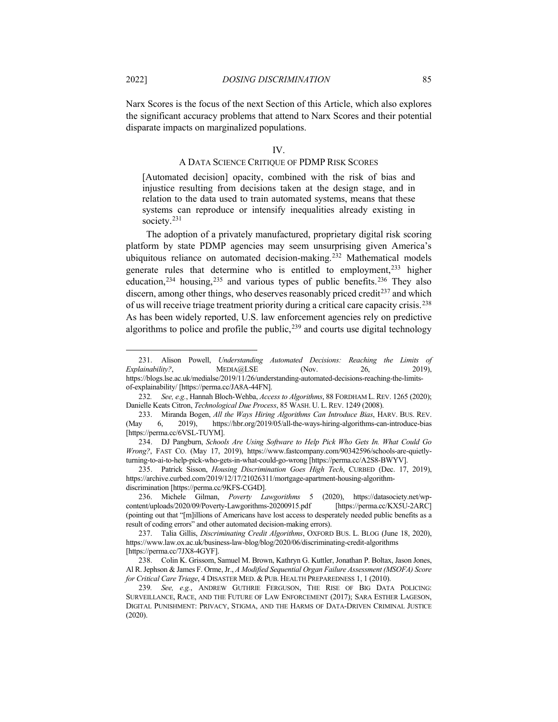Narx Scores is the focus of the next Section of this Article, which also explores the significant accuracy problems that attend to Narx Scores and their potential disparate impacts on marginalized populations.

#### <span id="page-38-9"></span>IV.

## A DATA SCIENCE CRITIQUE OF PDMP RISK SCORES

[Automated decision] opacity, combined with the risk of bias and injustice resulting from decisions taken at the design stage, and in relation to the data used to train automated systems, means that these systems can reproduce or intensify inequalities already existing in society.<sup>[231](#page-38-0)</sup>

The adoption of a privately manufactured, proprietary digital risk scoring platform by state PDMP agencies may seem unsurprising given America's ubiquitous reliance on automated decision-making.<sup>[232](#page-38-1)</sup> Mathematical models generate rules that determine who is entitled to employment,[233](#page-38-2) higher education,<sup>[234](#page-38-3)</sup> housing,<sup>[235](#page-38-4)</sup> and various types of public benefits.<sup>[236](#page-38-5)</sup> They also discern, among other things, who deserves reasonably priced credit<sup> $237$ </sup> and which of us will receive triage treatment priority during a critical care capacity crisis.<sup>[238](#page-38-7)</sup> As has been widely reported, U.S. law enforcement agencies rely on predictive algorithms to police and profile the public, [239](#page-38-8) and courts use digital technology

<span id="page-38-0"></span><sup>231.</sup> Alison Powell, *Understanding Automated Decisions: Reaching the Limits of Explainability?*, MEDIA@LSE (Nov. 26, 2019), https://blogs.lse.ac.uk/medialse/2019/11/26/understanding-automated-decisions-reaching-the-limitsof-explainability/ [https://perma.cc/JA8A-44FN].

<span id="page-38-1"></span><sup>232</sup>*. See, e.g.*, Hannah Bloch-Wehba, *Access to Algorithms*, 88 FORDHAM L. REV. 1265 (2020); Danielle Keats Citron, *Technological Due Process*, 85 WASH. U. L. REV. 1249 (2008).

<span id="page-38-2"></span><sup>233.</sup> Miranda Bogen, *All the Ways Hiring Algorithms Can Introduce Bias*, HARV. BUS. REV. (May 6, 2019), https://hbr.org/2019/05/all-the-ways-hiring-algorithms-can-introduce-bias [https://perma.cc/6VSL-TUYM].

<span id="page-38-3"></span><sup>234.</sup> DJ Pangburn, *Schools Are Using Software to Help Pick Who Gets In. What Could Go Wrong?*, FAST CO. (May 17, 2019), https://www.fastcompany.com/90342596/schools-are-quietlyturning-to-ai-to-help-pick-who-gets-in-what-could-go-wrong [https://perma.cc/A2S8-BWYV].

<span id="page-38-4"></span><sup>235.</sup> Patrick Sisson, *Housing Discrimination Goes High Tech*, CURBED (Dec. 17, 2019), https://archive.curbed.com/2019/12/17/21026311/mortgage-apartment-housing-algorithmdiscrimination [https://perma.cc/9KFS-CG4D].

<span id="page-38-5"></span><sup>236.</sup> Michele Gilman, *Poverty Lawgorithms* 5 (2020), https://datasociety.net/wpcontent/uploads/2020/09/Poverty-Lawgorithms-20200915.pdf [https://perma.cc/KX5U-2ARC] (pointing out that "[m]illions of Americans have lost access to desperately needed public benefits as a result of coding errors" and other automated decision-making errors).

<span id="page-38-6"></span><sup>237.</sup> Talia Gillis, *Discriminating Credit Algorithms*, OXFORD BUS. L. BLOG (June 18, 2020), https://www.law.ox.ac.uk/business-law-blog/blog/2020/06/discriminating-credit-algorithms [https://perma.cc/7JX8-4GYF].

<span id="page-38-7"></span><sup>238.</sup> Colin K. Grissom, Samuel M. Brown, Kathryn G. Kuttler, Jonathan P. Boltax, Jason Jones, Al R. Jephson & James F. Orme, Jr., *A Modified Sequential Organ Failure Assessment (MSOFA) Score for Critical Care Triage*, 4 DISASTER MED. & PUB. HEALTH PREPAREDNESS 1, 1 (2010).

<span id="page-38-8"></span><sup>239</sup>*. See, e.g.*, ANDREW GUTHRIE FERGUSON, THE RISE OF BIG DATA POLICING: SURVEILLANCE, RACE, AND THE FUTURE OF LAW ENFORCEMENT (2017); SARA ESTHER LAGESON, DIGITAL PUNISHMENT: PRIVACY, STIGMA, AND THE HARMS OF DATA-DRIVEN CRIMINAL JUSTICE (2020).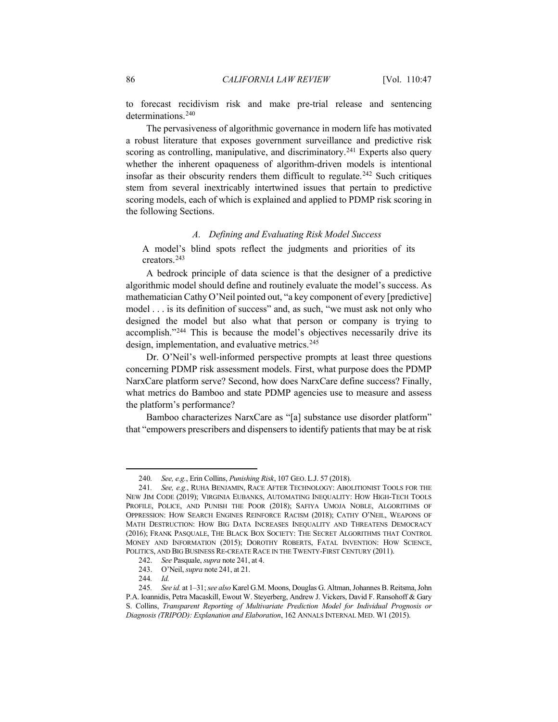to forecast recidivism risk and make pre-trial release and sentencing determinations.<sup>[240](#page-39-1)</sup>

The pervasiveness of algorithmic governance in modern life has motivated a robust literature that exposes government surveillance and predictive risk scoring as controlling, manipulative, and discriminatory.<sup>[241](#page-39-2)</sup> Experts also query whether the inherent opaqueness of algorithm-driven models is intentional insofar as their obscurity renders them difficult to regulate.<sup>[242](#page-39-3)</sup> Such critiques stem from several inextricably intertwined issues that pertain to predictive scoring models, each of which is explained and applied to PDMP risk scoring in the following Sections.

#### <span id="page-39-0"></span>*A. Defining and Evaluating Risk Model Success*

A model's blind spots reflect the judgments and priorities of its creators.[243](#page-39-4)

A bedrock principle of data science is that the designer of a predictive algorithmic model should define and routinely evaluate the model's success. As mathematician Cathy O'Neil pointed out, "a key component of every [predictive] model . . . is its definition of success" and, as such, "we must ask not only who designed the model but also what that person or company is trying to accomplish."[244](#page-39-5) This is because the model's objectives necessarily drive its design, implementation, and evaluative metrics.<sup>[245](#page-39-6)</sup>

Dr. O'Neil's well-informed perspective prompts at least three questions concerning PDMP risk assessment models. First, what purpose does the PDMP NarxCare platform serve? Second, how does NarxCare define success? Finally, what metrics do Bamboo and state PDMP agencies use to measure and assess the platform's performance?

Bamboo characterizes NarxCare as "[a] substance use disorder platform" that "empowers prescribers and dispensers to identify patients that may be at risk

<sup>240</sup>*. See, e.g.*, Erin Collins, *Punishing Risk*, 107 GEO. L.J. 57 (2018).

<span id="page-39-2"></span><span id="page-39-1"></span><sup>241</sup>*. See, e.g.*, RUHA BENJAMIN, RACE AFTER TECHNOLOGY: ABOLITIONIST TOOLS FOR THE NEW JIM CODE (2019); VIRGINIA EUBANKS, AUTOMATING INEQUALITY: HOW HIGH-TECH TOOLS PROFILE, POLICE, AND PUNISH THE POOR (2018); SAFIYA UMOJA NOBLE, ALGORITHMS OF OPPRESSION: HOW SEARCH ENGINES REINFORCE RACISM (2018); CATHY O'NEIL, WEAPONS OF MATH DESTRUCTION: HOW BIG DATA INCREASES INEQUALITY AND THREATENS DEMOCRACY (2016); FRANK PASQUALE, THE BLACK BOX SOCIETY: THE SECRET ALGORITHMS THAT CONTROL MONEY AND INFORMATION (2015); DOROTHY ROBERTS, FATAL INVENTION: HOW SCIENCE, POLITICS, AND BIG BUSINESS RE-CREATE RACE IN THE TWENTY-FIRST CENTURY (2011).

<sup>242.</sup> *See* Pasquale, *supra* not[e 241,](#page-39-0) at 4.

<sup>243.</sup> O'Neil, *supra* note [241,](#page-39-0) at 21.

<sup>244</sup>*. Id.*

<span id="page-39-6"></span><span id="page-39-5"></span><span id="page-39-4"></span><span id="page-39-3"></span><sup>245</sup>*. See id.* at 1–31; *see also* Karel G.M. Moons, Douglas G. Altman, Johannes B. Reitsma, John P.A. Ioannidis, Petra Macaskill, Ewout W. Steyerberg, Andrew J. Vickers, David F. Ransohoff & Gary S. Collins, *Transparent Reporting of Multivariate Prediction Model for Individual Prognosis or Diagnosis (TRIPOD): Explanation and Elaboration*, 162 ANNALS INTERNAL MED. W1 (2015).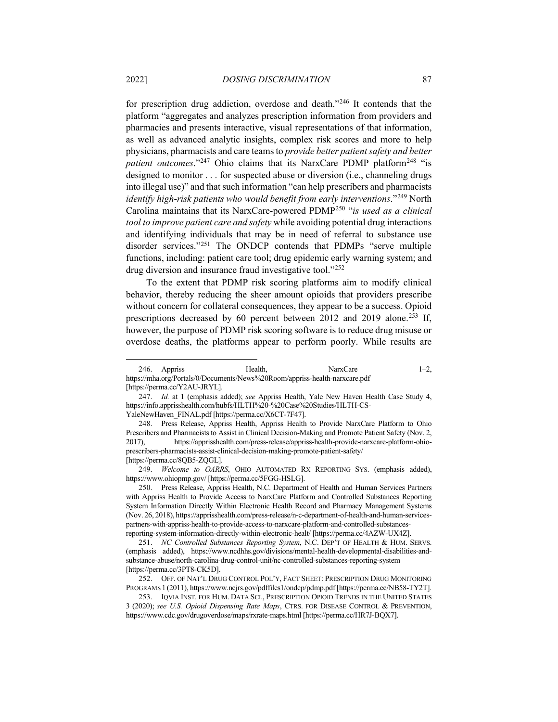<span id="page-40-8"></span>for prescription drug addiction, overdose and death."[246](#page-40-0) It contends that the platform "aggregates and analyzes prescription information from providers and pharmacies and presents interactive, visual representations of that information, as well as advanced analytic insights, complex risk scores and more to help physicians, pharmacists and care teams to *provide better patient safety and better patient outcomes.*"<sup>[247](#page-40-1)</sup> Ohio claims that its NarxCare PDMP platform<sup>[248](#page-40-2)</sup> "is designed to monitor . . . for suspected abuse or diversion (i.e., channeling drugs into illegal use)" and that such information "can help prescribers and pharmacists *identify high-risk patients who would benefit from early interventions*."[249](#page-40-3) North Carolina maintains that its NarxCare-powered PDM[P250](#page-40-4) "*is used as a clinical tool to improve patient care and safety* while avoiding potential drug interactions and identifying individuals that may be in need of referral to substance use disorder services.["251](#page-40-5) The ONDCP contends that PDMPs "serve multiple functions, including: patient care tool; drug epidemic early warning system; and drug diversion and insurance fraud investigative tool."[252](#page-40-6)

To the extent that PDMP risk scoring platforms aim to modify clinical behavior, thereby reducing the sheer amount opioids that providers prescribe without concern for collateral consequences, they appear to be a success. Opioid prescriptions decreased by 60 percent between 2012 and 2019 alone.<sup>[253](#page-40-7)</sup> If, however, the purpose of PDMP risk scoring software is to reduce drug misuse or overdose deaths, the platforms appear to perform poorly. While results are

<span id="page-40-0"></span><sup>246.</sup> Appriss Health, NarxCare 1–2, https://mha.org/Portals/0/Documents/News%20Room/appriss-health-narxcare.pdf [https://perma.cc/Y2AU-JRYL].

<span id="page-40-1"></span><sup>247.</sup> *Id.* at 1 (emphasis added); *see* Appriss Health, Yale New Haven Health Case Study 4, https://info.apprisshealth.com/hubfs/HLTH%20-%20Case%20Studies/HLTH-CS-YaleNewHaven\_FINAL.pdf [https://perma.cc/X6CT-7F47].

<span id="page-40-2"></span><sup>248.</sup> Press Release, Appriss Health, Appriss Health to Provide NarxCare Platform to Ohio Prescribers and Pharmacists to Assist in Clinical Decision-Making and Promote Patient Safety (Nov. 2, 2017), https://apprisshealth.com/press-release/appriss-health-provide-narxcare-platform-ohioprescribers-pharmacists-assist-clinical-decision-making-promote-patient-safety/ [https://perma.cc/8QB5-ZQGL].

<span id="page-40-3"></span><sup>249.</sup> *Welcome to OARRS*, OHIO AUTOMATED RX REPORTING SYS. (emphasis added), https://www.ohiopmp.gov/ [https://perma.cc/5FGG-HSLG].

<span id="page-40-4"></span><sup>250.</sup> Press Release, Appriss Health, N.C. Department of Health and Human Services Partners with Appriss Health to Provide Access to NarxCare Platform and Controlled Substances Reporting System Information Directly Within Electronic Health Record and Pharmacy Management Systems (Nov. 26, 2018), https://apprisshealth.com/press-release/n-c-department-of-health-and-human-servicespartners-with-appriss-health-to-provide-access-to-narxcare-platform-and-controlled-substancesreporting-system-information-directly-within-electronic-healt/ [https://perma.cc/4AZW-UX4Z].

<span id="page-40-5"></span><sup>251.</sup> *NC Controlled Substances Reporting System*, N.C. DEP'T OF HEALTH & HUM. SERVS. (emphasis added), https://www.ncdhhs.gov/divisions/mental-health-developmental-disabilities-andsubstance-abuse/north-carolina-drug-control-unit/nc-controlled-substances-reporting-system [https://perma.cc/3PT8-CK5D].

<span id="page-40-6"></span><sup>252.</sup> OFF. OF NAT'L DRUG CONTROL POL'Y, FACT SHEET: PRESCRIPTION DRUG MONITORING PROGRAMS 1 (2011), https://www.ncjrs.gov/pdffiles1/ondcp/pdmp.pdf[https://perma.cc/NB58-TY2T].

<span id="page-40-7"></span><sup>253.</sup> IQVIA INST. FOR HUM. DATA SCI., PRESCRIPTION OPIOID TRENDS IN THE UNITED STATES 3 (2020); *see U.S. Opioid Dispensing Rate Maps*, CTRS. FOR DISEASE CONTROL & PREVENTION, https://www.cdc.gov/drugoverdose/maps/rxrate-maps.html [https://perma.cc/HR7J-BQX7].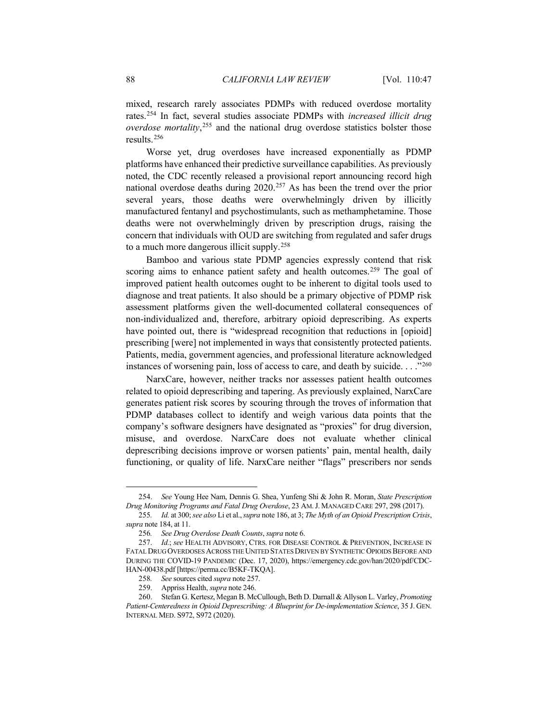mixed, research rarely associates PDMPs with reduced overdose mortality rates.[254](#page-41-1) In fact, several studies associate PDMPs with *increased illicit drug overdose mortality*, [255](#page-41-2) and the national drug overdose statistics bolster those results.[256](#page-41-3)

<span id="page-41-0"></span>Worse yet, drug overdoses have increased exponentially as PDMP platforms have enhanced their predictive surveillance capabilities. As previously noted, the CDC recently released a provisional report announcing record high national overdose deaths during 2020.[257](#page-41-4) As has been the trend over the prior several years, those deaths were overwhelmingly driven by illicitly manufactured fentanyl and psychostimulants, such as methamphetamine. Those deaths were not overwhelmingly driven by prescription drugs, raising the concern that individuals with OUD are switching from regulated and safer drugs to a much more dangerous illicit supply.[258](#page-41-5)

Bamboo and various state PDMP agencies expressly contend that risk scoring aims to enhance patient safety and health outcomes.<sup>[259](#page-41-6)</sup> The goal of improved patient health outcomes ought to be inherent to digital tools used to diagnose and treat patients. It also should be a primary objective of PDMP risk assessment platforms given the well-documented collateral consequences of non-individualized and, therefore, arbitrary opioid deprescribing. As experts have pointed out, there is "widespread recognition that reductions in [opioid] prescribing [were] not implemented in ways that consistently protected patients. Patients, media, government agencies, and professional literature acknowledged instances of worsening pain, loss of access to care, and death by suicide. . . ."[260](#page-41-7)

NarxCare, however, neither tracks nor assesses patient health outcomes related to opioid deprescribing and tapering. As previously explained, NarxCare generates patient risk scores by scouring through the troves of information that PDMP databases collect to identify and weigh various data points that the company's software designers have designated as "proxies" for drug diversion, misuse, and overdose. NarxCare does not evaluate whether clinical deprescribing decisions improve or worsen patients' pain, mental health, daily functioning, or quality of life. NarxCare neither "flags" prescribers nor sends

<span id="page-41-1"></span><sup>254.</sup> *See* Young Hee Nam, Dennis G. Shea, Yunfeng Shi & John R. Moran, *State Prescription Drug Monitoring Programs and Fatal Drug Overdose*, 23 AM.J. MANAGED CARE 297, 298 (2017).

<span id="page-41-2"></span><sup>255</sup>*. Id.* at 300; *see also* Li et al., *supra* note [186,](#page-31-9) at 3; *The Myth of an Opioid Prescription Crisis*, *supra* note [184,](#page-31-8) at 11.

<sup>256</sup>*. See Drug Overdose Death Counts*, *supra* not[e 6.](#page-5-4)

<span id="page-41-4"></span><span id="page-41-3"></span><sup>257.</sup> *Id.*; *see* HEALTH ADVISORY, CTRS. FOR DISEASE CONTROL & PREVENTION, INCREASE IN FATAL DRUG OVERDOSES ACROSS THE UNITED STATES DRIVEN BY SYNTHETIC OPIOIDS BEFORE AND DURING THE COVID-19 PANDEMIC (Dec. 17, 2020), https://emergency.cdc.gov/han/2020/pdf/CDC-HAN-00438.pdf [https://perma.cc/B5KF-TKQA].

<sup>258</sup>*. See* sources cited *supra* not[e 257.](#page-41-0)

<sup>259.</sup> Appriss Health, *supra* not[e 246.](#page-40-8)

<span id="page-41-7"></span><span id="page-41-6"></span><span id="page-41-5"></span><sup>260.</sup> Stefan G. Kertesz, Megan B. McCullough, Beth D. Darnall & Allyson L. Varley, *Promoting Patient-Centeredness in Opioid Deprescribing: A Blueprint for De-implementation Science*, 35 J. GEN. INTERNAL MED. S972, S972 (2020).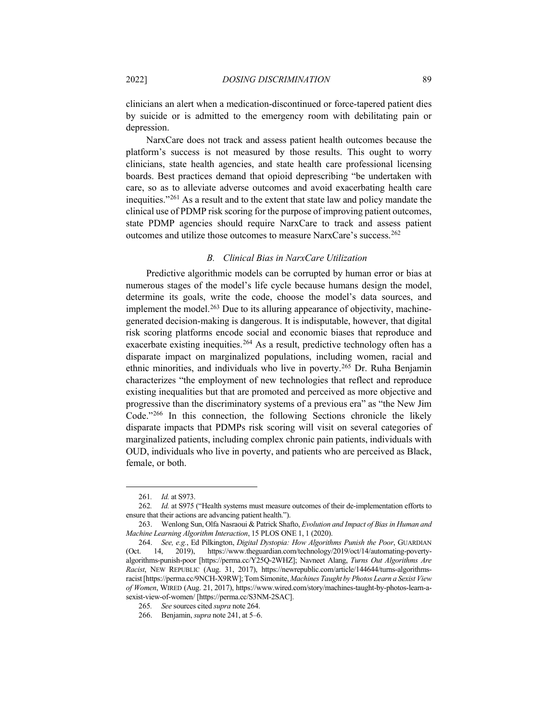clinicians an alert when a medication-discontinued or force-tapered patient dies by suicide or is admitted to the emergency room with debilitating pain or depression.

NarxCare does not track and assess patient health outcomes because the platform's success is not measured by those results. This ought to worry clinicians, state health agencies, and state health care professional licensing boards. Best practices demand that opioid deprescribing "be undertaken with care, so as to alleviate adverse outcomes and avoid exacerbating health care inequities."[261](#page-42-1) As a result and to the extent that state law and policy mandate the clinical use of PDMP risk scoring for the purpose of improving patient outcomes, state PDMP agencies should require NarxCare to track and assess patient outcomes and utilize those outcomes to measure NarxCare's success.[262](#page-42-2)

# <span id="page-42-0"></span>*B. Clinical Bias in NarxCare Utilization*

Predictive algorithmic models can be corrupted by human error or bias at numerous stages of the model's life cycle because humans design the model, determine its goals, write the code, choose the model's data sources, and implement the model.<sup>[263](#page-42-3)</sup> Due to its alluring appearance of objectivity, machinegenerated decision-making is dangerous. It is indisputable, however, that digital risk scoring platforms encode social and economic biases that reproduce and exacerbate existing inequities.<sup>[264](#page-42-4)</sup> As a result, predictive technology often has a disparate impact on marginalized populations, including women, racial and ethnic minorities, and individuals who live in poverty. [265](#page-42-5) Dr. Ruha Benjamin characterizes "the employment of new technologies that reflect and reproduce existing inequalities but that are promoted and perceived as more objective and progressive than the discriminatory systems of a previous era" as "the New Jim Code."[266](#page-42-6) In this connection, the following Sections chronicle the likely disparate impacts that PDMPs risk scoring will visit on several categories of marginalized patients, including complex chronic pain patients, individuals with OUD, individuals who live in poverty, and patients who are perceived as Black, female, or both.

<sup>261</sup>*. Id.* at S973.

<span id="page-42-2"></span><span id="page-42-1"></span><sup>262</sup>*. Id.* at S975 ("Health systems must measure outcomes of their de-implementation efforts to ensure that their actions are advancing patient health.").

<span id="page-42-3"></span><sup>263.</sup> Wenlong Sun, Olfa Nasraoui & Patrick Shafto, *Evolution and Impact of Bias in Human and Machine Learning Algorithm Interaction*, 15 PLOS ONE 1, 1 (2020).

<span id="page-42-4"></span><sup>264.</sup> *See, e.g.*, Ed Pilkington, *Digital Dystopia: How Algorithms Punish the Poor*, GUARDIAN (Oct. 14, 2019), https://www.theguardian.com/technology/2019/oct/14/automating-povertyalgorithms-punish-poor [https://perma.cc/Y25Q-2WHZ]; Navneet Alang, *Turns Out Algorithms Are Racist*, NEW REPUBLIC (Aug. 31, 2017), https://newrepublic.com/article/144644/turns-algorithmsracist [https://perma.cc/9NCH-X9RW]; Tom Simonite, *Machines Taught by Photos Learn a Sexist View of Women*, WIRED (Aug. 21, 2017), https://www.wired.com/story/machines-taught-by-photos-learn-asexist-view-of-women/ [https://perma.cc/S3NM-2SAC].

<sup>265</sup>*. See* sources cited *supra* not[e 264.](#page-42-0)

<span id="page-42-6"></span><span id="page-42-5"></span><sup>266.</sup> Benjamin, *supra* note [241,](#page-39-0) at 5–6.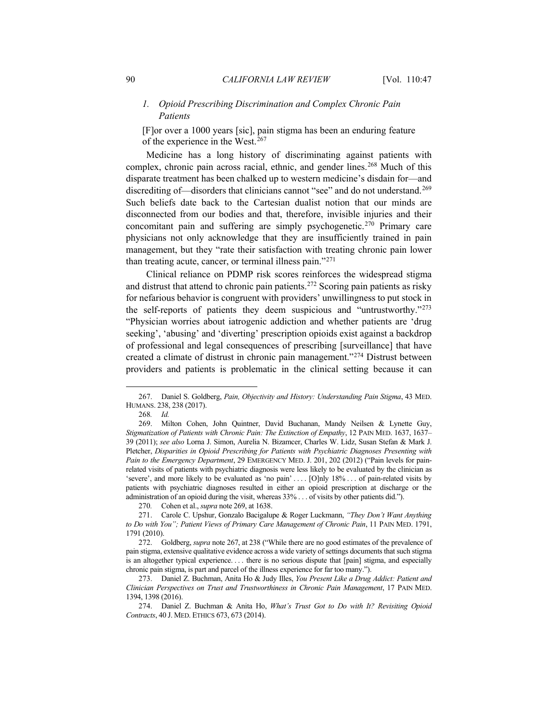# *1. Opioid Prescribing Discrimination and Complex Chronic Pain Patients*

<span id="page-43-1"></span><span id="page-43-0"></span>[F]or over a 1000 years [sic], pain stigma has been an enduring feature of the experience in the West.[267](#page-43-2)

Medicine has a long history of discriminating against patients with complex, chronic pain across racial, ethnic, and gender lines. [268](#page-43-3) Much of this disparate treatment has been chalked up to western medicine's disdain for—and discrediting of—disorders that clinicians cannot "see" and do not understand.<sup>[269](#page-43-4)</sup> Such beliefs date back to the Cartesian dualist notion that our minds are disconnected from our bodies and that, therefore, invisible injuries and their concomitant pain and suffering are simply psychogenetic.[270](#page-43-5) Primary care physicians not only acknowledge that they are insufficiently trained in pain management, but they "rate their satisfaction with treating chronic pain lower than treating acute, cancer, or terminal illness pain."[271](#page-43-6)

<span id="page-43-11"></span>Clinical reliance on PDMP risk scores reinforces the widespread stigma and distrust that attend to chronic pain patients.[272](#page-43-7) Scoring pain patients as risky for nefarious behavior is congruent with providers' unwillingness to put stock in the self-reports of patients they deem suspicious and "untrustworthy."[273](#page-43-8) "Physician worries about iatrogenic addiction and whether patients are 'drug seeking', 'abusing' and 'diverting' prescription opioids exist against a backdrop of professional and legal consequences of prescribing [surveillance] that have created a climate of distrust in chronic pain management."[274](#page-43-9) Distrust between providers and patients is problematic in the clinical setting because it can

<span id="page-43-2"></span><sup>267.</sup> Daniel S. Goldberg, *Pain, Objectivity and History: Understanding Pain Stigma*, 43 MED. HUMANS. 238, 238 (2017).

<span id="page-43-10"></span><sup>268</sup>*. Id.*

<span id="page-43-4"></span><span id="page-43-3"></span><sup>269.</sup> Milton Cohen, John Quintner, David Buchanan, Mandy Neilsen & Lynette Guy, *Stigmatization of Patients with Chronic Pain: The Extinction of Empathy*, 12 PAIN MED. 1637, 1637– 39 (2011); *see also* Lorna J. Simon, Aurelia N. Bizamcer, Charles W. Lidz, Susan Stefan & Mark J. Pletcher, *Disparities in Opioid Prescribing for Patients with Psychiatric Diagnoses Presenting with Pain to the Emergency Department*, 29 EMERGENCY MED. J. 201, 202 (2012) ("Pain levels for painrelated visits of patients with psychiatric diagnosis were less likely to be evaluated by the clinician as 'severe', and more likely to be evaluated as 'no pain' . . . . [O]nly 18% . . . of pain-related visits by patients with psychiatric diagnoses resulted in either an opioid prescription at discharge or the administration of an opioid during the visit, whereas 33% . . . of visits by other patients did.").

<sup>270</sup>*.* Cohen et al., *supra* note [269,](#page-43-0) at 1638.

<span id="page-43-6"></span><span id="page-43-5"></span><sup>271.</sup> Carole C. Upshur, Gonzalo Bacigalupe & Roger Luckmann, *"They Don't Want Anything to Do with You"; Patient Views of Primary Care Management of Chronic Pain*, 11 PAIN MED. 1791, 1791 (2010).

<span id="page-43-7"></span><sup>272.</sup> Goldberg, *supra* note [267,](#page-43-1) at 238 ("While there are no good estimates of the prevalence of pain stigma, extensive qualitative evidence across a wide variety of settings documents that such stigma is an altogether typical experience. . . . there is no serious dispute that [pain] stigma, and especially chronic pain stigma, is part and parcel of the illness experience for far too many.").

<span id="page-43-8"></span><sup>273.</sup> Daniel Z. Buchman, Anita Ho & Judy Illes, *You Present Like a Drug Addict: Patient and Clinician Perspectives on Trust and Trustworthiness in Chronic Pain Management*, 17 PAIN MED. 1394, 1398 (2016).

<span id="page-43-9"></span><sup>274.</sup> Daniel Z. Buchman & Anita Ho, *What's Trust Got to Do with It? Revisiting Opioid Contracts*, 40 J. MED. ETHICS 673, 673 (2014).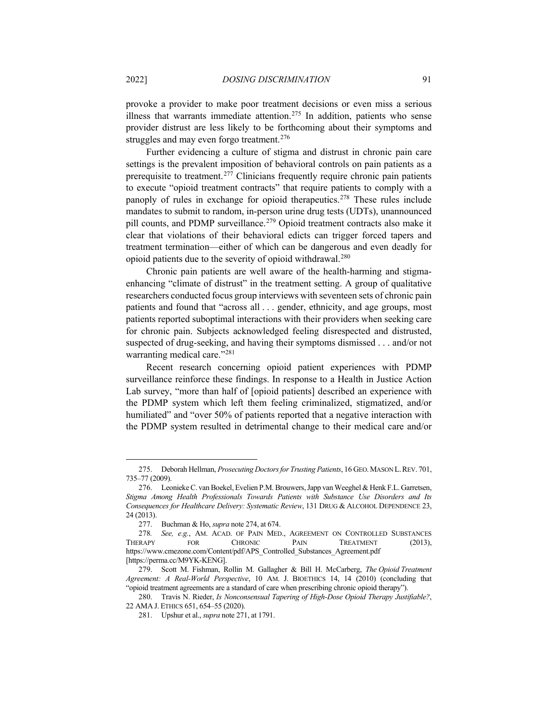provoke a provider to make poor treatment decisions or even miss a serious illness that warrants immediate attention.<sup>[275](#page-44-0)</sup> In addition, patients who sense provider distrust are less likely to be forthcoming about their symptoms and struggles and may even forgo treatment.<sup>[276](#page-44-1)</sup>

Further evidencing a culture of stigma and distrust in chronic pain care settings is the prevalent imposition of behavioral controls on pain patients as a prerequisite to treatment.<sup>[277](#page-44-2)</sup> Clinicians frequently require chronic pain patients to execute "opioid treatment contracts" that require patients to comply with a panoply of rules in exchange for opioid therapeutics.<sup>[278](#page-44-3)</sup> These rules include mandates to submit to random, in-person urine drug tests (UDTs), unannounced pill counts, and PDMP surveillance.<sup>[279](#page-44-4)</sup> Opioid treatment contracts also make it clear that violations of their behavioral edicts can trigger forced tapers and treatment termination—either of which can be dangerous and even deadly for opioid patients due to the severity of opioid withdrawal.[280](#page-44-5)

<span id="page-44-7"></span>Chronic pain patients are well aware of the health-harming and stigmaenhancing "climate of distrust" in the treatment setting. A group of qualitative researchers conducted focus group interviews with seventeen sets of chronic pain patients and found that "across all . . . gender, ethnicity, and age groups, most patients reported suboptimal interactions with their providers when seeking care for chronic pain. Subjects acknowledged feeling disrespected and distrusted, suspected of drug-seeking, and having their symptoms dismissed . . . and/or not warranting medical care."<sup>281</sup>

Recent research concerning opioid patient experiences with PDMP surveillance reinforce these findings. In response to a Health in Justice Action Lab survey, "more than half of [opioid patients] described an experience with the PDMP system which left them feeling criminalized, stigmatized, and/or humiliated" and "over 50% of patients reported that a negative interaction with the PDMP system resulted in detrimental change to their medical care and/or

<span id="page-44-0"></span><sup>275.</sup> Deborah Hellman, *Prosecuting Doctors for Trusting Patients*, 16 GEO.MASON L.REV. 701, 735–77 (2009).

<span id="page-44-1"></span><sup>276.</sup> Leonieke C. van Boekel, Evelien P.M. Brouwers, Japp van Weeghel & Henk F.L. Garretsen, *Stigma Among Health Professionals Towards Patients with Substance Use Disorders and Its Consequences for Healthcare Delivery: Systematic Review*, 131 DRUG & ALCOHOL DEPENDENCE 23, 24 (2013).

<sup>277.</sup> Buchman & Ho, *supra* note [274,](#page-43-10) at 674.

<span id="page-44-3"></span><span id="page-44-2"></span><sup>278</sup>*. See, e.g.*, AM. ACAD. OF PAIN MED., AGREEMENT ON CONTROLLED SUBSTANCES THERAPY FOR CHRONIC PAIN TREATMENT (2013), https://www.cmezone.com/Content/pdf/APS\_Controlled\_Substances\_Agreement.pdf [https://perma.cc/M9YK-KENG].

<span id="page-44-4"></span><sup>279.</sup> Scott M. Fishman, Rollin M. Gallagher & Bill H. McCarberg, *The Opioid Treatment Agreement: A Real-World Perspective*, 10 AM. J. BIOETHICS 14, 14 (2010) (concluding that "opioid treatment agreements are a standard of care when prescribing chronic opioid therapy").

<span id="page-44-6"></span><span id="page-44-5"></span><sup>280.</sup> Travis N. Rieder, *Is Nonconsensual Tapering of High-Dose Opioid Therapy Justifiable?*, 22 AMA J. ETHICS 651, 654–55 (2020).

<sup>281.</sup> Upshur et al., *supra* note [271,](#page-43-11) at 1791.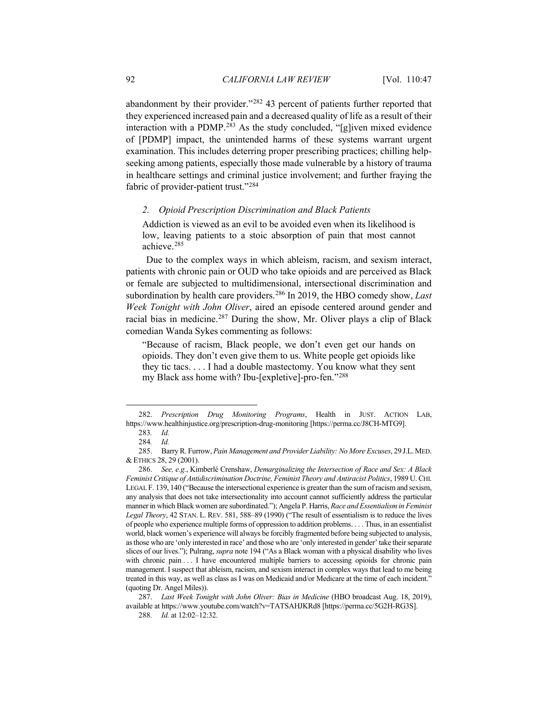abandonment by their provider."[282](#page-45-0) 43 percent of patients further reported that they experienced increased pain and a decreased quality of life as a result of their interaction with a PDMP.[283](#page-45-1) As the study concluded, "[g]iven mixed evidence of [PDMP] impact, the unintended harms of these systems warrant urgent examination. This includes deterring proper prescribing practices; chilling helpseeking among patients, especially those made vulnerable by a history of trauma in healthcare settings and criminal justice involvement; and further fraying the fabric of provider-patient trust."[284](#page-45-2) 

## *2. Opioid Prescription Discrimination and Black Patients*

Addiction is viewed as an evil to be avoided even when its likelihood is low, leaving patients to a stoic absorption of pain that most cannot achieve. [285](#page-45-3)

Due to the complex ways in which ableism, racism, and sexism interact, patients with chronic pain or OUD who take opioids and are perceived as Black or female are subjected to multidimensional, intersectional discrimination and subordination by health care providers.[286](#page-45-4) In 2019, the HBO comedy show, *Last Week Tonight with John Oliver*, aired an episode centered around gender and racial bias in medicine.<sup>[287](#page-45-5)</sup> During the show, Mr. Oliver plays a clip of Black comedian Wanda Sykes commenting as follows:

"Because of racism, Black people, we don't even get our hands on opioids. They don't even give them to us. White people get opioids like they tic tacs. . . . I had a double mastectomy. You know what they sent my Black ass home with? Ibu-[expletive]-pro-fen."[288](#page-45-6)

<span id="page-45-1"></span><span id="page-45-0"></span><sup>282.</sup> *Prescription Drug Monitoring Programs*, Health in JUST. ACTION LAB, https://www.healthinjustice.org/prescription-drug-monitoring [https://perma.cc/J8CH-MTG9].

<sup>283</sup>*. Id.*

<sup>284</sup>*. Id.*

<span id="page-45-3"></span><span id="page-45-2"></span><sup>285.</sup> Barry R. Furrow, *Pain Management and Provider Liability: No More Excuses*, 29 J.L.MED. & ETHICS 28, 29 (2001).

<span id="page-45-4"></span><sup>286.</sup> *See, e.g.*, Kimberlé Crenshaw, *Demarginalizing the Intersection of Race and Sex: A Black Feminist Critique of Antidiscrimination Doctrine, Feminist Theory and Antiracist Politics*, 1989 U.CHI. LEGAL F. 139, 140 ("Because the intersectional experience is greater than the sum of racism and sexism, any analysis that does not take intersectionality into account cannot sufficiently address the particular manner in which Black women are subordinated."); Angela P. Harris, *Race and Essentialism in Feminist Legal Theory*, 42 STAN. L. REV. 581, 588–89 (1990) ("The result of essentialism is to reduce the lives of people who experience multiple forms of oppression to addition problems. . . . Thus, in an essentialist world, black women's experience will always be forcibly fragmented before being subjected to analysis, as those who are 'only interested in race' and those who are 'only interested in gender' take their separate slices of our lives."); Pulrang, *supra* not[e 194](#page-32-9) ("As a Black woman with a physical disability who lives with chronic pain . . . I have encountered multiple barriers to accessing opioids for chronic pain management. I suspect that ableism, racism, and sexism interact in complex ways that lead to me being treated in this way, as well as class as I was on Medicaid and/or Medicare at the time of each incident." (quoting Dr. Angel Miles)).

<span id="page-45-6"></span><span id="page-45-5"></span><sup>287.</sup> *Last Week Tonight with John Oliver: Bias in Medicine* (HBO broadcast Aug. 18, 2019), available at https://www.youtube.com/watch?v=TATSAHJKRd8 [https://perma.cc/5G2H-RG3S].

<sup>288</sup>*. Id.* at 12:02–12:32.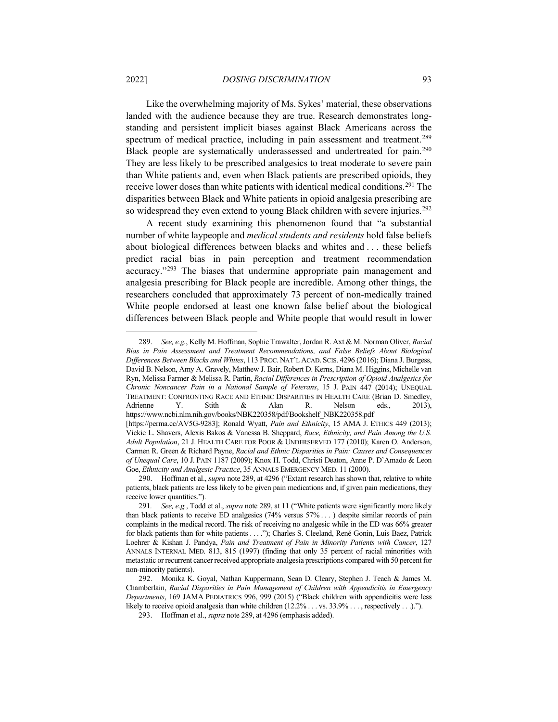<span id="page-46-0"></span>Like the overwhelming majority of Ms. Sykes' material, these observations landed with the audience because they are true. Research demonstrates longstanding and persistent implicit biases against Black Americans across the spectrum of medical practice, including in pain assessment and treatment.<sup>[289](#page-46-1)</sup> Black people are systematically underassessed and undertreated for pain.[290](#page-46-2) They are less likely to be prescribed analgesics to treat moderate to severe pain than White patients and, even when Black patients are prescribed opioids, they receive lower doses than white patients with identical medical conditions.[291](#page-46-3) The disparities between Black and White patients in opioid analgesia prescribing are so widespread they even extend to young Black children with severe injuries.<sup>[292](#page-46-4)</sup>

A recent study examining this phenomenon found that "a substantial number of white laypeople and *medical students and residents* hold false beliefs about biological differences between blacks and whites and . . . these beliefs predict racial bias in pain perception and treatment recommendation accuracy."[293](#page-46-5) The biases that undermine appropriate pain management and analgesia prescribing for Black people are incredible. Among other things, the researchers concluded that approximately 73 percent of non-medically trained White people endorsed at least one known false belief about the biological differences between Black people and White people that would result in lower

<span id="page-46-1"></span><sup>289.</sup> *See, e.g.*, Kelly M. Hoffman, Sophie Trawalter, Jordan R. Axt & M. Norman Oliver, *Racial Bias in Pain Assessment and Treatment Recommendations, and False Beliefs About Biological Differences Between Blacks and Whites*, 113 PROC. NAT'L ACAD. SCIS. 4296 (2016); Diana J. Burgess, David B. Nelson, Amy A. Gravely, Matthew J. Bair, Robert D. Kerns, Diana M. Higgins, Michelle van Ryn, Melissa Farmer & Melissa R. Partin, *Racial Differences in Prescription of Opioid Analgesics for Chronic Noncancer Pain in a National Sample of Veterans*, 15 J. PAIN 447 (2014); UNEQUAL TREATMENT: CONFRONTING RACE AND ETHNIC DISPARITIES IN HEALTH CARE (Brian D. Smedley, Adrienne Y. Stith & Alan R. Nelson eds., 2013), https://www.ncbi.nlm.nih.gov/books/NBK220358/pdf/Bookshelf\_NBK220358.pdf

<sup>[</sup>https://perma.cc/AV5G-9283]; Ronald Wyatt, *Pain and Ethnicity*, 15 AMA J. ETHICS 449 (2013); Vickie L. Shavers, Alexis Bakos & Vanessa B. Sheppard, *Race, Ethnicity, and Pain Among the U.S. Adult Population*, 21 J. HEALTH CARE FOR POOR & UNDERSERVED 177 (2010); Karen O. Anderson, Carmen R. Green & Richard Payne, *Racial and Ethnic Disparities in Pain: Causes and Consequences of Unequal Care*, 10 J. PAIN 1187 (2009); Knox H. Todd, Christi Deaton, Anne P. D'Amado & Leon Goe, *Ethnicity and Analgesic Practice*, 35 ANNALS EMERGENCY MED. 11 (2000).

<span id="page-46-2"></span><sup>290.</sup> Hoffman et al., *supra* note [289,](#page-46-0) at 4296 ("Extant research has shown that, relative to white patients, black patients are less likely to be given pain medications and, if given pain medications, they receive lower quantities.").

<span id="page-46-3"></span><sup>291</sup>*. See, e.g.*, Todd et al., *supra* note [289,](#page-46-0) at 11 ("White patients were significantly more likely than black patients to receive ED analgesics (74% versus 57% . . . ) despite similar records of pain complaints in the medical record. The risk of receiving no analgesic while in the ED was 66% greater for black patients than for white patients . . . ."); Charles S. Cleeland, René Gonin, Luis Baez, Patrick Loehrer & Kishan J. Pandya, *Pain and Treatment of Pain in Minority Patients with Cancer*, 127 ANNALS INTERNAL MED. 813, 815 (1997) (finding that only 35 percent of racial minorities with metastatic or recurrent cancer received appropriate analgesia prescriptions compared with 50 percent for non-minority patients).

<span id="page-46-5"></span><span id="page-46-4"></span><sup>292.</sup> Monika K. Goyal, Nathan Kuppermann, Sean D. Cleary, Stephen J. Teach & James M. Chamberlain, *Racial Disparities in Pain Management of Children with Appendicitis in Emergency Departments*, 169 JAMA PEDIATRICS 996, 999 (2015) ("Black children with appendicitis were less likely to receive opioid analgesia than white children (12.2% . . . vs. 33.9% . . . , respectively . . .).").

<sup>293.</sup> Hoffman et al., *supra* note [289,](#page-46-0) at 4296 (emphasis added).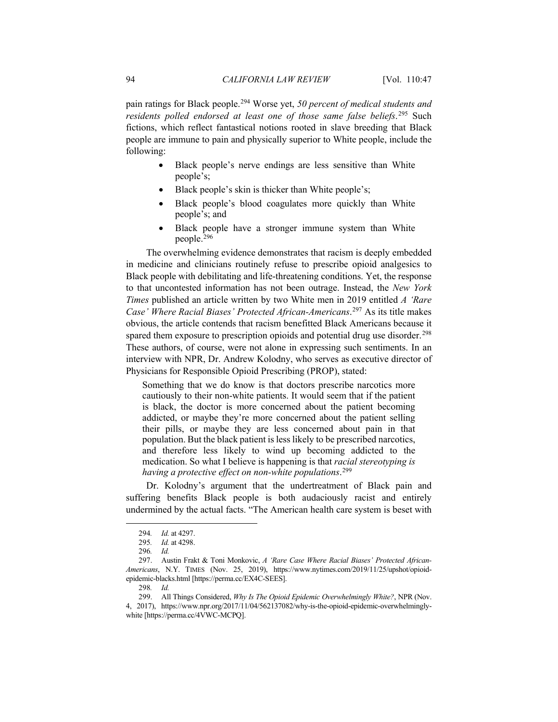pain ratings for Black people.[294](#page-47-0) Worse yet, *50 percent of medical students and residents polled endorsed at least one of those same false beliefs*. [295](#page-47-1) Such fictions, which reflect fantastical notions rooted in slave breeding that Black people are immune to pain and physically superior to White people, include the following:

- Black people's nerve endings are less sensitive than White people's;
- Black people's skin is thicker than White people's;
- Black people's blood coagulates more quickly than White people's; and
- Black people have a stronger immune system than White people.[296](#page-47-2)

The overwhelming evidence demonstrates that racism is deeply embedded in medicine and clinicians routinely refuse to prescribe opioid analgesics to Black people with debilitating and life-threatening conditions. Yet, the response to that uncontested information has not been outrage. Instead, the *New York Times* published an article written by two White men in 2019 entitled *A 'Rare Case' Where Racial Biases' Protected African-Americans*. [297](#page-47-3) As its title makes obvious, the article contends that racism benefitted Black Americans because it spared them exposure to prescription opioids and potential drug use disorder. [298](#page-47-4) These authors, of course, were not alone in expressing such sentiments. In an interview with NPR, Dr. Andrew Kolodny, who serves as executive director of Physicians for Responsible Opioid Prescribing (PROP), stated:

Something that we do know is that doctors prescribe narcotics more cautiously to their non-white patients. It would seem that if the patient is black, the doctor is more concerned about the patient becoming addicted, or maybe they're more concerned about the patient selling their pills, or maybe they are less concerned about pain in that population. But the black patient is less likely to be prescribed narcotics, and therefore less likely to wind up becoming addicted to the medication. So what I believe is happening is that *racial stereotyping is having a protective effect on non-white populations*. [299](#page-47-5)

Dr. Kolodny's argument that the undertreatment of Black pain and suffering benefits Black people is both audaciously racist and entirely undermined by the actual facts. "The American health care system is beset with

<sup>294</sup>*. Id.* at 4297.

<sup>295</sup>*. Id.* at 4298.

<sup>296</sup>*. Id.*

<span id="page-47-3"></span><span id="page-47-2"></span><span id="page-47-1"></span><span id="page-47-0"></span><sup>297.</sup> Austin Frakt & Toni Monkovic, *A 'Rare Case Where Racial Biases' Protected African-Americans*, N.Y. TIMES (Nov. 25, 2019), https://www.nytimes.com/2019/11/25/upshot/opioidepidemic-blacks.html [https://perma.cc/EX4C-SEES].

<sup>298</sup>*. Id.*

<span id="page-47-5"></span><span id="page-47-4"></span><sup>299.</sup> All Things Considered, *Why Is The Opioid Epidemic Overwhelmingly White?*, NPR (Nov. 4, 2017), https://www.npr.org/2017/11/04/562137082/why-is-the-opioid-epidemic-overwhelminglywhite [https://perma.cc/4VWC-MCPQ].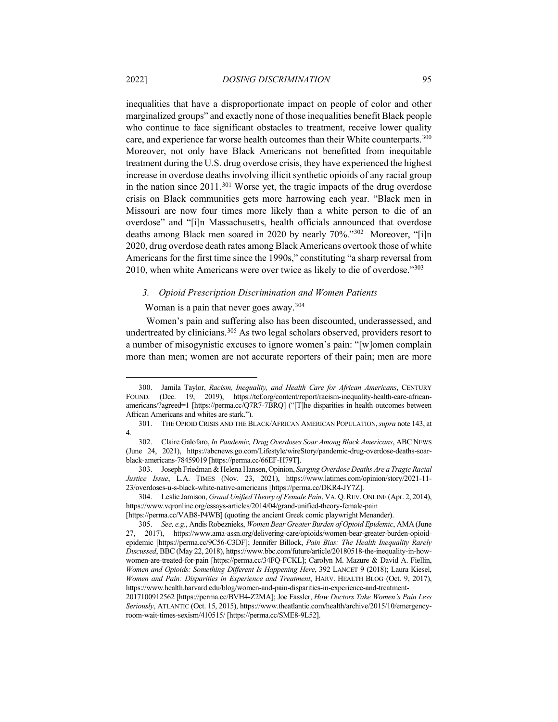inequalities that have a disproportionate impact on people of color and other marginalized groups" and exactly none of those inequalities benefit Black people who continue to face significant obstacles to treatment, receive lower quality care, and experience far worse health outcomes than their White counterparts.<sup>300</sup> Moreover, not only have Black Americans not benefitted from inequitable treatment during the U.S. drug overdose crisis, they have experienced the highest increase in overdose deaths involving illicit synthetic opioids of any racial group in the nation since  $2011$ .<sup>[301](#page-48-1)</sup> Worse yet, the tragic impacts of the drug overdose crisis on Black communities gets more harrowing each year. "Black men in Missouri are now four times more likely than a white person to die of an overdose" and "[i]n Massachusetts, health officials announced that overdose deaths among Black men soared in 2020 by nearly 70%."[302](#page-48-2) Moreover, "[i]n 2020, drug overdose death rates among Black Americans overtook those of white Americans for the first time since the 1990s," constituting "a sharp reversal from 2010, when white Americans were over twice as likely to die of overdose."[303](#page-48-3)

#### *3. Opioid Prescription Discrimination and Women Patients*

Woman is a pain that never goes away.<sup>[304](#page-48-4)</sup>

Women's pain and suffering also has been discounted, underassessed, and undertreated by clinicians.<sup>305</sup> As two legal scholars observed, providers resort to a number of misogynistic excuses to ignore women's pain: "[w]omen complain more than men; women are not accurate reporters of their pain; men are more

<span id="page-48-0"></span><sup>300.</sup> Jamila Taylor, *Racism, Inequality, and Health Care for African Americans*, CENTURY FOUND. (Dec. 19, 2019), https://tcf.org/content/report/racism-inequality-health-care-africanamericans/?agreed=1 [https://perma.cc/Q7R7-7BRQ] ("[T]he disparities in health outcomes between African Americans and whites are stark.").

<span id="page-48-1"></span><sup>301.</sup> THE OPIOID CRISIS AND THE BLACK/AFRICAN AMERICAN POPULATION,*supra* note [143,](#page-25-6) at 4.

<span id="page-48-2"></span><sup>302.</sup> Claire Galofaro, *In Pandemic, Drug Overdoses Soar Among Black Americans*, ABC NEWS (June 24, 2021), https://abcnews.go.com/Lifestyle/wireStory/pandemic-drug-overdose-deaths-soarblack-americans-78459019 [https://perma.cc/66EF-H79T].

<span id="page-48-3"></span><sup>303.</sup> Joseph Friedman & Helena Hansen, Opinion, *Surging Overdose Deaths Are a Tragic Racial Justice Issue*, L.A. TIMES (Nov. 23, 2021), https://www.latimes.com/opinion/story/2021-11- 23/overdoses-u-s-black-white-native-americans [https://perma.cc/DKR4-JY7Z].

<span id="page-48-4"></span><sup>304.</sup> Leslie Jamison, *Grand Unified Theory of Female Pain*, VA.Q.REV. ONLINE (Apr. 2, 2014), https://www.vqronline.org/essays-articles/2014/04/grand-unified-theory-female-pain

<sup>[</sup>https://perma.cc/VAB8-P4WB] (quoting the ancient Greek comic playwright Menander).

<span id="page-48-5"></span><sup>305.</sup> *See, e.g.*, Andis Robeznieks, *Women Bear Greater Burden of Opioid Epidemic*, AMA(June 27, 2017), https://www.ama-assn.org/delivering-care/opioids/women-bear-greater-burden-opioidepidemic [https://perma.cc/9C56-C3DF]; Jennifer Billock, *Pain Bias: The Health Inequality Rarely Discussed*, BBC (May 22, 2018), https://www.bbc.com/future/article/20180518-the-inequality-in-howwomen-are-treated-for-pain [https://perma.cc/34FQ-FCKL]; Carolyn M. Mazure & David A. Fiellin, *Women and Opioids: Something Different Is Happening Here*, 392 LANCET 9 (2018); Laura Kiesel, *Women and Pain: Disparities in Experience and Treatment*, HARV. HEALTH BLOG (Oct. 9, 2017), https://www.health.harvard.edu/blog/women-and-pain-disparities-in-experience-and-treatment-2017100912562 [https://perma.cc/BVH4-Z2MA]; Joe Fassler, *How Doctors Take Women's Pain Less Seriously*, ATLANTIC (Oct. 15, 2015), https://www.theatlantic.com/health/archive/2015/10/emergencyroom-wait-times-sexism/410515/ [https://perma.cc/SME8-9L52].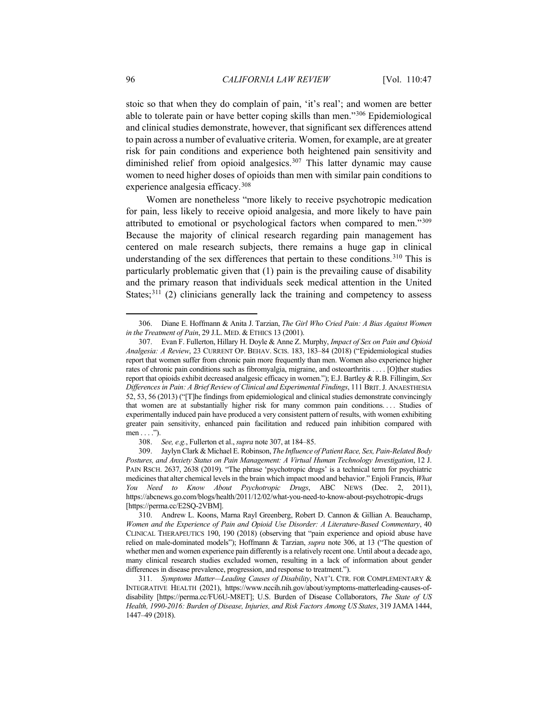<span id="page-49-1"></span>stoic so that when they do complain of pain, 'it's real'; and women are better able to tolerate pain or have better coping skills than men."[306](#page-49-2) Epidemiological and clinical studies demonstrate, however, that significant sex differences attend to pain across a number of evaluative criteria. Women, for example, are at greater risk for pain conditions and experience both heightened pain sensitivity and diminished relief from opioid analgesics.<sup>[307](#page-49-3)</sup> This latter dynamic may cause women to need higher doses of opioids than men with similar pain conditions to experience analgesia efficacy.[308](#page-49-4)

<span id="page-49-8"></span><span id="page-49-0"></span>Women are nonetheless "more likely to receive psychotropic medication for pain, less likely to receive opioid analgesia, and more likely to have pain attributed to emotional or psychological factors when compared to men."[309](#page-49-5) Because the majority of clinical research regarding pain management has centered on male research subjects, there remains a huge gap in clinical understanding of the sex differences that pertain to these conditions.<sup>[310](#page-49-6)</sup> This is particularly problematic given that (1) pain is the prevailing cause of disability and the primary reason that individuals seek medical attention in the United States; $311$  (2) clinicians generally lack the training and competency to assess

<span id="page-49-2"></span><sup>306.</sup> Diane E. Hoffmann & Anita J. Tarzian, *The Girl Who Cried Pain: A Bias Against Women in the Treatment of Pain*, 29 J.L. MED. & ETHICS 13 (2001).

<span id="page-49-3"></span><sup>307.</sup> Evan F. Fullerton, Hillary H. Doyle & Anne Z. Murphy, *Impact of Sex on Pain and Opioid Analgesia: A Review*, 23 CURRENT OP. BEHAV. SCIS. 183, 183–84 (2018) ("Epidemiological studies report that women suffer from chronic pain more frequently than men. Women also experience higher rates of chronic pain conditions such as fibromyalgia, migraine, and osteoarthritis . . . . [O]ther studies report that opioids exhibit decreased analgesic efficacy in women."); E.J. Bartley & R.B. Fillingim, *Sex Differences in Pain: A Brief Review of Clinical and Experimental Findings*, 111 BRIT.J. ANAESTHESIA 52, 53, 56 (2013) ("[T]he findings from epidemiological and clinical studies demonstrate convincingly that women are at substantially higher risk for many common pain conditions. . . . Studies of experimentally induced pain have produced a very consistent pattern of results, with women exhibiting greater pain sensitivity, enhanced pain facilitation and reduced pain inhibition compared with men . . . .").

<sup>308.</sup> *See, e.g.*, Fullerton et al., *supra* not[e 307,](#page-49-0) at 184–85.

<span id="page-49-5"></span><span id="page-49-4"></span><sup>309.</sup> Jaylyn Clark & Michael E. Robinson, *The Influence of Patient Race, Sex, Pain-Related Body Postures, and Anxiety Status on Pain Management: A Virtual Human Technology Investigation*, 12 J. PAIN RSCH. 2637, 2638 (2019). "The phrase 'psychotropic drugs' is a technical term for psychiatric medicines that alter chemical levels in the brain which impact mood and behavior." Enjoli Francis, *What You Need to Know About Psychotropic Drugs*, ABC NEWS (Dec. 2, 2011), https://abcnews.go.com/blogs/health/2011/12/02/what-you-need-to-know-about-psychotropic-drugs [https://perma.cc/E2SQ-2VBM].

<span id="page-49-6"></span><sup>310.</sup> Andrew L. Koons, Marna Rayl Greenberg, Robert D. Cannon & Gillian A. Beauchamp, *Women and the Experience of Pain and Opioid Use Disorder: A Literature-Based Commentary*, 40 CLINICAL THERAPEUTICS 190, 190 (2018) (observing that "pain experience and opioid abuse have relied on male-dominated models"); Hoffmann & Tarzian, *supra* note [306,](#page-49-1) at 13 ("The question of whether men and women experience pain differently is a relatively recent one. Until about a decade ago, many clinical research studies excluded women, resulting in a lack of information about gender differences in disease prevalence, progression, and response to treatment.").

<span id="page-49-7"></span><sup>311.</sup> *Symptoms Matter—Leading Causes of Disability*, NAT'L CTR. FOR COMPLEMENTARY & INTEGRATIVE HEALTH (2021), https://www.nccih.nih.gov/about/symptoms-matterleading-causes-ofdisability [https://perma.cc/FU6U-M8ET]; U.S. Burden of Disease Collaborators, *The State of US Health, 1990-2016: Burden of Disease, Injuries, and Risk Factors Among US States*, 319 JAMA 1444, 1447–49 (2018).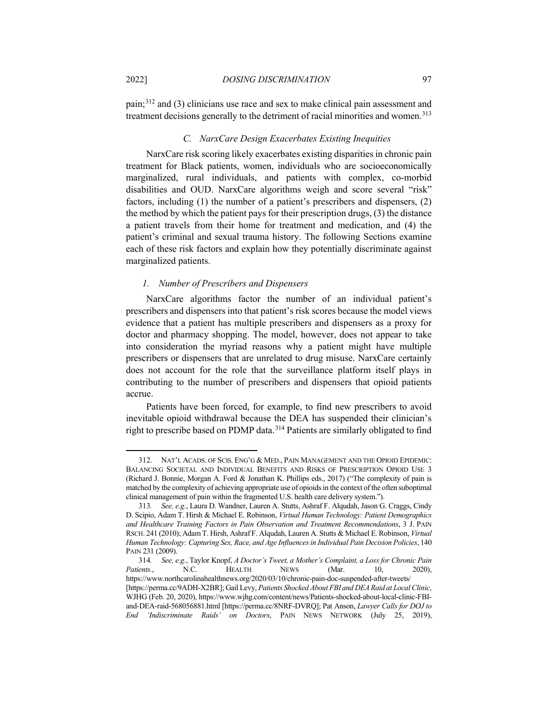pain;[312](#page-50-0) and (3) clinicians use race and sex to make clinical pain assessment and treatment decisions generally to the detriment of racial minorities and women.<sup>313</sup>

#### *C. NarxCare Design Exacerbates Existing Inequities*

NarxCare risk scoring likely exacerbates existing disparities in chronic pain treatment for Black patients, women, individuals who are socioeconomically marginalized, rural individuals, and patients with complex, co-morbid disabilities and OUD. NarxCare algorithms weigh and score several "risk" factors, including (1) the number of a patient's prescribers and dispensers, (2) the method by which the patient pays for their prescription drugs, (3) the distance a patient travels from their home for treatment and medication, and (4) the patient's criminal and sexual trauma history. The following Sections examine each of these risk factors and explain how they potentially discriminate against marginalized patients.

#### *1. Number of Prescribers and Dispensers*

NarxCare algorithms factor the number of an individual patient's prescribers and dispensers into that patient's risk scores because the model views evidence that a patient has multiple prescribers and dispensers as a proxy for doctor and pharmacy shopping. The model, however, does not appear to take into consideration the myriad reasons why a patient might have multiple prescribers or dispensers that are unrelated to drug misuse. NarxCare certainly does not account for the role that the surveillance platform itself plays in contributing to the number of prescribers and dispensers that opioid patients accrue.

Patients have been forced, for example, to find new prescribers to avoid inevitable opioid withdrawal because the DEA has suspended their clinician's right to prescribe based on PDMP data.<sup>[314](#page-50-2)</sup> Patients are similarly obligated to find

<span id="page-50-0"></span><sup>312.</sup> NAT'L ACADS. OF SCIS. ENG'G & MED., PAIN MANAGEMENT AND THE OPIOID EPIDEMIC: BALANCING SOCIETAL AND INDIVIDUAL BENEFITS AND RISKS OF PRESCRIPTION OPIOID USE 3 (Richard J. Bonnie, Morgan A. Ford & Jonathan K. Phillips eds., 2017) ("The complexity of pain is matched by the complexity of achieving appropriate use of opioids in the context of the often suboptimal clinical management of pain within the fragmented U.S. health care delivery system.").

<span id="page-50-1"></span><sup>313</sup>*. See, e.g.*, Laura D. Wandner, Lauren A. Stutts, Ashraf F. Alqudah, Jason G. Craggs, Cindy D. Scipio, Adam T. Hirsh & Michael E. Robinson, *Virtual Human Technology: Patient Demographics and Healthcare Training Factors in Pain Observation and Treatment Recommendations*, 3 J. PAIN RSCH. 241 (2010); Adam T. Hirsh, Ashraf F. Alqudah, Lauren A. Stutts & Michael E. Robinson, *Virtual Human Technology: Capturing Sex, Race, and Age Influences in Individual Pain Decision Policies*, 140 PAIN 231 (2009).

<span id="page-50-2"></span><sup>314</sup>*. See, e.g.*, Taylor Knopf, *A Doctor's Tweet, a Mother's Complaint, a Loss for Chronic Pain Patients.*, N.C. HEALTH NEWS (Mar. 10, 2020), https://www.northcarolinahealthnews.org/2020/03/10/chronic-pain-doc-suspended-after-tweets/ [https://perma.cc/9ADH-X2BR]; Gail Levy, *Patients Shocked About FBI and DEA Raid at Local Clinic*, WJHG (Feb. 20, 2020), https://www.wjhg.com/content/news/Patients-shocked-about-local-clinic-FBIand-DEA-raid-568056881.html [https://perma.cc/8NRF-DVRQ]; Pat Anson, *Lawyer Calls for DOJ to End 'Indiscriminate Raids' on Doctors*, PAIN NEWS NETWORK (July 25, 2019),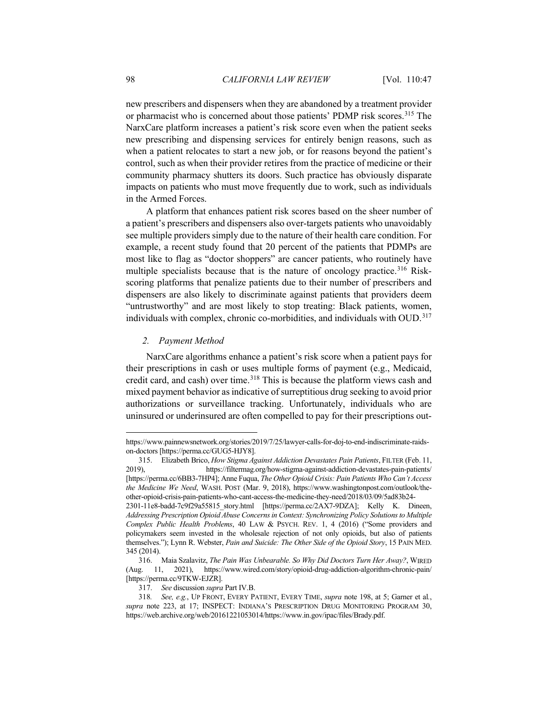new prescribers and dispensers when they are abandoned by a treatment provider or pharmacist who is concerned about those patients' PDMP risk scores.<sup>[315](#page-51-0)</sup> The NarxCare platform increases a patient's risk score even when the patient seeks new prescribing and dispensing services for entirely benign reasons, such as when a patient relocates to start a new job, or for reasons beyond the patient's control, such as when their provider retires from the practice of medicine or their community pharmacy shutters its doors. Such practice has obviously disparate impacts on patients who must move frequently due to work, such as individuals in the Armed Forces.

A platform that enhances patient risk scores based on the sheer number of a patient's prescribers and dispensers also over-targets patients who unavoidably see multiple providers simply due to the nature of their health care condition. For example, a recent study found that 20 percent of the patients that PDMPs are most like to flag as "doctor shoppers" are cancer patients, who routinely have multiple specialists because that is the nature of oncology practice. [316](#page-51-1) Riskscoring platforms that penalize patients due to their number of prescribers and dispensers are also likely to discriminate against patients that providers deem "untrustworthy" and are most likely to stop treating: Black patients, women, individuals with complex, chronic co-morbidities, and individuals with OUD. [317](#page-51-2)

# *2. Payment Method*

NarxCare algorithms enhance a patient's risk score when a patient pays for their prescriptions in cash or uses multiple forms of payment (e.g., Medicaid, credit card, and cash) over time.<sup>[318](#page-51-3)</sup> This is because the platform views cash and mixed payment behavior as indicative of surreptitious drug seeking to avoid prior authorizations or surveillance tracking. Unfortunately, individuals who are uninsured or underinsured are often compelled to pay for their prescriptions out-

https://www.painnewsnetwork.org/stories/2019/7/25/lawyer-calls-for-doj-to-end-indiscriminate-raidson-doctors [https://perma.cc/GUG5-HJY8].

<span id="page-51-0"></span><sup>315.</sup> Elizabeth Brico, *How Stigma Against Addiction Devastates Pain Patients*, FILTER (Feb. 11, 2019), https://filtermag.org/how-stigma-against-addiction-devastates-pain-patients/ [https://perma.cc/6BB3-7HP4]; Anne Fuqua, *The Other Opioid Crisis: Pain Patients Who Can't Access the Medicine We Need*, WASH. POST (Mar. 9, 2018), https://www.washingtonpost.com/outlook/theother-opioid-crisis-pain-patients-who-cant-access-the-medicine-they-need/2018/03/09/5ad83b24-

<sup>2301-11</sup>e8-badd-7c9f29a55815\_story.html [https://perma.cc/2AX7-9DZA]; Kelly K. Dineen, *Addressing Prescription Opioid Abuse Concerns in Context: Synchronizing Policy Solutions to Multiple Complex Public Health Problems*, 40 LAW & PSYCH. REV. 1, 4 (2016) ("Some providers and policymakers seem invested in the wholesale rejection of not only opioids, but also of patients themselves."); Lynn R. Webster, *Pain and Suicide: The Other Side of the Opioid Story*, 15 PAIN MED. 345 (2014).

<span id="page-51-1"></span><sup>316.</sup> Maia Szalavitz, *The Pain Was Unbearable. So Why Did Doctors Turn Her Away?*, WIRED (Aug. 11, 2021), https://www.wired.com/story/opioid-drug-addiction-algorithm-chronic-pain/ [https://perma.cc/9TKW-EJZR].

<sup>317.</sup> *See* discussion *supra* Part IV.B.

<span id="page-51-3"></span><span id="page-51-2"></span><sup>318</sup>*. See, e.g.*, UP FRONT, EVERY PATIENT, EVERY TIME, *supra* note [198,](#page-33-5) at 5; Garner et al*.*, *supra* note [223,](#page-36-11) at 17; INSPECT: INDIANA'S PRESCRIPTION DRUG MONITORING PROGRAM 30, https://web.archive.org/web/20161221053014/https://www.in.gov/ipac/files/Brady.pdf.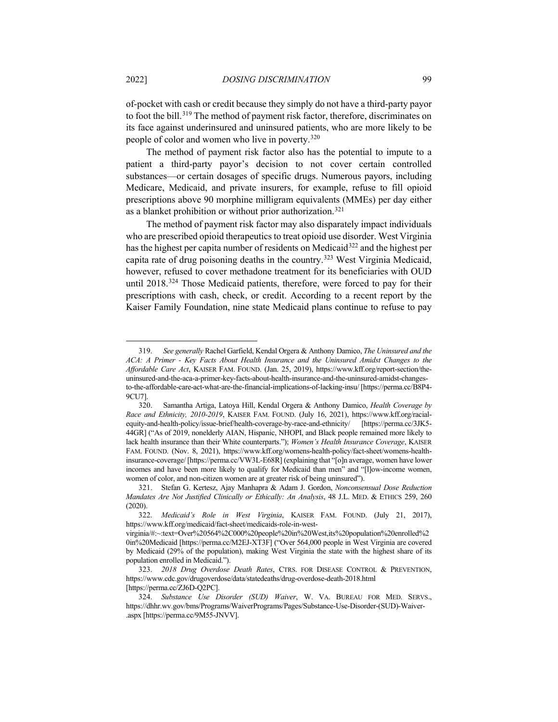of-pocket with cash or credit because they simply do not have a third-party payor to foot the bill.<sup>[319](#page-52-0)</sup> The method of payment risk factor, therefore, discriminates on its face against underinsured and uninsured patients, who are more likely to be people of color and women who live in poverty. [320](#page-52-1)

The method of payment risk factor also has the potential to impute to a patient a third-party payor's decision to not cover certain controlled substances—or certain dosages of specific drugs. Numerous payors, including Medicare, Medicaid, and private insurers, for example, refuse to fill opioid prescriptions above 90 morphine milligram equivalents (MMEs) per day either as a blanket prohibition or without prior authorization.[321](#page-52-2)

<span id="page-52-6"></span>The method of payment risk factor may also disparately impact individuals who are prescribed opioid therapeutics to treat opioid use disorder. West Virginia has the highest per capita number of residents on Medicaid<sup>[322](#page-52-3)</sup> and the highest per capita rate of drug poisoning deaths in the country.[323](#page-52-4) West Virginia Medicaid, however, refused to cover methadone treatment for its beneficiaries with OUD until 2018.[324](#page-52-5) Those Medicaid patients, therefore, were forced to pay for their prescriptions with cash, check, or credit. According to a recent report by the Kaiser Family Foundation, nine state Medicaid plans continue to refuse to pay

<span id="page-52-0"></span><sup>319.</sup> *See generally* Rachel Garfield, Kendal Orgera & Anthony Damico, *The Uninsured and the ACA: A Primer - Key Facts About Health Insurance and the Uninsured Amidst Changes to the Affordable Care Act*, KAISER FAM. FOUND. (Jan. 25, 2019), https://www.kff.org/report-section/theuninsured-and-the-aca-a-primer-key-facts-about-health-insurance-and-the-uninsured-amidst-changesto-the-affordable-care-act-what-are-the-financial-implications-of-lacking-insu/ [https://perma.cc/B8P4- 9CU7].

<span id="page-52-1"></span><sup>320.</sup> Samantha Artiga, Latoya Hill, Kendal Orgera & Anthony Damico, *Health Coverage by Race and Ethnicity, 2010-2019*, KAISER FAM. FOUND. (July 16, 2021), https://www.kff.org/racialequity-and-health-policy/issue-brief/health-coverage-by-race-and-ethnicity/ [https://perma.cc/3JK5- 44GR] ("As of 2019, nonelderly AIAN, Hispanic, NHOPI, and Black people remained more likely to lack health insurance than their White counterparts."); *Women's Health Insurance Coverage*, KAISER FAM. FOUND. (Nov. 8, 2021), https://www.kff.org/womens-health-policy/fact-sheet/womens-healthinsurance-coverage/ [https://perma.cc/VW3L-E68R] (explaining that "[o]n average, women have lower incomes and have been more likely to qualify for Medicaid than men" and "[l]ow-income women, women of color, and non-citizen women are at greater risk of being uninsured").

<span id="page-52-2"></span><sup>321.</sup> Stefan G. Kertesz, Ajay Manhapra & Adam J. Gordon, *Nonconsensual Dose Reduction Mandates Are Not Justified Clinically or Ethically: An Analysis*, 48 J.L. MED. & ETHICS 259, 260 (2020).

<span id="page-52-3"></span><sup>322.</sup> *Medicaid's Role in West Virginia*, KAISER FAM. FOUND. (July 21, 2017), https://www.kff.org/medicaid/fact-sheet/medicaids-role-in-west-

virginia/#:~:text=Over%20564%2C000%20people%20in%20West,its%20population%20enrolled%2 0in%20Medicaid [https://perma.cc/M2EJ-XT3F] ("Over 564,000 people in West Virginia are covered by Medicaid (29% of the population), making West Virginia the state with the highest share of its population enrolled in Medicaid.").

<span id="page-52-4"></span><sup>323.</sup> *2018 Drug Overdose Death Rates*, CTRS. FOR DISEASE CONTROL & PREVENTION, https://www.cdc.gov/drugoverdose/data/statedeaths/drug-overdose-death-2018.html [https://perma.cc/ZJ6D-Q2PC].

<span id="page-52-5"></span><sup>324.</sup> *Substance Use Disorder (SUD) Waiver*, W. VA. BUREAU FOR MED. SERVS., https://dhhr.wv.gov/bms/Programs/WaiverPrograms/Pages/Substance-Use-Disorder-(SUD)-Waiver- .aspx [https://perma.cc/9M55-JNVV].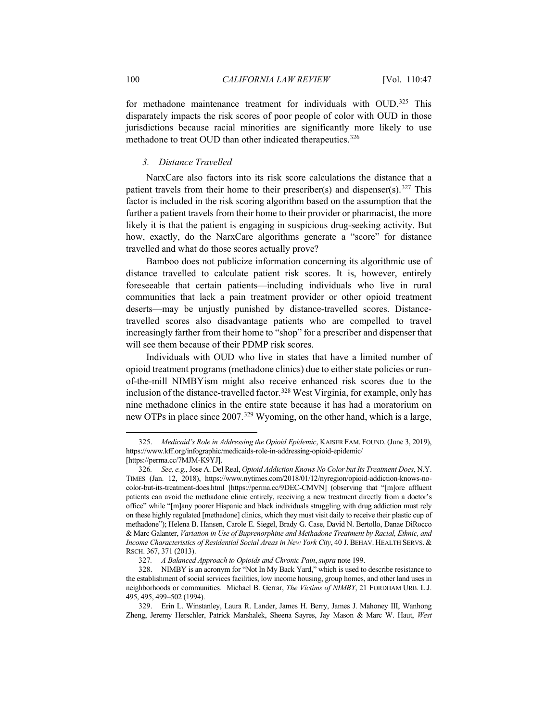for methadone maintenance treatment for individuals with OUD.<sup>[325](#page-53-0)</sup> This disparately impacts the risk scores of poor people of color with OUD in those jurisdictions because racial minorities are significantly more likely to use methadone to treat OUD than other indicated therapeutics.<sup>[326](#page-53-1)</sup>

## *3. Distance Travelled*

NarxCare also factors into its risk score calculations the distance that a patient travels from their home to their prescriber(s) and dispenser(s).<sup>[327](#page-53-2)</sup> This factor is included in the risk scoring algorithm based on the assumption that the further a patient travels from their home to their provider or pharmacist, the more likely it is that the patient is engaging in suspicious drug-seeking activity. But how, exactly, do the NarxCare algorithms generate a "score" for distance travelled and what do those scores actually prove?

Bamboo does not publicize information concerning its algorithmic use of distance travelled to calculate patient risk scores. It is, however, entirely foreseeable that certain patients—including individuals who live in rural communities that lack a pain treatment provider or other opioid treatment deserts—may be unjustly punished by distance-travelled scores. Distancetravelled scores also disadvantage patients who are compelled to travel increasingly farther from their home to "shop" for a prescriber and dispenser that will see them because of their PDMP risk scores.

Individuals with OUD who live in states that have a limited number of opioid treatment programs (methadone clinics) due to either state policies or runof-the-mill NIMBYism might also receive enhanced risk scores due to the inclusion of the distance-travelled factor. [328](#page-53-3) West Virginia, for example, only has nine methadone clinics in the entire state because it has had a moratorium on new OTPs in place since 2007.[329](#page-53-4) Wyoming, on the other hand, which is a large,

<span id="page-53-0"></span><sup>325.</sup> *Medicaid's Role in Addressing the Opioid Epidemic*, KAISER FAM. FOUND. (June 3, 2019), https://www.kff.org/infographic/medicaids-role-in-addressing-opioid-epidemic/ [https://perma.cc/7MJM-K9YJ].

<span id="page-53-1"></span><sup>326</sup>*. See, e.g.*, Jose A. Del Real, *Opioid Addiction Knows No Color but Its Treatment Does*, N.Y. TIMES (Jan. 12, 2018), https://www.nytimes.com/2018/01/12/nyregion/opioid-addiction-knows-nocolor-but-its-treatment-does.html [https://perma.cc/9DEC-CMVN] (observing that "[m]ore affluent patients can avoid the methadone clinic entirely, receiving a new treatment directly from a doctor's office" while "[m]any poorer Hispanic and black individuals struggling with drug addiction must rely on these highly regulated [methadone] clinics, which they must visit daily to receive their plastic cup of methadone"); Helena B. Hansen, Carole E. Siegel, Brady G. Case, David N. Bertollo, Danae DiRocco & Marc Galanter, *Variation in Use of Buprenorphine and Methadone Treatment by Racial, Ethnic, and Income Characteristics of Residential Social Areas in New York City*, 40 J. BEHAV. HEALTH SERVS. &

<span id="page-53-2"></span>RSCH. 367, 371 (2013).

<sup>327</sup>*. A Balanced Approach to Opioids and Chronic Pain*, *supra* note [199.](#page-34-7)

<span id="page-53-3"></span><sup>328.</sup> NIMBY is an acronym for "Not In My Back Yard," which is used to describe resistance to the establishment of social services facilities, low income housing, group homes, and other land uses in neighborhoods or communities. Michael B. Gerrar, *The Victims of NIMBY*, 21 FORDHAM URB. L.J. 495, 495, 499–502 (1994).

<span id="page-53-4"></span><sup>329.</sup> Erin L. Winstanley, Laura R. Lander, James H. Berry, James J. Mahoney III, Wanhong Zheng, Jeremy Herschler, Patrick Marshalek, Sheena Sayres, Jay Mason & Marc W. Haut, *West*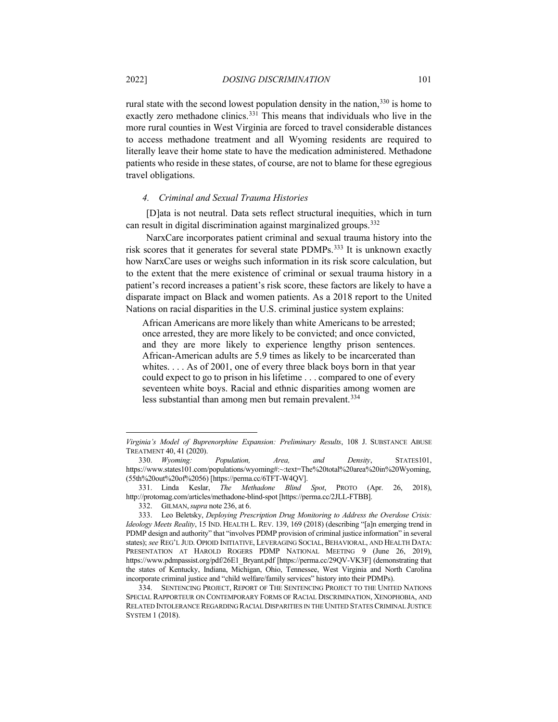rural state with the second lowest population density in the nation,  $330$  is home to exactly zero methadone clinics.[331](#page-54-1) This means that individuals who live in the more rural counties in West Virginia are forced to travel considerable distances to access methadone treatment and all Wyoming residents are required to literally leave their home state to have the medication administered. Methadone patients who reside in these states, of course, are not to blame for these egregious travel obligations.

#### *4. Criminal and Sexual Trauma Histories*

[D]ata is not neutral. Data sets reflect structural inequities, which in turn can result in digital discrimination against marginalized groups[.332](#page-54-2)

NarxCare incorporates patient criminal and sexual trauma history into the risk scores that it generates for several state PDMPs.<sup>333</sup> It is unknown exactly how NarxCare uses or weighs such information in its risk score calculation, but to the extent that the mere existence of criminal or sexual trauma history in a patient's record increases a patient's risk score, these factors are likely to have a disparate impact on Black and women patients. As a 2018 report to the United Nations on racial disparities in the U.S. criminal justice system explains:

African Americans are more likely than white Americans to be arrested; once arrested, they are more likely to be convicted; and once convicted, and they are more likely to experience lengthy prison sentences. African-American adults are 5.9 times as likely to be incarcerated than whites. . . . As of 2001, one of every three black boys born in that year could expect to go to prison in his lifetime . . . compared to one of every seventeen white boys. Racial and ethnic disparities among women are less substantial than among men but remain prevalent.<sup>[334](#page-54-4)</sup>

*Virginia's Model of Buprenorphine Expansion: Preliminary Results*, 108 J. SUBSTANCE ABUSE TREATMENT 40, 41 (2020).

<span id="page-54-0"></span><sup>330.</sup> *Wyoming: Population, Area, and Density*, STATES101, https://www.states101.com/populations/wyoming#:~:text=The%20total%20area%20in%20Wyoming, (55th%20out%20of%2056) [https://perma.cc/6TFT-W4QV].

<span id="page-54-1"></span><sup>331.</sup> Linda Keslar, *The Methadone Blind Spot*, PROTO (Apr. 26, 2018), http://protomag.com/articles/methadone-blind-spot [https://perma.cc/2JLL-FTBB].

<sup>332.</sup> GILMAN,*supra* not[e 236,](#page-38-9) at 6.

<span id="page-54-3"></span><span id="page-54-2"></span><sup>333.</sup> Leo Beletsky, *Deploying Prescription Drug Monitoring to Address the Overdose Crisis: Ideology Meets Reality*, 15 IND. HEALTH L. REV. 139, 169 (2018) (describing "[a]n emerging trend in PDMP design and authority" that "involves PDMP provision of criminal justice information" in several states); *see* REG'L JUD. OPIOID INITIATIVE, LEVERAGING SOCIAL, BEHAVIORAL, AND HEALTH DATA: PRESENTATION AT HAROLD ROGERS PDMP NATIONAL MEETING 9 (June 26, 2019), https://www.pdmpassist.org/pdf/26E1\_Bryant.pdf [https://perma.cc/29QV-VK3F] (demonstrating that the states of Kentucky, Indiana, Michigan, Ohio, Tennessee, West Virginia and North Carolina incorporate criminal justice and "child welfare/family services" history into their PDMPs).

<span id="page-54-4"></span><sup>334.</sup> SENTENCING PROJECT, REPORT OF THE SENTENCING PROJECT TO THE UNITED NATIONS SPECIAL RAPPORTEUR ON CONTEMPORARY FORMS OF RACIAL DISCRIMINATION, XENOPHOBIA, AND RELATED INTOLERANCE REGARDING RACIAL DISPARITIES IN THE UNITED STATES CRIMINAL JUSTICE SYSTEM 1 (2018).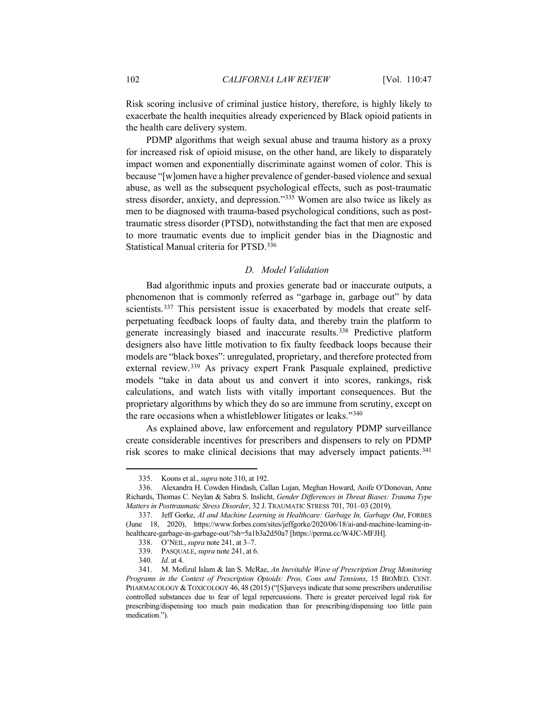Risk scoring inclusive of criminal justice history, therefore, is highly likely to exacerbate the health inequities already experienced by Black opioid patients in the health care delivery system.

PDMP algorithms that weigh sexual abuse and trauma history as a proxy for increased risk of opioid misuse, on the other hand, are likely to disparately impact women and exponentially discriminate against women of color. This is because "[w]omen have a higher prevalence of gender-based violence and sexual abuse, as well as the subsequent psychological effects, such as post-traumatic stress disorder, anxiety, and depression."[335](#page-55-0) Women are also twice as likely as men to be diagnosed with trauma-based psychological conditions, such as posttraumatic stress disorder (PTSD), notwithstanding the fact that men are exposed to more traumatic events due to implicit gender bias in the Diagnostic and Statistical Manual criteria for PTSD.[336](#page-55-1)

## *D. Model Validation*

Bad algorithmic inputs and proxies generate bad or inaccurate outputs, a phenomenon that is commonly referred as "garbage in, garbage out" by data scientists.<sup>[337](#page-55-2)</sup> This persistent issue is exacerbated by models that create selfperpetuating feedback loops of faulty data, and thereby train the platform to generate increasingly biased and inaccurate results.[338](#page-55-3) Predictive platform designers also have little motivation to fix faulty feedback loops because their models are "black boxes": unregulated, proprietary, and therefore protected from external review.[339](#page-55-4) As privacy expert Frank Pasquale explained, predictive models "take in data about us and convert it into scores, rankings, risk calculations, and watch lists with vitally important consequences. But the proprietary algorithms by which they do so are immune from scrutiny, except on the rare occasions when a whistleblower litigates or leaks.["340](#page-55-5)

As explained above, law enforcement and regulatory PDMP surveillance create considerable incentives for prescribers and dispensers to rely on PDMP risk scores to make clinical decisions that may adversely impact patients.<sup>[341](#page-55-6)</sup>

<sup>335.</sup> Koons et al., *supra* note [310,](#page-49-8) at 192.

<span id="page-55-1"></span><span id="page-55-0"></span><sup>336.</sup> Alexandra H. Cowden Hindash, Callan Lujan, Meghan Howard, Aoife O'Donovan, Anne Richards, Thomas C. Neylan & Sabra S. Inslicht, *Gender Differences in Threat Biases: Trauma Type Matters in Posttraumatic Stress Disorder*, 32 J. TRAUMATIC STRESS 701, 701–03 (2019).

<span id="page-55-3"></span><span id="page-55-2"></span><sup>337.</sup> Jeff Gorke, *AI and Machine Learning in Healthcare: Garbage In, Garbage Out*, FORBES (June 18, 2020), https://www.forbes.com/sites/jeffgorke/2020/06/18/ai-and-machine-learning-inhealthcare-garbage-in-garbage-out/?sh=5a1b3a2d50a7 [https://perma.cc/W4JC-MFJH].

<sup>338.</sup> O'NEIL, *supra* note [241,](#page-39-0) at 3–7.

<sup>339.</sup> PASQUALE, *supra* note [241,](#page-39-0) at 6.

<sup>340.</sup> *Id.* at 4.

<span id="page-55-6"></span><span id="page-55-5"></span><span id="page-55-4"></span><sup>341.</sup> M. Mofizul Islam & Ian S. McRae, *An Inevitable Wave of Prescription Drug Monitoring Programs in the Context of Prescription Opioids: Pros, Cons and Tensions*, 15 BIOMED. CENT. PHARMACOLOGY & TOXICOLOGY 46, 48 (2015) ("[S]urveys indicate that some prescribers underutilise controlled substances due to fear of legal repercussions. There is greater perceived legal risk for prescribing/dispensing too much pain medication than for prescribing/dispensing too little pain medication.").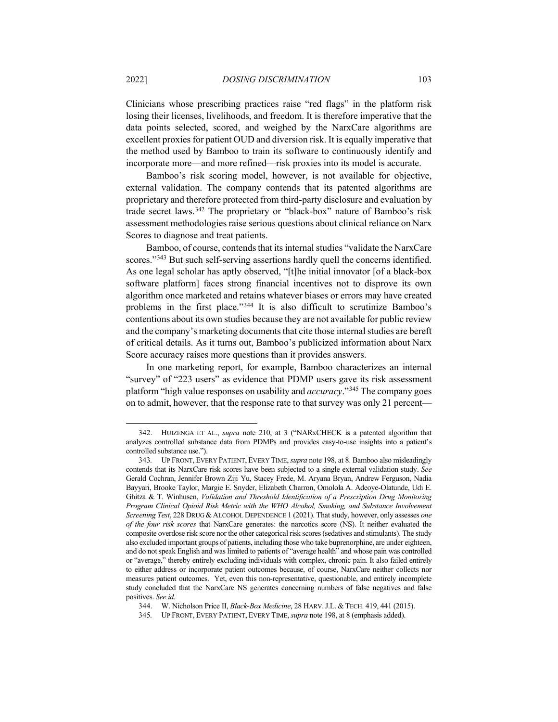Clinicians whose prescribing practices raise "red flags" in the platform risk losing their licenses, livelihoods, and freedom. It is therefore imperative that the data points selected, scored, and weighed by the NarxCare algorithms are excellent proxies for patient OUD and diversion risk. It is equally imperative that the method used by Bamboo to train its software to continuously identify and incorporate more—and more refined—risk proxies into its model is accurate.

Bamboo's risk scoring model, however, is not available for objective, external validation. The company contends that its patented algorithms are proprietary and therefore protected from third-party disclosure and evaluation by trade secret laws.<sup>[342](#page-56-0)</sup> The proprietary or "black-box" nature of Bamboo's risk assessment methodologies raise serious questions about clinical reliance on Narx Scores to diagnose and treat patients.

Bamboo, of course, contends that its internal studies "validate the NarxCare scores."<sup>[343](#page-56-1)</sup> But such self-serving assertions hardly quell the concerns identified. As one legal scholar has aptly observed, "[t]he initial innovator [of a black-box software platform] faces strong financial incentives not to disprove its own algorithm once marketed and retains whatever biases or errors may have created problems in the first place."[344](#page-56-2) It is also difficult to scrutinize Bamboo's contentions about its own studies because they are not available for public review and the company's marketing documents that cite those internal studies are bereft of critical details. As it turns out, Bamboo's publicized information about Narx Score accuracy raises more questions than it provides answers.

In one marketing report, for example, Bamboo characterizes an internal "survey" of "223 users" as evidence that PDMP users gave its risk assessment platform "high value responses on usability and *accuracy*."[345](#page-56-3) The company goes on to admit, however, that the response rate to that survey was only 21 percent—

<span id="page-56-0"></span><sup>342.</sup> HUIZENGA ET AL., *supra* note [210,](#page-35-3) at 3 ("NARxCHECK is a patented algorithm that analyzes controlled substance data from PDMPs and provides easy-to-use insights into a patient's controlled substance use.").

<span id="page-56-1"></span><sup>343</sup>*.* UP FRONT, EVERY PATIENT, EVERY TIME, *supra* note [198,](#page-33-5) at 8. Bamboo also misleadingly contends that its NarxCare risk scores have been subjected to a single external validation study. *See*  Gerald Cochran, Jennifer Brown Ziji Yu, Stacey Frede, M. Aryana Bryan, Andrew Ferguson, Nadia Bayyari, Brooke Taylor, Margie E. Snyder, Elizabeth Charron, Omolola A. Adeoye-Olatunde, Udi E. Ghitza & T. Winhusen, *Validation and Threshold Identification of a Prescription Drug Monitoring Program Clinical Opioid Risk Metric with the WHO Alcohol, Smoking, and Substance Involvement Screening Test*, 228 DRUG &ALCOHOL DEPENDENCE 1 (2021). That study, however, only assesses *one of the four risk scores* that NarxCare generates: the narcotics score (NS). It neither evaluated the composite overdose risk score nor the other categorical risk scores (sedatives and stimulants). The study also excluded important groups of patients, including those who take buprenorphine, are under eighteen, and do not speak English and was limited to patients of "average health" and whose pain was controlled or "average," thereby entirely excluding individuals with complex, chronic pain. It also failed entirely to either address or incorporate patient outcomes because, of course, NarxCare neither collects nor measures patient outcomes. Yet, even this non-representative, questionable, and entirely incomplete study concluded that the NarxCare NS generates concerning numbers of false negatives and false positives. *See id.*

<sup>344.</sup> W. Nicholson Price II, *Black-Box Medicine*, 28 HARV.J.L. &TECH. 419, 441 (2015).

<span id="page-56-3"></span><span id="page-56-2"></span><sup>345</sup>*.* UP FRONT, EVERY PATIENT, EVERY TIME, *supra* note [198,](#page-33-5) at 8 (emphasis added).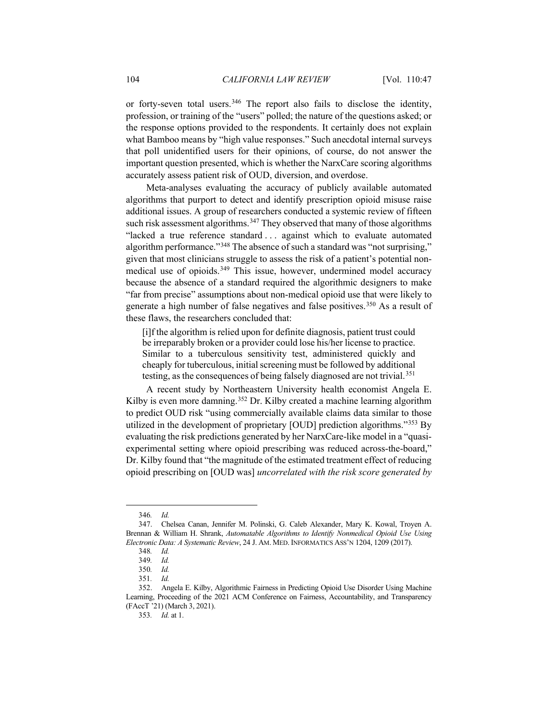or forty-seven total users.<sup>[346](#page-57-0)</sup> The report also fails to disclose the identity, profession, or training of the "users" polled; the nature of the questions asked; or the response options provided to the respondents. It certainly does not explain what Bamboo means by "high value responses." Such anecdotal internal surveys that poll unidentified users for their opinions, of course, do not answer the important question presented, which is whether the NarxCare scoring algorithms accurately assess patient risk of OUD, diversion, and overdose.

Meta-analyses evaluating the accuracy of publicly available automated algorithms that purport to detect and identify prescription opioid misuse raise additional issues. A group of researchers conducted a systemic review of fifteen such risk assessment algorithms.<sup>[347](#page-57-1)</sup> They observed that many of those algorithms "lacked a true reference standard . . . against which to evaluate automated algorithm performance."<sup>[348](#page-57-2)</sup> The absence of such a standard was "not surprising," given that most clinicians struggle to assess the risk of a patient's potential non-medical use of opioids.<sup>[349](#page-57-3)</sup> This issue, however, undermined model accuracy because the absence of a standard required the algorithmic designers to make "far from precise" assumptions about non-medical opioid use that were likely to generate a high number of false negatives and false positives.<sup>[350](#page-57-4)</sup> As a result of these flaws, the researchers concluded that:

[i]f the algorithm is relied upon for definite diagnosis, patient trust could be irreparably broken or a provider could lose his/her license to practice. Similar to a tuberculous sensitivity test, administered quickly and cheaply for tuberculous, initial screening must be followed by additional testing, as the consequences of being falsely diagnosed are not trivial.<sup>[351](#page-57-5)</sup>

<span id="page-57-8"></span>A recent study by Northeastern University health economist Angela E. Kilby is even more damning.<sup>[352](#page-57-6)</sup> Dr. Kilby created a machine learning algorithm to predict OUD risk "using commercially available claims data similar to those utilized in the development of proprietary [OUD] prediction algorithms."[353](#page-57-7) By evaluating the risk predictions generated by her NarxCare-like model in a "quasiexperimental setting where opioid prescribing was reduced across-the-board," Dr. Kilby found that "the magnitude of the estimated treatment effect of reducing opioid prescribing on [OUD was] *uncorrelated with the risk score generated by* 

<sup>346</sup>*. Id.*

<span id="page-57-2"></span><span id="page-57-1"></span><span id="page-57-0"></span><sup>347.</sup> Chelsea Canan, Jennifer M. Polinski, G. Caleb Alexander, Mary K. Kowal, Troyen A. Brennan & William H. Shrank, *Automatable Algorithms to Identify Nonmedical Opioid Use Using Electronic Data: A Systematic Review*, 24 J. AM. MED. INFORMATICS ASS'N 1204, 1209 (2017).

<sup>348</sup>*. Id.*

<sup>349</sup>*. Id.*

<sup>350</sup>*. Id.*

<sup>351</sup>*. Id.*

<span id="page-57-7"></span><span id="page-57-6"></span><span id="page-57-5"></span><span id="page-57-4"></span><span id="page-57-3"></span><sup>352.</sup> Angela E. Kilby, Algorithmic Fairness in Predicting Opioid Use Disorder Using Machine Learning, Proceeding of the 2021 ACM Conference on Fairness, Accountability, and Transparency (FAccT '21) (March 3, 2021).

<sup>353</sup>*. Id.* at 1.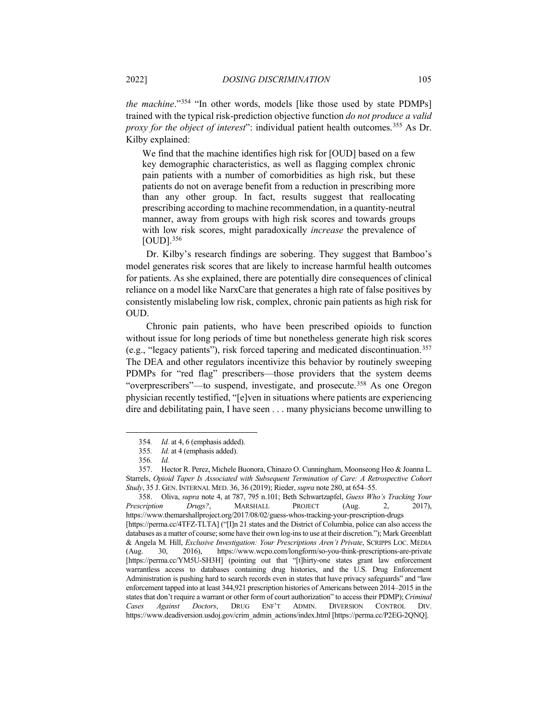*the machine*."<sup>[354](#page-58-0)</sup> "In other words, models [like those used by state PDMPs] trained with the typical risk-prediction objective function *do not produce a valid proxy for the object of interest*": individual patient health outcomes.[355](#page-58-1) As Dr. Kilby explained:

We find that the machine identifies high risk for [OUD] based on a few key demographic characteristics, as well as flagging complex chronic pain patients with a number of comorbidities as high risk, but these patients do not on average benefit from a reduction in prescribing more than any other group. In fact, results suggest that reallocating prescribing according to machine recommendation, in a quantity-neutral manner, away from groups with high risk scores and towards groups with low risk scores, might paradoxically *increase* the prevalence of  $[OUD]$ .  $356$ 

Dr. Kilby's research findings are sobering. They suggest that Bamboo's model generates risk scores that are likely to increase harmful health outcomes for patients. As she explained, there are potentially dire consequences of clinical reliance on a model like NarxCare that generates a high rate of false positives by consistently mislabeling low risk, complex, chronic pain patients as high risk for OUD.

<span id="page-58-6"></span>Chronic pain patients, who have been prescribed opioids to function without issue for long periods of time but nonetheless generate high risk scores (e.g., "legacy patients"), risk forced tapering and medicated discontinuation.[357](#page-58-3) The DEA and other regulators incentivize this behavior by routinely sweeping PDMPs for "red flag" prescribers—those providers that the system deems "overprescribers"—to suspend, investigate, and prosecute.<sup>[358](#page-58-4)</sup> As one Oregon physician recently testified, "[e]ven in situations where patients are experiencing dire and debilitating pain, I have seen . . . many physicians become unwilling to

<span id="page-58-4"></span>358. Oliva, *supra* note 4, at 787, 795 n.101; Beth Schwartzapfel, *Guess Who's Tracking Your Prescription Drugs?*, MARSHALL PROJECT (Aug. 2, https://www.themarshallproject.org/2017/08/02/guess-whos-tracking-your-prescription-drugs [https://perma.cc/4TFZ-TLTA] ("[I]n 21 states and the District of Columbia, police can also access the databases as a matter of course; some have their own log-ins to use at their discretion."); Mark Greenblatt & Angela M. Hill, *Exclusive Investigation: Your Prescriptions Aren't Private*, SCRIPPS LOC. MEDIA (Aug. 30, 2016), https://www.wcpo.com/longform/so-you-think-prescriptions-are-private [https://perma.cc/YM5U-SH3H] (pointing out that "[t]hirty-one states grant law enforcement warrantless access to databases containing drug histories, and the U.S. Drug Enforcement Administration is pushing hard to search records even in states that have privacy safeguards" and "law enforcement tapped into at least 344,921 prescription histories of Americans between 2014–2015 in the states that don't require a warrant or other form of court authorization" to access their PDMP);*Criminal Cases Against Doctors*, DRUG ENF'T ADMIN. DIVERSION CONTROL DIV. https://www.deadiversion.usdoj.gov/crim\_admin\_actions/index.html [https://perma.cc/P2EG-2QNQ].

<span id="page-58-5"></span><sup>354</sup>*. Id.* at 4, 6 (emphasis added).

<sup>355</sup>*. Id.* at 4 (emphasis added).

<sup>356</sup>*. Id.*

<span id="page-58-3"></span><span id="page-58-2"></span><span id="page-58-1"></span><span id="page-58-0"></span><sup>357.</sup> Hector R. Perez, Michele Buonora, Chinazo O. Cunningham, Moonseong Heo & Joanna L. Starrels, *Opioid Taper Is Associated with Subsequent Termination of Care: A Retrospective Cohort Study*, 35 J. GEN. INTERNAL MED. 36, 36 (2019); Rieder, *supra* note [280,](#page-44-7) at 654–55.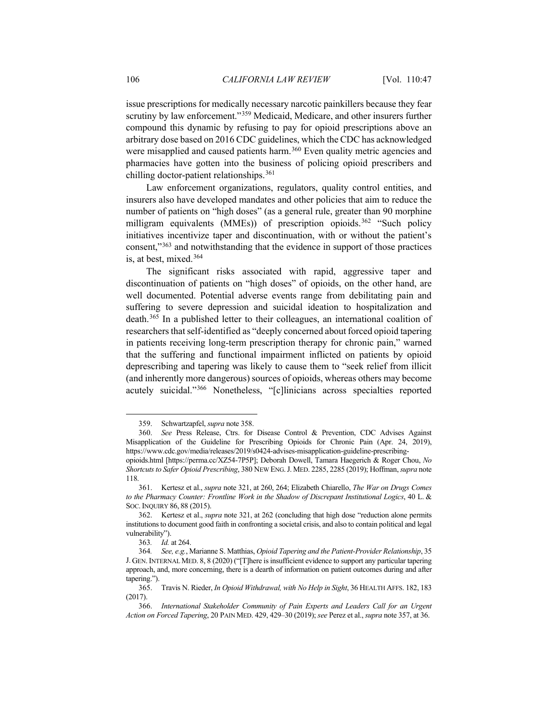issue prescriptions for medically necessary narcotic painkillers because they fear scrutiny by law enforcement."<sup>[359](#page-59-0)</sup> Medicaid, Medicare, and other insurers further compound this dynamic by refusing to pay for opioid prescriptions above an arbitrary dose based on 2016 CDC guidelines, which the CDC has acknowledged were misapplied and caused patients harm.<sup>[360](#page-59-1)</sup> Even quality metric agencies and pharmacies have gotten into the business of policing opioid prescribers and chilling doctor-patient relationships.[361](#page-59-2)

Law enforcement organizations, regulators, quality control entities, and insurers also have developed mandates and other policies that aim to reduce the number of patients on "high doses" (as a general rule, greater than 90 morphine milligram equivalents (MMEs)) of prescription opioids.<sup>[362](#page-59-3)</sup> "Such policy initiatives incentivize taper and discontinuation, with or without the patient's consent,"[363](#page-59-4) and notwithstanding that the evidence in support of those practices is, at best, mixed.[364](#page-59-5)

The significant risks associated with rapid, aggressive taper and discontinuation of patients on "high doses" of opioids, on the other hand, are well documented. Potential adverse events range from debilitating pain and suffering to severe depression and suicidal ideation to hospitalization and death.[365](#page-59-6) In a published letter to their colleagues, an international coalition of researchers that self-identified as "deeply concerned about forced opioid tapering in patients receiving long-term prescription therapy for chronic pain," warned that the suffering and functional impairment inflicted on patients by opioid deprescribing and tapering was likely to cause them to "seek relief from illicit (and inherently more dangerous) sources of opioids, whereas others may become acutely suicidal."[366](#page-59-7) Nonetheless, "[c]linicians across specialties reported

<sup>359.</sup> Schwartzapfel, *supra* note [358.](#page-58-5)

<span id="page-59-1"></span><span id="page-59-0"></span><sup>360.</sup> *See* Press Release, Ctrs. for Disease Control & Prevention, CDC Advises Against Misapplication of the Guideline for Prescribing Opioids for Chronic Pain (Apr. 24, 2019), https://www.cdc.gov/media/releases/2019/s0424-advises-misapplication-guideline-prescribing-

opioids.html [https://perma.cc/XZ54-7P5P]; Deborah Dowell, Tamara Haegerich & Roger Chou, *No Shortcuts to Safer Opioid Prescribing*, 380 NEW ENG.J. MED. 2285, 2285 (2019); Hoffman, *supra* note [118.](#page-21-5)

<span id="page-59-2"></span><sup>361.</sup> Kertesz et al., *supra* note [321,](#page-52-6) at 260, 264; Elizabeth Chiarello, *The War on Drugs Comes to the Pharmacy Counter: Frontline Work in the Shadow of Discrepant Institutional Logics*, 40 L. & SOC. INQUIRY 86, 88 (2015).

<span id="page-59-3"></span><sup>362.</sup> Kertesz et al., *supra* note [321,](#page-52-6) at 262 (concluding that high dose "reduction alone permits institutions to document good faith in confronting a societal crisis, and also to contain political and legal vulnerability").

<sup>363</sup>*. Id.* at 264.

<span id="page-59-5"></span><span id="page-59-4"></span><sup>364</sup>*. See, e.g.*, Marianne S. Matthias, *Opioid Tapering and the Patient-Provider Relationship*, 35 J. GEN.INTERNAL MED. 8, 8 (2020) ("[T]here is insufficient evidence to support any particular tapering approach, and, more concerning, there is a dearth of information on patient outcomes during and after tapering.").

<span id="page-59-6"></span><sup>365.</sup> Travis N. Rieder, *In Opioid Withdrawal, with No Help in Sight*, 36 HEALTH AFFS. 182, 183 (2017).

<span id="page-59-7"></span><sup>366.</sup> *International Stakeholder Community of Pain Experts and Leaders Call for an Urgent Action on Forced Tapering*, 20 PAIN MED. 429, 429–30 (2019); *see* Perez et al., *supra* note [357,](#page-58-6) at 36.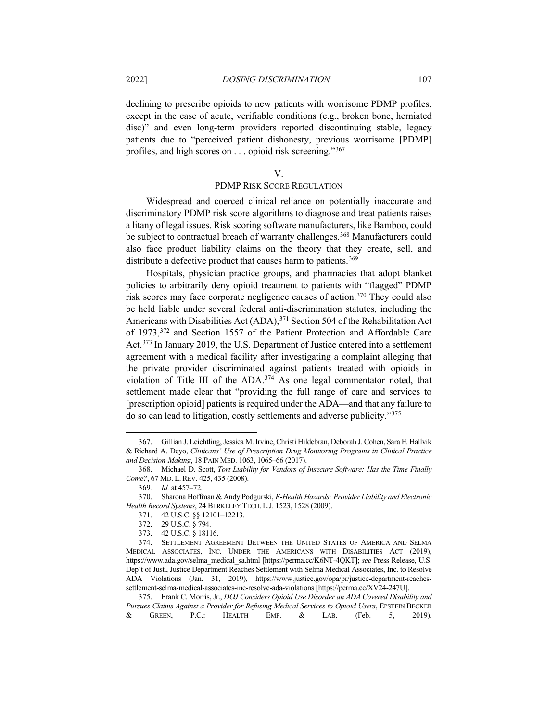declining to prescribe opioids to new patients with worrisome PDMP profiles, except in the case of acute, verifiable conditions (e.g., broken bone, herniated disc)" and even long-term providers reported discontinuing stable, legacy patients due to "perceived patient dishonesty, previous worrisome [PDMP] profiles, and high scores on . . . opioid risk screening."[367](#page-60-0)

#### V.

# PDMP RISK SCORE REGULATION

Widespread and coerced clinical reliance on potentially inaccurate and discriminatory PDMP risk score algorithms to diagnose and treat patients raises a litany of legal issues. Risk scoring software manufacturers, like Bamboo, could be subject to contractual breach of warranty challenges.<sup>[368](#page-60-1)</sup> Manufacturers could also face product liability claims on the theory that they create, sell, and distribute a defective product that causes harm to patients.<sup>[369](#page-60-2)</sup>

Hospitals, physician practice groups, and pharmacies that adopt blanket policies to arbitrarily deny opioid treatment to patients with "flagged" PDMP risk scores may face corporate negligence causes of action.[370](#page-60-3) They could also be held liable under several federal anti-discrimination statutes, including the Americans with Disabilities Act (ADA),<sup>[371](#page-60-4)</sup> Section 504 of the Rehabilitation Act of 1973,[372](#page-60-5) and Section 1557 of the Patient Protection and Affordable Care Act.<sup>373</sup> In January 2019, the U.S. Department of Justice entered into a settlement agreement with a medical facility after investigating a complaint alleging that the private provider discriminated against patients treated with opioids in violation of Title III of the ADA.[374](#page-60-7) As one legal commentator noted, that settlement made clear that "providing the full range of care and services to [prescription opioid] patients is required under the ADA—and that any failure to do so can lead to litigation, costly settlements and adverse publicity."[375](#page-60-8)

<span id="page-60-0"></span><sup>367.</sup> Gillian J. Leichtling, Jessica M. Irvine, Christi Hildebran, Deborah J. Cohen, Sara E. Hallvik & Richard A. Deyo, *Clinicans' Use of Prescription Drug Monitoring Programs in Clinical Practice and Decision-Making*, 18 PAIN MED. 1063, 1065–66 (2017).

<span id="page-60-1"></span><sup>368.</sup> Michael D. Scott, *Tort Liability for Vendors of Insecure Software: Has the Time Finally Come?*, 67 MD. L. REV. 425, 435 (2008).

<sup>369</sup>*. Id.* at 457–72.

<span id="page-60-4"></span><span id="page-60-3"></span><span id="page-60-2"></span><sup>370.</sup> Sharona Hoffman & Andy Podgurski, *E-Health Hazards: Provider Liability and Electronic Health Record Systems*, 24 BERKELEY TECH. L.J. 1523, 1528 (2009).

<sup>371.</sup> 42 U.S.C. §§ 12101–12213.

<sup>372.</sup> 29 U.S.C. § 794.

<sup>373.</sup> 42 U.S.C. § 18116.

<span id="page-60-7"></span><span id="page-60-6"></span><span id="page-60-5"></span><sup>374.</sup> SETTLEMENT AGREEMENT BETWEEN THE UNITED STATES OF AMERICA AND SELMA MEDICAL ASSOCIATES, INC. UNDER THE AMERICANS WITH DISABILITIES ACT (2019), https://www.ada.gov/selma\_medical\_sa.html [https://perma.cc/K6NT-4QKT]; *see* Press Release, U.S. Dep't of Just., Justice Department Reaches Settlement with Selma Medical Associates, Inc. to Resolve ADA Violations (Jan. 31, 2019), https://www.justice.gov/opa/pr/justice-department-reachessettlement-selma-medical-associates-inc-resolve-ada-violations [https://perma.cc/XV24-247U].

<span id="page-60-8"></span><sup>375.</sup> Frank C. Morris, Jr., *DOJ Considers Opioid Use Disorder an ADA Covered Disability and Pursues Claims Against a Provider for Refusing Medical Services to Opioid Users*, EPSTEIN BECKER & GREEN, P.C.: HEALTH EMP. & LAB. (Feb. 5, 2019),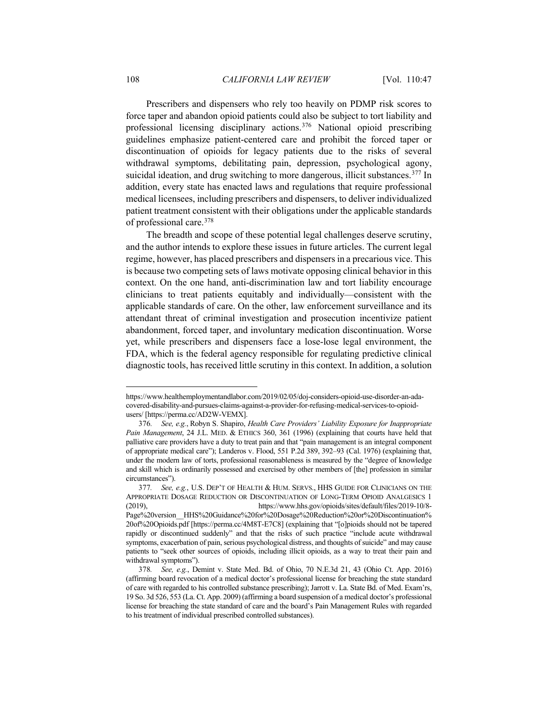Prescribers and dispensers who rely too heavily on PDMP risk scores to force taper and abandon opioid patients could also be subject to tort liability and professional licensing disciplinary actions.[376](#page-61-0) National opioid prescribing guidelines emphasize patient-centered care and prohibit the forced taper or discontinuation of opioids for legacy patients due to the risks of several withdrawal symptoms, debilitating pain, depression, psychological agony, suicidal ideation, and drug switching to more dangerous, illicit substances.<sup>[377](#page-61-1)</sup> In addition, every state has enacted laws and regulations that require professional medical licensees, including prescribers and dispensers, to deliver individualized patient treatment consistent with their obligations under the applicable standards of professional care.[378](#page-61-2)

The breadth and scope of these potential legal challenges deserve scrutiny, and the author intends to explore these issues in future articles. The current legal regime, however, has placed prescribers and dispensers in a precarious vice. This is because two competing sets of laws motivate opposing clinical behavior in this context. On the one hand, anti-discrimination law and tort liability encourage clinicians to treat patients equitably and individually—consistent with the applicable standards of care. On the other, law enforcement surveillance and its attendant threat of criminal investigation and prosecution incentivize patient abandonment, forced taper, and involuntary medication discontinuation. Worse yet, while prescribers and dispensers face a lose-lose legal environment, the FDA, which is the federal agency responsible for regulating predictive clinical diagnostic tools, has received little scrutiny in this context. In addition, a solution

https://www.healthemploymentandlabor.com/2019/02/05/doj-considers-opioid-use-disorder-an-adacovered-disability-and-pursues-claims-against-a-provider-for-refusing-medical-services-to-opioidusers/ [https://perma.cc/AD2W-VEMX].

<span id="page-61-0"></span><sup>376</sup>*. See, e.g.*, Robyn S. Shapiro, *Health Care Providers' Liability Exposure for Inappropriate Pain Management*, 24 J.L. MED. & ETHICS 360, 361 (1996) (explaining that courts have held that palliative care providers have a duty to treat pain and that "pain management is an integral component of appropriate medical care"); Landeros v. Flood, 551 P.2d 389, 392–93 (Cal. 1976) (explaining that, under the modern law of torts, professional reasonableness is measured by the "degree of knowledge and skill which is ordinarily possessed and exercised by other members of [the] profession in similar circumstances").

<span id="page-61-1"></span><sup>377</sup>*. See, e.g.*, U.S. DEP'T OF HEALTH & HUM. SERVS., HHS GUIDE FOR CLINICIANS ON THE APPROPRIATE DOSAGE REDUCTION OR DISCONTINUATION OF LONG-TERM OPIOID ANALGESICS 1 (2019), https://www.hhs.gov/opioids/sites/default/files/2019-10/8- Page%20version HHS%20Guidance%20for%20Dosage%20Reduction%20or%20Discontinuation% 20of%20Opioids.pdf [https://perma.cc/4M8T-E7C8] (explaining that "[o]pioids should not be tapered rapidly or discontinued suddenly" and that the risks of such practice "include acute withdrawal symptoms, exacerbation of pain, serious psychological distress, and thoughts of suicide" and may cause patients to "seek other sources of opioids, including illicit opioids, as a way to treat their pain and withdrawal symptoms").

<span id="page-61-2"></span><sup>378</sup>*. See, e.g.*, Demint v. State Med. Bd. of Ohio, 70 N.E.3d 21, 43 (Ohio Ct. App. 2016) (affirming board revocation of a medical doctor's professional license for breaching the state standard of care with regarded to his controlled substance prescribing); Jarrott v. La. State Bd. of Med. Exam'rs, 19 So. 3d 526, 553 (La. Ct. App. 2009) (affirming a board suspension of a medical doctor's professional license for breaching the state standard of care and the board's Pain Management Rules with regarded to his treatment of individual prescribed controlled substances).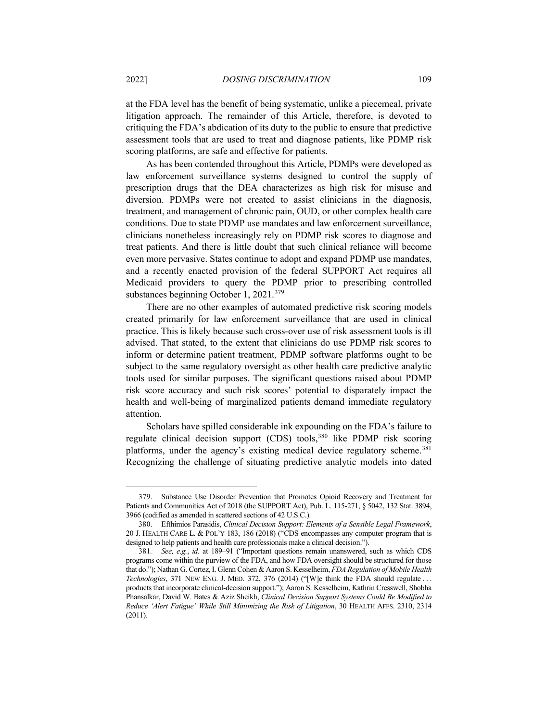at the FDA level has the benefit of being systematic, unlike a piecemeal, private litigation approach. The remainder of this Article, therefore, is devoted to critiquing the FDA's abdication of its duty to the public to ensure that predictive assessment tools that are used to treat and diagnose patients, like PDMP risk scoring platforms, are safe and effective for patients.

As has been contended throughout this Article, PDMPs were developed as law enforcement surveillance systems designed to control the supply of prescription drugs that the DEA characterizes as high risk for misuse and diversion. PDMPs were not created to assist clinicians in the diagnosis, treatment, and management of chronic pain, OUD, or other complex health care conditions. Due to state PDMP use mandates and law enforcement surveillance, clinicians nonetheless increasingly rely on PDMP risk scores to diagnose and treat patients. And there is little doubt that such clinical reliance will become even more pervasive. States continue to adopt and expand PDMP use mandates, and a recently enacted provision of the federal SUPPORT Act requires all Medicaid providers to query the PDMP prior to prescribing controlled substances beginning October 1, 2021.<sup>[379](#page-62-0)</sup>

There are no other examples of automated predictive risk scoring models created primarily for law enforcement surveillance that are used in clinical practice. This is likely because such cross-over use of risk assessment tools is ill advised. That stated, to the extent that clinicians do use PDMP risk scores to inform or determine patient treatment, PDMP software platforms ought to be subject to the same regulatory oversight as other health care predictive analytic tools used for similar purposes. The significant questions raised about PDMP risk score accuracy and such risk scores' potential to disparately impact the health and well-being of marginalized patients demand immediate regulatory attention.

<span id="page-62-3"></span>Scholars have spilled considerable ink expounding on the FDA's failure to regulate clinical decision support (CDS) tools,[380](#page-62-1) like PDMP risk scoring platforms, under the agency's existing medical device regulatory scheme.<sup>[381](#page-62-2)</sup> Recognizing the challenge of situating predictive analytic models into dated

<span id="page-62-0"></span><sup>379.</sup> Substance Use Disorder Prevention that Promotes Opioid Recovery and Treatment for Patients and Communities Act of 2018 (the SUPPORT Act), Pub. L. 115-271, § 5042, 132 Stat. 3894, 3966 (codified as amended in scattered sections of 42 U.S.C.).

<span id="page-62-1"></span><sup>380.</sup> Efthimios Parasidis, *Clinical Decision Support: Elements of a Sensible Legal Framework*, 20 J. HEALTH CARE L. & POL'Y 183, 186 (2018) ("CDS encompasses any computer program that is designed to help patients and health care professionals make a clinical decision.").

<span id="page-62-2"></span><sup>381</sup>*. See, e.g.*, *id.* at 189–91 ("Important questions remain unanswered, such as which CDS programs come within the purview of the FDA, and how FDA oversight should be structured for those that do."); Nathan G. Cortez, I. Glenn Cohen & Aaron S. Kesselheim, *FDA Regulation of Mobile Health Technologies*, 371 NEW ENG. J. MED. 372, 376 (2014) ("[W]e think the FDA should regulate . . . products that incorporate clinical-decision support."); Aaron S. Kesselheim, Kathrin Cresswell, Shobha Phansalkar, David W. Bates & Aziz Sheikh, *Clinical Decision Support Systems Could Be Modified to Reduce 'Alert Fatigue' While Still Minimizing the Risk of Litigation*, 30 HEALTH AFFS. 2310, 2314 (2011).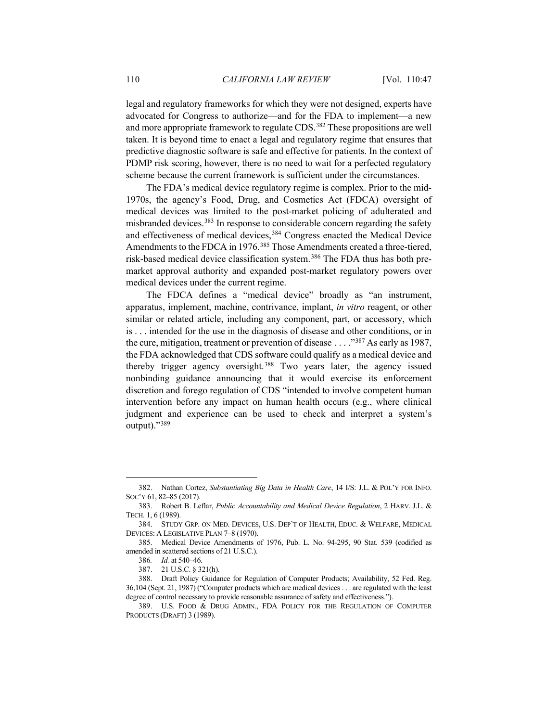<span id="page-63-8"></span>legal and regulatory frameworks for which they were not designed, experts have advocated for Congress to authorize—and for the FDA to implement—a new and more appropriate framework to regulate CDS.<sup>[382](#page-63-0)</sup> These propositions are well taken. It is beyond time to enact a legal and regulatory regime that ensures that predictive diagnostic software is safe and effective for patients. In the context of PDMP risk scoring, however, there is no need to wait for a perfected regulatory scheme because the current framework is sufficient under the circumstances.

The FDA's medical device regulatory regime is complex. Prior to the mid-1970s, the agency's Food, Drug, and Cosmetics Act (FDCA) oversight of medical devices was limited to the post-market policing of adulterated and misbranded devices[.383](#page-63-1) In response to considerable concern regarding the safety and effectiveness of medical devices,<sup>[384](#page-63-2)</sup> Congress enacted the Medical Device Amendments to the FDCA in 1976.<sup>[385](#page-63-3)</sup> Those Amendments created a three-tiered, risk-based medical device classification system.[386](#page-63-4) The FDA thus has both premarket approval authority and expanded post-market regulatory powers over medical devices under the current regime.

The FDCA defines a "medical device" broadly as "an instrument, apparatus, implement, machine, contrivance, implant, *in vitro* reagent, or other similar or related article, including any component, part, or accessory, which is . . . intended for the use in the diagnosis of disease and other conditions, or in the cure, mitigation, treatment or prevention of disease . . . ."[387](#page-63-5) As early as 1987, the FDA acknowledged that CDS software could qualify as a medical device and thereby trigger agency oversight.[388](#page-63-6) Two years later, the agency issued nonbinding guidance announcing that it would exercise its enforcement discretion and forego regulation of CDS "intended to involve competent human intervention before any impact on human health occurs (e.g., where clinical judgment and experience can be used to check and interpret a system's output)."[389](#page-63-7)

<span id="page-63-0"></span><sup>382.</sup> Nathan Cortez, *Substantiating Big Data in Health Care*, 14 I/S: J.L. & POL'Y FOR INFO. SOC'Y 61, 82–85 (2017).

<span id="page-63-1"></span><sup>383.</sup> Robert B. Leflar, *Public Accountability and Medical Device Regulation*, 2 HARV. J.L. & TECH. 1, 6 (1989).

<span id="page-63-2"></span><sup>384.</sup> STUDY GRP. ON MED. DEVICES, U.S. DEP'T OF HEALTH, EDUC. & WELFARE, MEDICAL DEVICES: A LEGISLATIVE PLAN 7–8 (1970).

<span id="page-63-4"></span><span id="page-63-3"></span><sup>385.</sup> Medical Device Amendments of 1976, Pub. L. No. 94-295, 90 Stat. 539 (codified as amended in scattered sections of 21 U.S.C.).

<sup>386</sup>*. Id.* at 540–46.

<sup>387.</sup> 21 U.S.C. § 321(h).

<span id="page-63-6"></span><span id="page-63-5"></span><sup>388.</sup> Draft Policy Guidance for Regulation of Computer Products; Availability, 52 Fed. Reg. 36,104 (Sept. 21, 1987) ("Computer products which are medical devices . . . are regulated with the least degree of control necessary to provide reasonable assurance of safety and effectiveness.").

<span id="page-63-7"></span><sup>389.</sup> U.S. FOOD & DRUG ADMIN., FDA POLICY FOR THE REGULATION OF COMPUTER PRODUCTS (DRAFT) 3 (1989).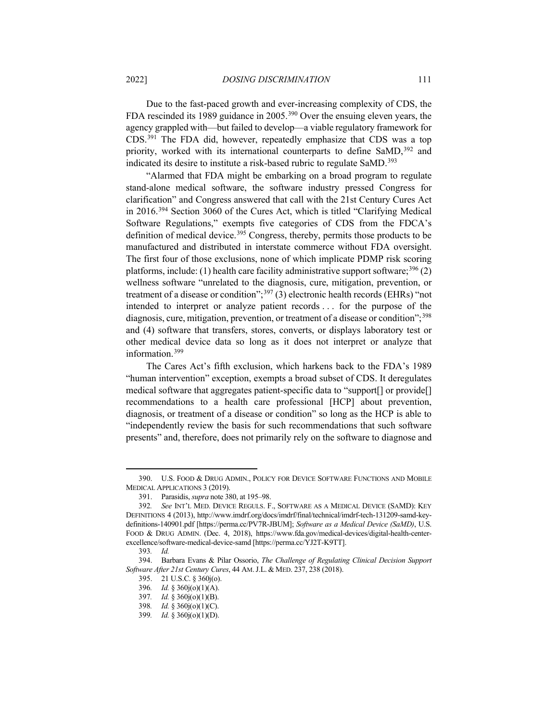Due to the fast-paced growth and ever-increasing complexity of CDS, the FDA rescinded its 1989 guidance in 2005.[390](#page-64-0) Over the ensuing eleven years, the agency grappled with—but failed to develop—a viable regulatory framework for CDS.[391](#page-64-1) The FDA did, however, repeatedly emphasize that CDS was a top priority, worked with its international counterparts to define SaMD,<sup>[392](#page-64-2)</sup> and indicated its desire to institute a risk-based rubric to regulate SaMD.<sup>[393](#page-64-3)</sup>

<span id="page-64-10"></span>"Alarmed that FDA might be embarking on a broad program to regulate stand-alone medical software, the software industry pressed Congress for clarification" and Congress answered that call with the 21st Century Cures Act in 2016.[394](#page-64-4) Section 3060 of the Cures Act, which is titled "Clarifying Medical Software Regulations," exempts five categories of CDS from the FDCA's definition of medical device.<sup>[395](#page-64-5)</sup> Congress, thereby, permits those products to be manufactured and distributed in interstate commerce without FDA oversight. The first four of those exclusions, none of which implicate PDMP risk scoring platforms, include: (1) health care facility administrative support software;  $396$  (2) wellness software "unrelated to the diagnosis, cure, mitigation, prevention, or treatment of a disease or condition";  $397$  (3) electronic health records (EHRs) "not intended to interpret or analyze patient records . . . for the purpose of the diagnosis, cure, mitigation, prevention, or treatment of a disease or condition";<sup>[398](#page-64-8)</sup> and (4) software that transfers, stores, converts, or displays laboratory test or other medical device data so long as it does not interpret or analyze that information.[399](#page-64-9)

The Cares Act's fifth exclusion, which harkens back to the FDA's 1989 "human intervention" exception, exempts a broad subset of CDS. It deregulates medical software that aggregates patient-specific data to "support[] or provide[] recommendations to a health care professional [HCP] about prevention, diagnosis, or treatment of a disease or condition" so long as the HCP is able to "independently review the basis for such recommendations that such software presents" and, therefore, does not primarily rely on the software to diagnose and

<span id="page-64-0"></span><sup>390.</sup> U.S. FOOD & DRUG ADMIN., POLICY FOR DEVICE SOFTWARE FUNCTIONS AND MOBILE MEDICAL APPLICATIONS 3 (2019).

<sup>391.</sup> Parasidis, *supra* note [380,](#page-62-3) at 195–98.

<span id="page-64-2"></span><span id="page-64-1"></span><sup>392</sup>*. See* INT'L MED. DEVICE REGULS. F., SOFTWARE AS A MEDICAL DEVICE (SAMD): KEY DEFINITIONS 4 (2013), http://www.imdrf.org/docs/imdrf/final/technical/imdrf-tech-131209-samd-keydefinitions-140901.pdf [https://perma.cc/PV7R-JBUM]; *Software as a Medical Device (SaMD)*, U.S. FOOD & DRUG ADMIN. (Dec. 4, 2018), https://www.fda.gov/medical-devices/digital-health-centerexcellence/software-medical-device-samd [https://perma.cc/YJ2T-K9TT].

<sup>393</sup>*. Id.*

<span id="page-64-9"></span><span id="page-64-8"></span><span id="page-64-7"></span><span id="page-64-6"></span><span id="page-64-5"></span><span id="page-64-4"></span><span id="page-64-3"></span><sup>394.</sup> Barbara Evans & Pilar Ossorio, *The Challenge of Regulating Clinical Decision Support Software After 21st Century Cures*, 44 AM.J.L. & MED. 237, 238 (2018).

<sup>395.</sup> 21 U.S.C. § 360j(o).

<sup>396</sup>*. Id.* § 360j(o)(1)(A).

<sup>397</sup>*. Id.* § 360j(o)(1)(B).

<sup>398</sup>*. Id.* § 360j(o)(1)(C).

<sup>399</sup>*. Id.* § 360j(o)(1)(D).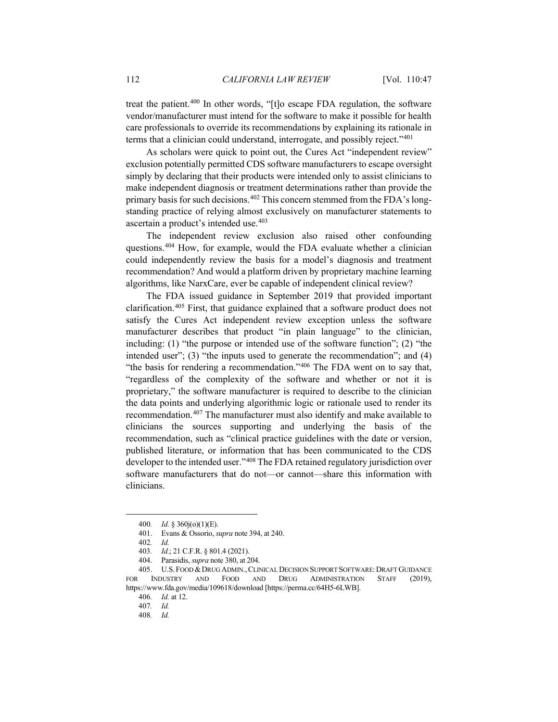treat the patient.[400](#page-65-0) In other words, "[t]o escape FDA regulation, the software vendor/manufacturer must intend for the software to make it possible for health care professionals to override its recommendations by explaining its rationale in terms that a clinician could understand, interrogate, and possibly reject."[401](#page-65-1)

As scholars were quick to point out, the Cures Act "independent review" exclusion potentially permitted CDS software manufacturers to escape oversight simply by declaring that their products were intended only to assist clinicians to make independent diagnosis or treatment determinations rather than provide the primary basis for such decisions.<sup>[402](#page-65-2)</sup> This concern stemmed from the FDA's longstanding practice of relying almost exclusively on manufacturer statements to ascertain a product's intended use.[403](#page-65-3)

The independent review exclusion also raised other confounding questions.[404](#page-65-4) How, for example, would the FDA evaluate whether a clinician could independently review the basis for a model's diagnosis and treatment recommendation? And would a platform driven by proprietary machine learning algorithms, like NarxCare, ever be capable of independent clinical review?

<span id="page-65-9"></span>The FDA issued guidance in September 2019 that provided important clarification.[405](#page-65-5) First, that guidance explained that a software product does not satisfy the Cures Act independent review exception unless the software manufacturer describes that product "in plain language" to the clinician, including: (1) "the purpose or intended use of the software function"; (2) "the intended user"; (3) "the inputs used to generate the recommendation"; and (4) "the basis for rendering a recommendation."[406](#page-65-6) The FDA went on to say that, "regardless of the complexity of the software and whether or not it is proprietary," the software manufacturer is required to describe to the clinician the data points and underlying algorithmic logic or rationale used to render its recommendation.[407](#page-65-7) The manufacturer must also identify and make available to clinicians the sources supporting and underlying the basis of the recommendation, such as "clinical practice guidelines with the date or version, published literature, or information that has been communicated to the CDS developer to the intended user."[408](#page-65-8) The FDA retained regulatory jurisdiction over software manufacturers that do not—or cannot—share this information with clinicians.

<sup>400</sup>*. Id.* § 360j(o)(1)(E).

<sup>401.</sup> Evans & Ossorio, *supra* note [394,](#page-64-10) at 240.

<sup>402</sup>*. Id.*

<sup>403</sup>*. Id.*; 21 C.F.R. § 801.4 (2021).

<sup>404.</sup> Parasidis, *supra* note [380,](#page-62-3) at 204.

<span id="page-65-8"></span><span id="page-65-7"></span><span id="page-65-6"></span><span id="page-65-5"></span><span id="page-65-4"></span><span id="page-65-3"></span><span id="page-65-2"></span><span id="page-65-1"></span><span id="page-65-0"></span><sup>405.</sup> U.S.FOOD &DRUG ADMIN.,CLINICAL DECISION SUPPORT SOFTWARE:DRAFT GUIDANCE FOR INDUSTRY AND FOOD AND DRUG ADMINISTRATION STAFF (2019), https://www.fda.gov/media/109618/download [https://perma.cc/64H5-6LWB].

<sup>406</sup>*. Id.* at 12.

<sup>407</sup>*. Id.*

<sup>408</sup>*. Id.*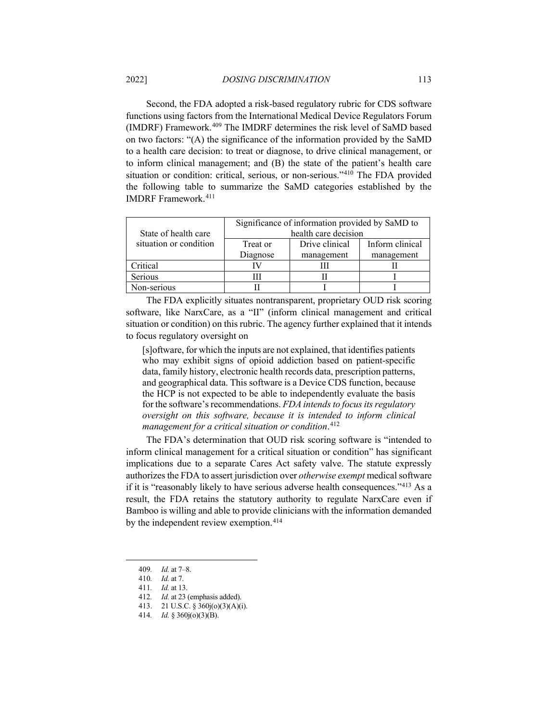Second, the FDA adopted a risk-based regulatory rubric for CDS software functions using factors from the International Medical Device Regulators Forum (IMDRF) Framework.[409](#page-66-0) The IMDRF determines the risk level of SaMD based on two factors: "(A) the significance of the information provided by the SaMD to a health care decision: to treat or diagnose, to drive clinical management, or to inform clinical management; and (B) the state of the patient's health care situation or condition: critical, serious, or non-serious."[410](#page-66-1) The FDA provided the following table to summarize the SaMD categories established by the IMDRF Framework.[411](#page-66-2)

|                        | Significance of information provided by SaMD to |                |                 |  |
|------------------------|-------------------------------------------------|----------------|-----------------|--|
| State of health care   | health care decision                            |                |                 |  |
| situation or condition | Treat or                                        | Drive clinical | Inform clinical |  |
|                        | Diagnose                                        | management     | management      |  |
| Critical               |                                                 |                |                 |  |
| <b>Serious</b>         |                                                 |                |                 |  |
| Non-serious            |                                                 |                |                 |  |

The FDA explicitly situates nontransparent, proprietary OUD risk scoring software, like NarxCare, as a "II" (inform clinical management and critical situation or condition) on this rubric. The agency further explained that it intends to focus regulatory oversight on

[s]oftware, for which the inputs are not explained, that identifies patients who may exhibit signs of opioid addiction based on patient-specific data, family history, electronic health records data, prescription patterns, and geographical data. This software is a Device CDS function, because the HCP is not expected to be able to independently evaluate the basis for the software's recommendations. *FDA intends to focus its regulatory oversight on this software, because it is intended to inform clinical management for a critical situation or condition*. [412](#page-66-3)

The FDA's determination that OUD risk scoring software is "intended to inform clinical management for a critical situation or condition" has significant implications due to a separate Cares Act safety valve. The statute expressly authorizes the FDA to assert jurisdiction over *otherwise exempt* medical software if it is "reasonably likely to have serious adverse health consequences."[413](#page-66-4) As a result, the FDA retains the statutory authority to regulate NarxCare even if Bamboo is willing and able to provide clinicians with the information demanded by the independent review exemption.<sup>[414](#page-66-5)</sup>

<sup>409</sup>*. Id.* at 7–8.

<span id="page-66-2"></span><span id="page-66-1"></span><span id="page-66-0"></span><sup>410</sup>*. Id.* at 7.

<span id="page-66-3"></span><sup>411</sup>*. Id.* at 13.

<sup>412</sup>*. Id.* at 23 (emphasis added).

<sup>413.</sup> 21 U.S.C. § 360j(o)(3)(A)(i).

<span id="page-66-5"></span><span id="page-66-4"></span><sup>414</sup>*. Id.* § 360j(o)(3)(B).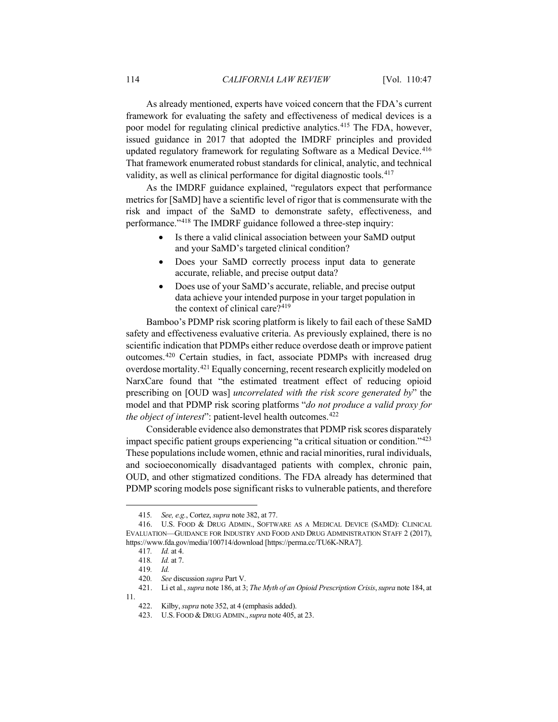As already mentioned, experts have voiced concern that the FDA's current framework for evaluating the safety and effectiveness of medical devices is a poor model for regulating clinical predictive analytics.<sup>[415](#page-67-0)</sup> The FDA, however, issued guidance in 2017 that adopted the IMDRF principles and provided updated regulatory framework for regulating Software as a Medical Device.<sup>[416](#page-67-1)</sup> That framework enumerated robust standards for clinical, analytic, and technical validity, as well as clinical performance for digital diagnostic tools.<sup>[417](#page-67-2)</sup>

As the IMDRF guidance explained, "regulators expect that performance metrics for [SaMD] have a scientific level of rigor that is commensurate with the risk and impact of the SaMD to demonstrate safety, effectiveness, and performance."[418](#page-67-3) The IMDRF guidance followed a three-step inquiry:

- Is there a valid clinical association between your SaMD output and your SaMD's targeted clinical condition?
- Does your SaMD correctly process input data to generate accurate, reliable, and precise output data?
- Does use of your SaMD's accurate, reliable, and precise output data achieve your intended purpose in your target population in the context of clinical care?[419](#page-67-4)

Bamboo's PDMP risk scoring platform is likely to fail each of these SaMD safety and effectiveness evaluative criteria. As previously explained, there is no scientific indication that PDMPs either reduce overdose death or improve patient outcomes.[420](#page-67-5) Certain studies, in fact, associate PDMPs with increased drug overdose mortality.[421](#page-67-6) Equally concerning, recent research explicitly modeled on NarxCare found that "the estimated treatment effect of reducing opioid prescribing on [OUD was] *uncorrelated with the risk score generated by*" the model and that PDMP risk scoring platforms "*do not produce a valid proxy for the object of interest*": patient-level health outcomes. [422](#page-67-7)

Considerable evidence also demonstrates that PDMP risk scores disparately impact specific patient groups experiencing "a critical situation or condition."[423](#page-67-8) These populations include women, ethnic and racial minorities, rural individuals, and socioeconomically disadvantaged patients with complex, chronic pain, OUD, and other stigmatized conditions. The FDA already has determined that PDMP scoring models pose significant risks to vulnerable patients, and therefore

<sup>415</sup>*. See, e.g.*, Cortez, *supra* note [382,](#page-63-8) at 77.

<span id="page-67-2"></span><span id="page-67-1"></span><span id="page-67-0"></span><sup>416.</sup> U.S. FOOD & DRUG ADMIN., SOFTWARE AS A MEDICAL DEVICE (SAMD): CLINICAL EVALUATION—GUIDANCE FOR INDUSTRY AND FOOD AND DRUG ADMINISTRATION STAFF 2 (2017), https://www.fda.gov/media/100714/download [https://perma.cc/TU6K-NRA7].

<sup>417</sup>*. Id.* at 4.

<sup>418</sup>*. Id.* at 7.

<sup>419</sup>*. Id.*

<sup>420</sup>*. See* discussion *supra* Part V.

<span id="page-67-8"></span><span id="page-67-7"></span><span id="page-67-6"></span><span id="page-67-5"></span><span id="page-67-4"></span><span id="page-67-3"></span><sup>421.</sup> Li et al., *supra* note [186,](#page-31-9) at 3; *The Myth of an Opioid Prescription Crisis*,*supra* note [184,](#page-31-8) at 11.

<sup>422.</sup> Kilby, *supra* note [352,](#page-57-8) at 4 (emphasis added).

<sup>423.</sup> U.S. FOOD & DRUG ADMIN.,*supra* not[e 405,](#page-65-9) at 23.